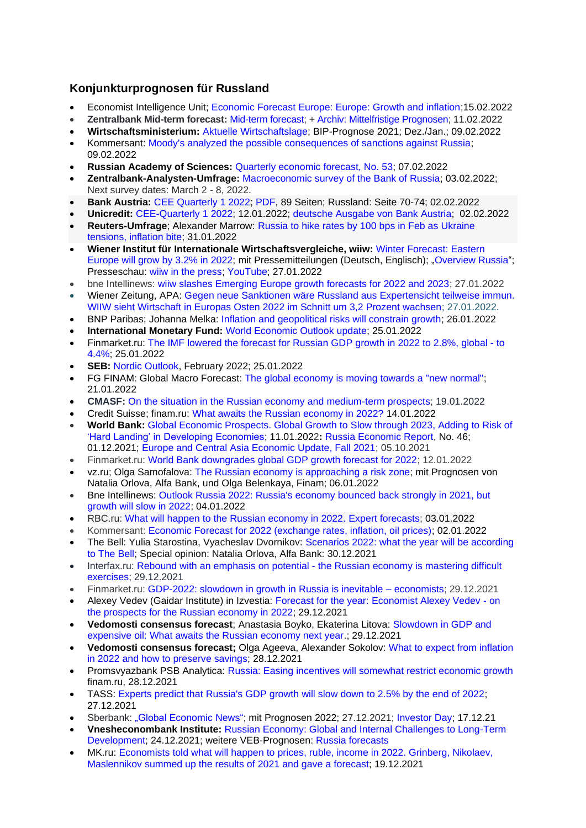# **Konjunkturprognosen für Russland**

- Economist Intelligence Unit; [Economic Forecast Europe: Europe: Growth and inflation;](http://gfs.eiu.com/Archive.aspx?archiveType=Europe)15.02.2022
- **Zentralbank Mid-term forecast:** [Mid-term forecast;](https://www.cbr.ru/Collection/Collection/File/39792/forecast_220211_e.pdf) [+ Archiv: Mittelfristige Prognosen;](https://www.cbr.ru/eng/about_br/publ/ddkp/) 11.02.2022
- **Wirtschaftsministerium:** [Aktuelle Wirtschaftslage;](https://economy.gov.ru/material/directions/makroec/ekonomicheskie_obzory/) BIP-Prognose 2021; Dez./Jan.; 09.02.2022
- Kommersant: [Moody's analyzed the possible consequences of sanctions against Russia;](https://www.kommersant.ru/doc/5206659?query=Moody%60s) 09.02.2022
- **Russian Academy of Sciences:** [Quarterly economic forecast, No. 53;](https://ecfor.ru/publication/kvartalnyj-prognoz-ekonomiki-vypusk-53/) 07.02.2022
- **Zentralbank-Analysten-Umfrage:** [Macroeconomic survey of the Bank of Russia;](http://cbr.ru/statistics/ddkp/mo_br/) 03.02.2022; Next survey dates: March 2 - 8, 2022.
- **Bank Austria:** [CEE Quarterly 1 2022;](https://www.bankaustria.at/wirtschaft-cee-quarterly.jsp) [PDF,](https://www.bankaustria.at/files/quaterly_012022_de.pdf) 89 Seiten; Russland: Seite 70-74; 02.02.2022
- **Unicredit:** [CEE-Quarterly 1 2022;](https://www.unicreditresearch.eu/) 12.01.2022; [deutsche Ausgabe von Bank Austria;](https://www.bankaustria.at/wirtschaft-cee-quarterly.jsp) 02.02.2022
- **Reuters-Umfrage**; Alexander Marrow: [Russia to hike rates by 100 bps in Feb as Ukraine](https://www.reuters.com/markets/europe/russia-hike-rates-by-100-bps-feb-ukraine-tensions-inflation-bite-2022-01-31/)  [tensions, inflation bite;](https://www.reuters.com/markets/europe/russia-hike-rates-by-100-bps-feb-ukraine-tensions-inflation-bite-2022-01-31/) 31.01.2022
- **Wiener Institut für Internationale Wirtschaftsvergleiche, wiiw:** [Winter](https://wiiw.ac.at/winter-forecast-eastern-europe-will-grow-by-3-2-in-2022-n-540.html) [Forecast: Eastern](https://wiiw.ac.at/winter-forecast-eastern-europe-will-grow-by-3-2-in-2022-n-540.html)  [Europe will grow by 3.2% in 2022;](https://wiiw.ac.at/winter-forecast-eastern-europe-will-grow-by-3-2-in-2022-n-540.html) mit Pressemitteilungen (Deutsch, Englisch); ["Overview Russia"](https://wiiw.ac.at/russia-overview-ce-10.html); Presseschau: [wiiw in the press;](https://wiiw.ac.at/wiiw-in-the-press.html) [YouTube;](https://www.youtube.com/c/WiiwAcAt/videos) 27.01.2022
- bne Intellinews: [wiiw slashes Emerging Europe growth forecasts for 2022 and 2023;](https://www.intellinews.com/wiiw-slashes-emerging-europe-growth-forecasts-for-2022-and-2023-233133/#.YfKyfDlE130.twitter) 27.01.2022
- Wiener Zeitung, APA: [Gegen neue Sanktionen wäre Russland aus Expertensicht teilweise immun.](https://drive.google.com/file/d/1QVKGL1-reLhKB0IdsDNMgt2ATrnCnNTd/view)  [WIIW sieht Wirtschaft in Europas Osten 2022 im Schnitt um 3,2 Prozent wachsen;](https://drive.google.com/file/d/1QVKGL1-reLhKB0IdsDNMgt2ATrnCnNTd/view) 27.01.2022.
- BNP Paribas; Johanna Melka: [Inflation and geopolitical risks will constrain growth;](https://economic-research.bnpparibas.com/Views/SearchByCountryView.aspx?Lang=en-US&Zone=ARS&Page=Page1) 26.01.2022
- **International Monetary Fund:** [World Economic Outlook update;](https://www.imf.org/en/Publications/WEO/Issues/2022/01/25/world-economic-outlook-update-january-2022) 25.01.2022
- Finmarket.ru: [The IMF lowered the forecast for Russian GDP growth in 2022 to 2.8%, global -](http://www.finmarket.ru/news/5635574) to [4.4%;](http://www.finmarket.ru/news/5635574) 25.01.2022
- **SEB:** [Nordic Outlook,](https://sebgroup.com/our-offering/prospectuses-and-downloads/research-reports) February 2022; 25.01.2022
- FG FINAM: Global Macro Forecast: [The global economy is moving towards a "new normal";](https://www.finam.ru/international/imdaily/mirovaya-ekonomika-prixodit-k-novoiy-norme-20220121-113320/) 21.01.2022
- **CMASF:** [On the situation in the Russian economy and medium-term prospects;](http://www.forecast.ru/_Archive/analitics/DB/WESP_2022_RP.pdf) 19.01.2022
- Credit Suisse; finam.ru: [What awaits the Russian economy in 2022?](https://www.finam.ru/analysis/forecasts/chto-zhdet-ekonomiku-rf-v-2022-godu-20220114-123406/) 14.01.2022
- **World Bank:** [Global Economic Prospects. Global Growth to Slow through 2023, Adding to Risk of](https://www.worldbank.org/en/news/press-release/2022/01/11/global-recovery-economics-debt-commodity-inequality)  ['Hard Landing' in Developing Economies;](https://www.worldbank.org/en/news/press-release/2022/01/11/global-recovery-economics-debt-commodity-inequality) 11.01.2022**:** [Russia Economic Report,](https://www.worldbank.org/en/country/russia/publication/rer) No. 46; 01.12.2021; [Europe and Central Asia Economic Update, Fall 2021;](https://openknowledge.worldbank.org/handle/10986/36296) 05.10.2021
- Finmarket.ru: [World Bank downgrades global GDP growth forecast for 2022;](http://www.finmarket.ru/main/article/5625154) 12.01.2022
- vz.ru; Olga Samofalova: [The Russian economy is approaching a risk zone;](https://vz.ru/economy/2022/1/6/1133414.html) mit Prognosen von Natalia Orlova, Alfa Bank, und Olga Belenkaya, Finam; 06.01.2022
- Bne Intellinews: Outlook Russia 2022: Russia's economy bounced back strongly in 2021, but [growth will slow in 2022;](https://www.intellinews.com/outlook-2022-russia-230664/?source=russia) 04.01.2022
- RBC.ru: [What will happen to the Russian economy in 2022. Expert forecasts;](https://www.rbc.ru/economics/03/01/2022/61c1ac739a79476c95bd7775) 03.01.2022
- Kommersant: [Economic Forecast for 2022 \(exchange rates, inflation, oil prices\);](https://www.kommersant.ru/doc/5153078) 02.01.2022
- The Bell: Yulia Starostina, Vyacheslav Dvornikov: Scenarios 2022: what the year will be according [to The Bell;](https://thebell.io/stsenarii-2022-kakim-budet-god-po-versii-the-bell) Special opinion: Natalia Orlova, Alfa Bank: 30.12.2021
- Interfax.ru: Rebound with an emphasis on potential [the Russian economy is mastering difficult](https://www.interfax.ru/business/813189)  [exercises;](https://www.interfax.ru/business/813189) 29.12.2021
- Finmarket.ru: [GDP-2022: slowdown in growth in Russia is inevitable –](http://www.finmarket.ru/news/5620199) economists; 29.12.2021
- Alexey Vedev (Gaidar Institute) in Izvestia: [Forecast for the year: Economist Alexey Vedev -](https://iz.ru/1270747/aleksei-vedev/prognoz-dlia-goda) on [the prospects for the Russian economy in 2022;](https://iz.ru/1270747/aleksei-vedev/prognoz-dlia-goda) 29.12.2021
- **Vedomosti consensus forecast**; Anastasia Boyko, Ekaterina Litova: [Slowdown in GDP and](https://www.vedomosti.ru/economics/articles/2021/12/28/903129-zamedlenie-vvp-dorogaya-neft)  [expensive oil: What awaits the Russian economy next year.](https://www.vedomosti.ru/economics/articles/2021/12/28/903129-zamedlenie-vvp-dorogaya-neft); 29.12.2021
- **Vedomosti consensus forecast;** Olga Ageeva, Alexander Sokolov: [What to expect from inflation](https://www.vedomosti.ru/economics/articles/2021/12/28/902903-zhdat-inflyatsii)  [in 2022 and how to preserve savings;](https://www.vedomosti.ru/economics/articles/2021/12/28/902903-zhdat-inflyatsii) 28.12.2021
- Promsvyazbank PSB Analytica: [Russia: Easing incentives will somewhat restrict economic growth](https://www.finam.ru/analysis/forecasts/rossiya-svorachivanie-stimulov-neskolko-ogranichit-rost-ekonomiki-20211228-123336/) finam.ru, 28.12.2021
- TASS: [Experts predict that Russia's GDP growth will slow down to 2.5% by the end of 2022;](https://tass.ru/ekonomika/13311805) 27.12.2021
- Sberbank: "Global [Economic](https://www.sberbank.com/ru/analytics/news/article?newsID=f5951a66-9b1b-4b28-aab6-300e05140f43&blockID=11004083®ionID=77&lang=ru&type=NEWS) News"; mit Prognosen 2022; 27.12.2021; [Investor Day;](https://www.sberbank.com/common/img/uploaded/redirected/com/investorday2021_en/files/EN_investorday2021.pdf) 17.12.21
- **Vnesheconombank Institute:** [Russian Economy: Global and Internal Challenges to Long-Term](http://inveb.ru/ru/products/product-02/754-rossijskaya-ekonomika-globalnye-i-vnutrennie-vyzovy-dolgosrochnomu-razvitiyu)  [Development;](http://inveb.ru/ru/products/product-02/754-rossijskaya-ekonomika-globalnye-i-vnutrennie-vyzovy-dolgosrochnomu-razvitiyu) 24.12.2021; weitere VEB-Prognosen: [Russia forecasts](http://inveb.ru/ru/products/product-02)
- MK.ru: [Economists told what will happen to prices, ruble, income in 2022. Grinberg, Nikolaev,](https://www.mk.ru/economics/2021/12/19/ekonomisty-rasskazali-chto-budet-s-cenami-rublem-dokhodami-v-2022-godu.html)  [Maslennikov summed up the results of 2021 and gave a forecast;](https://www.mk.ru/economics/2021/12/19/ekonomisty-rasskazali-chto-budet-s-cenami-rublem-dokhodami-v-2022-godu.html) 19.12.2021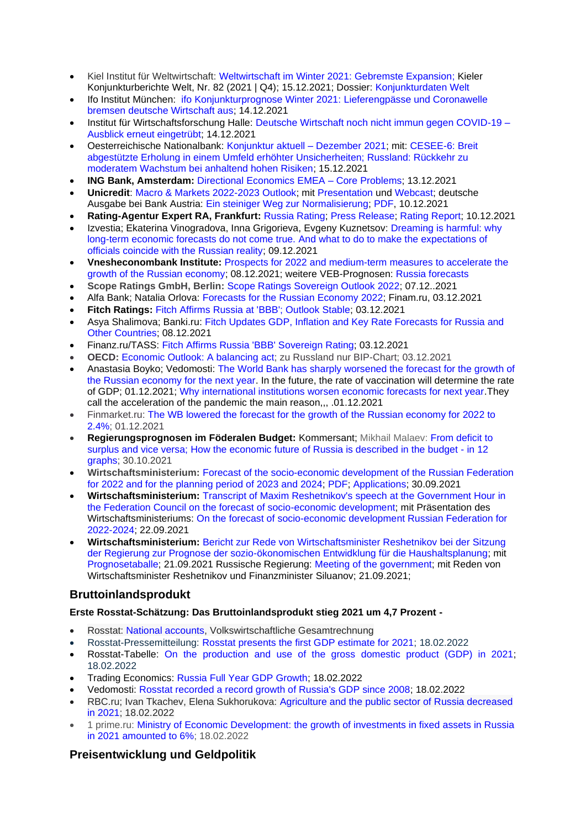- Kiel Institut für Weltwirtschaft: [Weltwirtschaft im Winter 2021: Gebremste Expansion;](https://www.ifw-kiel.de/de/publikationen/kieler-konjunkturberichte/2021/weltwirtschaft-im-winter-2021-gebremste-expansion-0/) Kieler Konjunkturberichte Welt, Nr. 82 (2021 | Q4); 15.12.2021; Dossier: [Konjunkturdaten Welt](https://www.ifw-kiel.de/de/themendossiers/konjunktur/#m-tab-0-welt)
- Ifo Institut München: [ifo Konjunkturprognose Winter 2021: Lieferengpässe und Coronawelle](https://www.ifo.de/publikationen/2021/aufsatz-zeitschrift/ifo-konjunkturprognose-winter-2021-lieferengpaesse-und)  [bremsen deutsche Wirtschaft aus;](https://www.ifo.de/publikationen/2021/aufsatz-zeitschrift/ifo-konjunkturprognose-winter-2021-lieferengpaesse-und) 14.12.2021
- Institut für Wirtschaftsforschung Halle: [Deutsche Wirtschaft noch nicht immun gegen COVID-19 –](https://www.iwh-halle.de/fileadmin/user_upload/publications/konjunktur_aktuell/Konjunktur-aktuell_2021-4.pdf) [Ausblick erneut eingetrübt;](https://www.iwh-halle.de/fileadmin/user_upload/publications/konjunktur_aktuell/Konjunktur-aktuell_2021-4.pdf) 14.12.2021
- Oesterreichische Nationalbank: [Konjunktur aktuell –](https://www.oenb.at/Publikationen/Volkswirtschaft/konjunktur-aktuell.html?utm_source=mailworx&utm_medium=email&utm_content=zur+publikation&utm_campaign=konjunktur+aktuell+%e2%80%93+dezember+2021+-+created%3a+20211215+-+sent%3a+20211215&utm_term=n%2fa) Dezember 2021; mit: [CESEE-6: Breit](https://www.oenb.at/dam/jcr:a57429ea-9666-41a5-bf05-e20009ae3d6d/03_Konjunktur-aktuell_12_21_CESEE-6-Breit-abgestuetzte-Erholung-in-einem-Umfeld-erhoehter-Unsicherheiten.pdf)  [abgestützte Erholung in einem Umfeld erhöhter Unsicherheiten; Russland: Rückkehr zu](https://www.oenb.at/dam/jcr:a57429ea-9666-41a5-bf05-e20009ae3d6d/03_Konjunktur-aktuell_12_21_CESEE-6-Breit-abgestuetzte-Erholung-in-einem-Umfeld-erhoehter-Unsicherheiten.pdf)  [moderatem Wachstum bei anhaltend hohen Risiken;](https://www.oenb.at/dam/jcr:a57429ea-9666-41a5-bf05-e20009ae3d6d/03_Konjunktur-aktuell_12_21_CESEE-6-Breit-abgestuetzte-Erholung-in-einem-Umfeld-erhoehter-Unsicherheiten.pdf) 15.12.2021
- **ING Bank, Amsterdam:** [Directional Economics EMEA –](https://think.ing.com/reports/directional-economics-emea-core-problems/) Core Problems; 13.12.2021
- **Unicredit**: [Macro & Markets 2022-2023 Outlook;](https://www.research.unicredit.eu/DocsKey/economics_docs_2021_181953.ashx?EXT=pdf&KEY=C814QI31EjqIm_1zIJDBJB6dDKN-ZlwQwmzPU8IXdJ8=&T=1) mit [Presentation](https://www.research.unicredit.eu/DocsKey/economics_docs_2021_181951.ashx?EXT=pdf&KEY=C814QI31EjqIm_1zIJDBJB6dDKN-ZlwQQ2Lh23abC8E=&T=1) und [Webcast;](https://unicreditresearch.eu/fileadmin/Videos_Webcasts/2021/2021-12-10_Webcast_Macro_Markets_Outlook.mp4) deutsche Ausgabe bei Bank Austria: [Ein steiniger Weg zur Normalisierung;](https://www.bankaustria.at/wirtschaft-macro-markets.jsp) [PDF,](https://www.bankaustria.at/files/unicredit_macromarkets_2022-23_de.pdf) 10.12.2021
- **Rating-Agentur Expert RA, Frankfurt:** [Russia Rating;](https://raexpert.eu/database/country/russia/) [Press Release;](https://raexpert.eu/reports/Press_release_Russia_10.12.2021.pdf) [Rating Report;](https://raexpert.eu/reports/Research_report_Russia_10.12.2021.pdf) 10.12.2021
- Izvestia; Ekaterina Vinogradova, Inna Grigorieva, Evgeny Kuznetsov: Dreaming is harmful: why [long-term economic forecasts do not come true. And what to do to make the expectations of](https://iz.ru/1249935/ekaterina-vinogradova-inna-grigoreva-evgenii-kuznetcov/mechtat-i-vredno-pochemu-ne-sbyvaiutsia-dolgosrochnye-ekonomicheskie-prognozy)  [officials coincide with the Russian reality;](https://iz.ru/1249935/ekaterina-vinogradova-inna-grigoreva-evgenii-kuznetcov/mechtat-i-vredno-pochemu-ne-sbyvaiutsia-dolgosrochnye-ekonomicheskie-prognozy) 09.12.2021
- **Vnesheconombank Institute:** Prospects for 2022 and [medium-term measures to accelerate the](http://inveb.ru/ru/products/product-02/738-perspektivy-2022-goda-i-srednesrochnye-mery-dlya-uskoreniya-rosta-rossijskoj-ekonomiki)  [growth of the Russian economy;](http://inveb.ru/ru/products/product-02/738-perspektivy-2022-goda-i-srednesrochnye-mery-dlya-uskoreniya-rosta-rossijskoj-ekonomiki) 08.12.2021; weitere VEB-Prognosen: [Russia forecasts](http://inveb.ru/ru/products/product-02)
- **Scope Ratings GmbH, Berlin:** [Scope Ratings Sovereign Outlook 2022;](https://scoperatings.com/#search/rating/detail/CR0000451482) 07.12..2021
- Alfa Bank; Natalia Orlova: [Forecasts for the Russian Economy 2022;](https://www.finam.ru/analysis/forecasts/prognozy-po-ekonomike-rf-na-2022-god-vremya-turbulentnosti-20211203-172433/) Finam.ru, 03.12.2021
- **Fitch Ratings:** [Fitch Affirms Russia at 'BBB'; Outlook Stable;](https://www.fitchratings.com/research/sovereigns/fitch-affirms-russia-at-bbb-outlook-stable-03-12-2021) 03.12.2021
- Asya Shalimova; Banki.ru: [Fitch Updates GDP, Inflation and Key Rate Forecasts for Russia and](https://www.banki.ru/news/lenta/?id=10957725)  [Other Countries;](https://www.banki.ru/news/lenta/?id=10957725) 08.12.2021
- Finanz.ru/TASS: [Fitch Affirms Russia 'BBB' Sovereign Rating;](https://www.finanz.ru/novosti/aktsii/fitch-podtverdilo-suverenny-reyting-rossii-bbb-1031024117) 03.12.2021
- **OECD:** [Economic Outlook: A balancing act;](https://www.oecd.org/economic-outlook/) zu Russland nur BIP-Chart; 03.12.2021
- Anastasia Boyko; Vedomosti: [The World Bank has sharply worsened the forecast for the growth of](https://www.vedomosti.ru/economics/articles/2021/12/01/898423-vsemirnii-bank-uhudshil-prognoz)  [the Russian economy for the next year.](https://www.vedomosti.ru/economics/articles/2021/12/01/898423-vsemirnii-bank-uhudshil-prognoz) In the future, the rate of vaccination will determine the rate of GDP; 01.12.2021; [Why international institutions worsen economic forecasts for next year.](https://www.vedomosti.ru/economics/articles/2021/12/01/898558-uhudshayut-ekonomicheskie)They call the acceleration of the pandemic the main reason,,, .01.12.2021
- Finmarket.ru: [The WB lowered the forecast for the growth of the Russian economy for 2022 to](http://www.finmarket.ru/main/news/5599787)  [2.4%;](http://www.finmarket.ru/main/news/5599787) 01.12.2021
- **Regierungsprognosen im Föderalen Budget:** Kommersant; Mikhail Malaev: [From deficit to](https://www.kommersant.ru/doc/5060220)  [surplus and vice versa; How the economic future of Russia is described in the budget -](https://www.kommersant.ru/doc/5060220) in 12 [graphs;](https://www.kommersant.ru/doc/5060220) 30.10.2021
- **Wirtschaftsministerium:** [Forecast of the socio-economic development of the Russian Federation](https://economy.gov.ru/material/directions/makroec/prognozy_socialno_ekonomicheskogo_razvitiya/prognoz_socialno_ekonomicheskogo_razvitiya_rf_na_2022_god_i_na_planovyy_period_2023_i_2024_godov.html)  [for 2022 and for the planning period of 2023 and 2024;](https://economy.gov.ru/material/directions/makroec/prognozy_socialno_ekonomicheskogo_razvitiya/prognoz_socialno_ekonomicheskogo_razvitiya_rf_na_2022_god_i_na_planovyy_period_2023_i_2024_godov.html) [PDF;](https://economy.gov.ru/material/file/d7f5f5dea44bda4c30d42aac04cc1fca/prognoz_socialno_ekonom_razvitiya_rf_2022-2024.pdf) [Applications;](https://economy.gov.ru/material/file/3007f2d6805edf0b5a5c391db1a87b8b/Attachments.zip) 30.09.2021
- **Wirtschaftsministerium:** [Transcript of Maxim Reshetnikov's speech at the Government Hour in](https://www.economy.gov.ru/material/news/stenogramma_vystupleniya_maksima_reshetnikova_na_pravitelstvennom_chase_v_sovete_federacii_po_prognozu_socialno_ekonomicheskogo_razvitiya.html)  [the Federation Council on the forecast of socio-economic development;](https://www.economy.gov.ru/material/news/stenogramma_vystupleniya_maksima_reshetnikova_na_pravitelstvennom_chase_v_sovete_federacii_po_prognozu_socialno_ekonomicheskogo_razvitiya.html) mit Präsentation des Wirtschaftsministeriums: [On the forecast of socio-economic development Russian Federation for](https://economy.gov.ru/material/file/8c1e53c6f39bbf8c6588991326e32968/o_prognoze_socialno_ekonomicheskogo_razvitiya_rf_2022-2024.pdf)  [2022-2024;](https://economy.gov.ru/material/file/8c1e53c6f39bbf8c6588991326e32968/o_prognoze_socialno_ekonomicheskogo_razvitiya_rf_2022-2024.pdf) 22.09.2021
- **Wirtschaftsministerium:** [Bericht zur Rede von Wirtschaftsminister Reshetnikov bei der Sitzung](https://economy.gov.ru/material/news/maksim_reshetnikov_v_prognoze_sushchestvenno_uluchsheny_parametry_vazhnye_s_tochki_zreniya_sostavleniya_byudzheta.html)  [der Regierung zur Prognose der sozio-ökonomischen Entwidklung für die Haushaltsplanung;](https://economy.gov.ru/material/news/maksim_reshetnikov_v_prognoze_sushchestvenno_uluchsheny_parametry_vazhnye_s_tochki_zreniya_sostavleniya_byudzheta.html) mit [Prognosetaballe;](https://economy.gov.ru/material/file/759ddaea4e17b1b0c4b191cb9b23d092/21092021_2.png) 21.09.2021 Russische Regierung: [Meeting of the government;](http://government.ru/news/43307/) mit Reden von Wirtschaftsminister Reshetnikov und Finanzminister Siluanov; 21.09.2021;

# **Bruttoinlandsprodukt**

## **Erste Rosstat-Schätzung: Das Bruttoinlandsprodukt stieg 2021 um 4,7 Prozent -**

- Rosstat: [National accounts,](https://rosstat.gov.ru/accounts) Volkswirtschaftliche Gesamtrechnung
- Rosstat-Pressemitteilung: [Rosstat presents the first GDP estimate for 2021;](https://rosstat.gov.ru/folder/313/document/154254) 18.02.2022
- Rosstat-Tabelle: [On the production and use of the gross domestic product \(GDP\) in 2021;](https://rosstat.gov.ru/storage/mediabank/24_18-02-2022.htm) 18.02.2022
- Trading Economics: [Russia Full Year GDP Growth;](https://tradingeconomics.com/russia/full-year-gdp-growth) 18.02.2022
- Vedomosti: [Rosstat recorded a record growth of Russia's GDP since 2008;](https://www.vedomosti.ru/economics/news/2022/02/18/910048-rosstat-zafiksiroval-rekordnii-s-2008-goda-rost) 18.02.2022
- RBC.ru; Ivan Tkachev, Elena Sukhorukova: [Agriculture and the public sector of Russia decreased](https://www.rbc.ru/economics/18/02/2022/620fa2ff9a7947928045dfaa?from=from_main_13)  [in 2021;](https://www.rbc.ru/economics/18/02/2022/620fa2ff9a7947928045dfaa?from=from_main_13) 18.02.2022
- 1 prime.ru: [Ministry of Economic Development: the growth of investments in fixed assets in Russia](https://1prime.ru/state_regulation/20220218/836099981.html)  [in 2021 amounted to 6%;](https://1prime.ru/state_regulation/20220218/836099981.html) 18.02.2022

# **Preisentwicklung und Geldpolitik**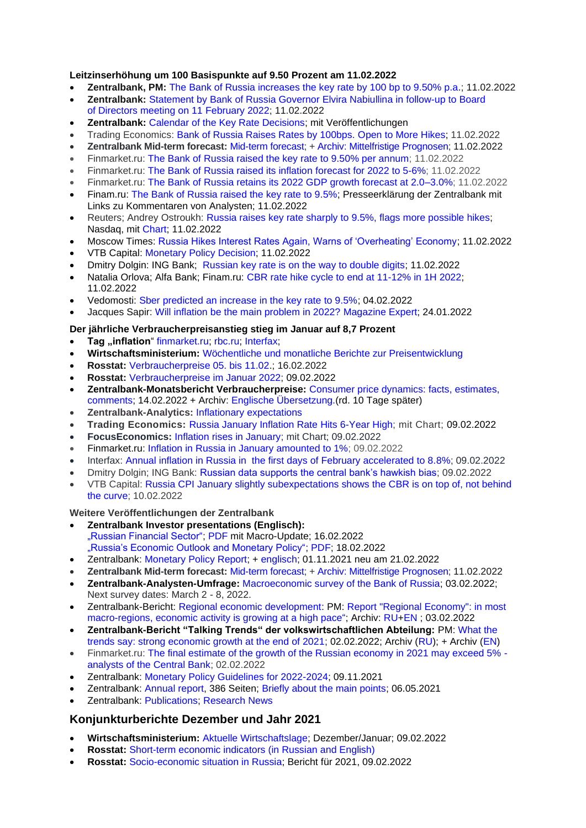## **Leitzinserhöhung um 100 Basispunkte auf 9.50 Prozent am 11.02.2022**

- **Zentralbank, PM:** [The Bank of Russia increases the key rate by 100 bp to 9.50% p.a.](https://www.cbr.ru/eng/press/pr/?file=11022022_133000Key_eng.htm); 11.02.2022
- **Zentralbank:** Statement by Bank of [Russia Governor Elvira Nabiullina in](https://www.cbr.ru/eng/press/event/?id=12678) follow-up to Board of [Directors meeting on 11 February 2022;](https://www.cbr.ru/eng/press/event/?id=12678) 11.02.2022
- **Zentralbank:** [Calendar of the Key Rate Decisions;](https://www.cbr.ru/eng/dkp/cal_mp/) mit Veröffentlichungen
- Trading Economics: [Bank of Russia Raises Rates by 100bps. Open to More Hikes;](https://tradingeconomics.com/russia/interest-rate) 11.02.2022
- **Zentralbank Mid-term forecast:** [Mid-term forecast;](https://www.cbr.ru/Collection/Collection/File/39792/forecast_220211_e.pdf) [+ Archiv: Mittelfristige Prognosen;](https://www.cbr.ru/eng/about_br/publ/ddkp/) 11.02.2022
- Finmarket.ru: [The Bank of Russia raised the key rate to 9.50% per annum;](http://www.finmarket.ru/news/5647888) 11.02.2022
- Finmarket.ru: [The Bank of Russia raised its inflation forecast for 2022 to 5-6%;](http://www.finmarket.ru/news/5647921) 11.02.2022
- Finmarket.ru: [The Bank of Russia retains its 2022 GDP growth forecast at 2.0–3.0%;](http://www.finmarket.ru/news/5647900) 11.02.2022
- Finam.ru: [The Bank of Russia raised the key rate to 9.5%;](https://www.finam.ru/analysis/newsitem/bank-rossii-povysil-klyuchevuyu-stavku-do-9-5-20220211-133144/) Presseerklärung der Zentralbank mit Links zu Kommentaren von Analysten; 11.02.2022
- Reuters; Andrey Ostroukh: Russia raises key rate sharply to 9.5%, flags more [possible](https://www.nasdaq.com/articles/russia-raises-key-rate-sharply-to-9.5-flags-more-possible-hikes) hikes; Nasdaq, mit [Chart;](https://tmsnrt.rs/3BioT15) 11.02.2022
- Moscow Times: [Russia Hikes Interest Rates Again, Warns of 'Overheating' Economy;](https://www.themoscowtimes.com/2022/02/11/russia-hikes-rates-by-another-full-percentage-point-a76343) 11.02.2022
- VTB Capital: [Monetary Policy Decision;](https://research.vtbcapital.com/Hrdn/Document?id=34e7ef6a-df29-4bf7-8c9a-e921e788a8c3) 11.02.2022
- Dmitry Dolgin: ING Bank; [Russian key rate is on the way to double digits;](https://think.ing.com/snaps/russia-key-rate-review-february-2022/) 11.02.2022
- Natalia Orlova; Alfa Bank; Finam.ru: [CBR rate hike cycle to end at 11-12% in 1H 2022;](https://www.finam.ru/analysis/marketnews/cikl-povysheniya-stavki-cb-rf-zavershitsya-na-urovne-11-12-v-1-polugodii-2022-goda-20220211-193000/) 11.02.2022
- Vedomosti: [Sber predicted an increase in the key rate to 9.5%;](https://www.vedomosti.ru/finance/news/2022/02/04/907933-sber-sprognoziroval-povishenie-stavki?utm_source=yxnews&utm_medium=desktop) 04.02.2022
- Jacques Sapir: [Will inflation be the main problem in 2022?](https://ecfor.ru/publication/budet-li-inflyatsiya-glavnoj-problemoj-2022/) [Magazine Expert;](https://expert.ru/expert/2021/23/inflyatsiya-otvetniy-udar-ili-lozhnaya-ugroza/) 24.01.2022

#### **Der jährliche Verbraucherpreisanstieg stieg im Januar auf 8,7 Prozent**

- Tag "inflation" [finmarket.ru;](http://www.finmarket.ru/tags.asp?tag=%E8%ED%F4%EB%FF%F6%E8%FF) [rbc.ru;](https://www.rbc.ru/tags/?tag=%D0%98%D0%BD%D1%84%D0%BB%D1%8F%D1%86%D0%B8%D1%8F) [Interfax;](https://www.interfax.ru/tags/%D0%EE%F1%F1%F2%E0%F2)
- **Wirtschaftsministerium:** [Wöchentliche und monatliche Berichte zur Preisentwicklung](https://economy.gov.ru/material/directions/makroec/ekonomicheskie_obzory/)
- **Rosstat:** [Verbraucherpreise 05. bis 11.02.](https://rosstat.gov.ru/storage/mediabank/22_16-02-2022.htm); 16.02.2022
- **Rosstat:** [Verbraucherpreise im Januar 2022;](https://rosstat.gov.ru/storage/mediabank/18_09-02-2022.html) 09.02.2022
- **Zentralbank-Monatsbericht Verbraucherpreise:** [Consumer price dynamics: facts, estimates,](http://cbr.ru/analytics/dkp/dinamic/)  [comments;](http://cbr.ru/analytics/dkp/dinamic/) 14.02.2022 + Archiv: [Englische Übersetzung.\(](http://cbr.ru/eng/analytics/dkp/dinamic/)rd. 10 Tage später)
- **Zentralbank-Analytics:** [Inflationary expectations](https://www.cbr.ru/analytics/dkp/inflationary_expectations/)
- **Trading Economics:** [Russia January Inflation Rate Hits 6-Year High;](https://tradingeconomics.com/russia/inflation-cpi) mit Chart; 09.02.2022
- **FocusEconomics:** [Inflation rises in January;](https://www.focus-economics.com/countries/russia/news/inflation/inflation-rises-in-january) mit Chart; 09.02.2022
- Finmarket.ru: [Inflation in Russia in January amounted to 1%;](http://www.finmarket.ru/main/article/5646129) 09.02.2022
- Interfax: [Annual inflation in Russia in the first days of February accelerated to 8.8%;](https://www.interfax.ru/russia/821169) 09.02.2022
- Dmitry Dolgin; ING Bank: [Russian data supports the central bank's hawkish bias;](https://think.ing.com/articles/russian-data-supports-the-central-banks-hawkish-bias/) 09.02.2022
- VTB Capital: [Russia CPI January slightly subexpectations shows the CBR is on top of, not behind](https://research.vtbcapital.com/Hrdn/GetDocument.aspx?id=0599d1bb-ee2f-42cd-a089-af93a098d730)  [the curve;](https://research.vtbcapital.com/Hrdn/GetDocument.aspx?id=0599d1bb-ee2f-42cd-a089-af93a098d730) 10.02.2022

#### **Weitere Veröffentlichungen der Zentralbank**

- **Zentralbank Investor presentations (Englisch):**  ["Russian Financial Sector";](https://www.cbr.ru/eng/about_br/irp/) [PDF](https://www.cbr.ru/Collection/Collection/File/39806/cbr_ir_2022-1.pdf) mit Macro-Update; 16.02.2022 ["Russia's Economic Outlook and Monetary Policy";](https://www.cbr.ru/eng/about_br/irp/) [PDF;](https://www.cbr.ru/Collection/Collection/File/39817/2022_february_e.pdf) 18.02.2022
- Zentralbank: [Monetary Policy Report;](https://www.cbr.ru/about_br/publ/ddkp/#a_118755) + [englisch;](https://www.cbr.ru/eng/about_br/publ/ddkp/) 01.11.2021 neu am 21.02.2022
- **Zentralbank Mid-term forecast:** [Mid-term forecast;](https://www.cbr.ru/Collection/Collection/File/39792/forecast_220211_e.pdf) [+ Archiv: Mittelfristige Prognosen;](https://www.cbr.ru/eng/about_br/publ/ddkp/) 11.02.2022
- **Zentralbank-Analysten-Umfrage:** [Macroeconomic survey of the Bank of Russia;](http://cbr.ru/statistics/ddkp/mo_br/) 03.02.2022; Next survey dates: March 2 - 8, 2022.
- Zentralbank-Bericht: [Regional economic development:](https://cbr.ru/Collection/Collection/File/39750/report_03022022.pdf) PM: [Report "Regional Economy": in most](https://cbr.ru/press/event/?id=12661)  [macro-regions, economic activity is growing at a high pace"](https://cbr.ru/press/event/?id=12661); Archiv: [RU+](https://cbr.ru/analytics/dkp/#a_118418)[EN](https://www.cbr.ru/eng/analytics/dkp/#a_118420) ; 03.02.2022
- **Zentralbank-Bericht "Talking Trends" der volkswirtschaftlichen Abteilung:** PM: [What the](https://cbr.ru/press/event/?id=12654)  [trends say: strong economic growth at the end of 2021;](https://cbr.ru/press/event/?id=12654) 02.02.2022; Archiv [\(RU\)](https://cbr.ru/ec_research/mb/); + Archiv [\(EN\)](https://www.cbr.ru/eng/ec_research/mb/)
- Finmarket.ru: [The final estimate of the growth of the Russian economy in 2021 may exceed 5%](http://www.finmarket.ru/news/5641590)  [analysts of the Central Bank;](http://www.finmarket.ru/news/5641590) 02.02.2022
- Zentralbank: [Monetary Policy Guidelines for 2022-2024;](https://www.cbr.ru/eng/about_br/publ/ondkp/) 09.11.2021
- Zentralbank: [Annual report,](http://www.cbr.ru/Collection/Collection/File/32268/ar_2020.pdf) 386 Seiten; [Briefly about the main points;](http://www.cbr.ru/about_br/publ/annrep2020short/) 06.05.2021
- Zentralbank: [Publications;](https://www.cbr.ru/eng/about_br/publ/) [Research News](https://www.cbr.ru/eng/ec_research/news/)

# **Konjunkturberichte Dezember und Jahr 2021**

- **Wirtschaftsministerium:** [Aktuelle Wirtschaftslage;](https://economy.gov.ru/material/directions/makroec/ekonomicheskie_obzory/) Dezember/Januar; 09.02.2022
- **Rosstat:** [Short-term economic indicators \(in Russian and English\)](https://rosstat.gov.ru/compendium/document/50802)
- **Rosstat:** [Socio-economic situation in Russia;](https://rosstat.gov.ru/compendium/document/50801) Bericht für 2021, 09.02.2022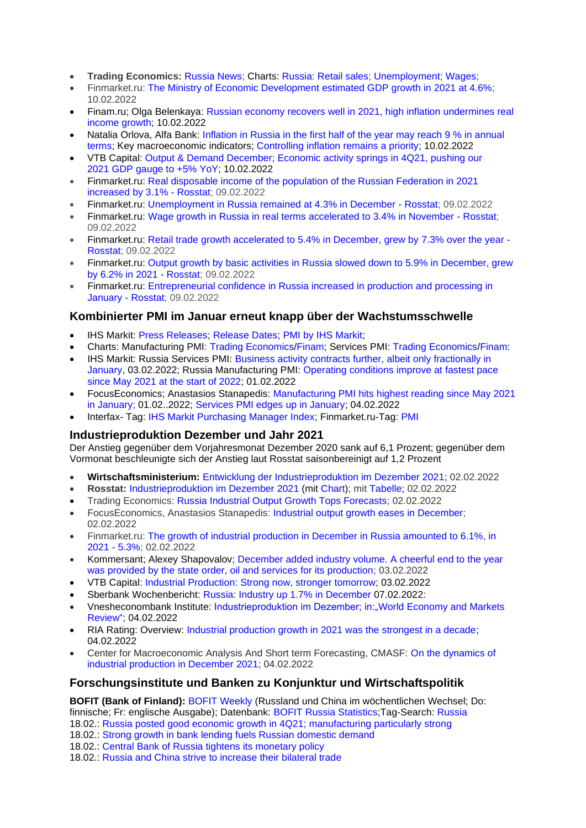- **Trading Economics:** [Russia News;](https://tradingeconomics.com/russia/news) Charts: [Russia: Retail sales;](https://tradingeconomics.com/russia/retail-sales-annual) [Unemployment;](https://tradingeconomics.com/russia/unemployment-rate) [Wages;](https://tradingeconomics.com/russia/wage-growth)
- Finmarket.ru: [The Ministry of Economic Development estimated GDP growth in 2021 at 4.6%;](http://www.finmarket.ru/main/article/5646320) 10.02.2022
- Finam.ru; Olga Belenkaya: [Russian economy recovers well in 2021, high inflation undermines real](https://www.finam.ru/analysis/forecasts/ekonomika-rf-uspeshno-vosstanovilas-v-2021-godu-vysokaya-inflyaciya-podtachivaet-rost-realnyx-doxodov-20220210-124600/)  [income growth;](https://www.finam.ru/analysis/forecasts/ekonomika-rf-uspeshno-vosstanovilas-v-2021-godu-vysokaya-inflyaciya-podtachivaet-rost-realnyx-doxodov-20220210-124600/) 10.02.2022
- Natalia Orlova, Alfa Bank: [Inflation in Russia in the first half of the year may reach 9 % in annual](https://www.finam.ru/publications/item/inflyaciya-v-rossii-po-itogam-1-polugodiya-mozhet-sostavit-9-v-godovom-vyrazhenii-20220210-131537)  [terms;](https://www.finam.ru/publications/item/inflyaciya-v-rossii-po-itogam-1-polugodiya-mozhet-sostavit-9-v-godovom-vyrazhenii-20220210-131537) Key macroeconomic indicators; [Controlling inflation remains a priority;](https://www.finam.ru/publications/item/vopros-kontrolya-nad-inflyacieiy-ostaetsya-prioritetnym-20220210-124000) 10.02.2022
- VTB Capital: Output & [Demand December;](https://research.vtbcapital.com/Hrdn/Document?id=211c58f1-95cc-4461-9ada-52111143a207) Economic activity springs in 4Q21, pushing our 2021 GDP [gauge](https://research.vtbcapital.com/Hrdn/Document?id=211c58f1-95cc-4461-9ada-52111143a207) to +5% YoY; 10.02.2022
- Finmarket.ru: [Real disposable income of the population of the Russian Federation in 2021](http://www.finmarket.ru/news/5646220)  [increased by 3.1% -](http://www.finmarket.ru/news/5646220) Rosstat; 09.02.2022
- Finmarket.ru: [Unemployment in Russia remained at 4.3% in December -](http://www.finmarket.ru/news/5646206) Rosstat; 09.02.2022
- Finmarket.ru: [Wage growth in Russia in real terms accelerated to 3.4% in November -](http://www.finmarket.ru/news/5646194) Rosstat: 09.02.2022
- Finmarket.ru: [Retail trade growth accelerated to 5.4% in December, grew by 7.3% over the year -](http://www.finmarket.ru/news/5646182) [Rosstat;](http://www.finmarket.ru/news/5646182) 09.02.2022
- Finmarket.ru: [Output growth by basic activities in Russia slowed down to 5.9% in December, grew](http://www.finmarket.ru/news/5646172)  [by 6.2% in 2021 -](http://www.finmarket.ru/news/5646172) Rosstat; 09.02.2022
- Finmarket.ru: [Entrepreneurial confidence in Russia increased in production and processing in](http://www.finmarket.ru/news/5646118)  [January -](http://www.finmarket.ru/news/5646118) Rosstat; 09.02.2022

# **Kombinierter PMI im Januar erneut knapp über der Wachstumsschwelle**

- IHS Markit: [Press Releases;](https://www.markiteconomics.com/Public/Release/PressReleases) [Release Dates;](https://www.markiteconomics.com/Public/Release/ReleaseDates) [PMI by IHS Markit;](https://ihsmarkit.com/products/pmi.html)
- Charts: Manufacturing PMI: [Trading Economics](https://tradingeconomics.com/russia/manufacturing-pmi)[/Finam;](https://www.finam.ru/macroevents/russiamanpmi) Services PMI: [Trading Economics](https://tradingeconomics.com/russia/services-pmi)[/Finam:](https://www.finam.ru/macroevents/russiaserpmi)
- IHS Markit: Russia Services PMI: Business activity contracts further, albeit only fractionally in [January,](https://www.markiteconomics.com/Public/Home/PressRelease/d7c186564f4c467494c4e3b0bb4bf9d1) 03.02.2022; Russia Manufacturing PMI: [Operating conditions improve at fastest pace](https://www.markiteconomics.com/Public/Home/PressRelease/06f21c7d1c2241c898c5dbf1ace6e988)  [since May 2021 at the start of 2022;](https://www.markiteconomics.com/Public/Home/PressRelease/06f21c7d1c2241c898c5dbf1ace6e988) 01.02.2022
- FocusEconomics; Anastasios Stanapedis: [Manufacturing PMI hits highest reading since May 2021](https://www.focus-economics.com/countries/russia/news/pmi/manufacturing-pmi-hits-highest-reading-since-may-2021-in-january)  [in January;](https://www.focus-economics.com/countries/russia/news/pmi/manufacturing-pmi-hits-highest-reading-since-may-2021-in-january) 01.02..2022; [Services PMI edges up in January;](https://www.focus-economics.com/countries/russia/news/pmi/services-pmi-edges-up-in-january) 04.02.2022
- Interfax- Tag: [IHS Markit Purchasing Manager Index;](https://www.interfax.ru/tags/IHS+Markit) Finmarket.ru-Tag: [PMI](http://www.finmarket.ru/tags.asp?tag=PMI)

# **Industrieproduktion Dezember und Jahr 2021**

Der Anstieg gegenüber dem Vorjahresmonat Dezember 2020 sank auf 6,1 Prozent; gegenüber dem Vormonat beschleunigte sich der Anstieg laut Rosstat saisonbereinigt auf 1,2 Prozent

- **Wirtschaftsministerium:** [Entwicklung der Industrieproduktion im Dezember 2021;](https://economy.gov.ru/material/directions/makroec/ekonomicheskie_obzory/) 02.02.2022
- **Rosstat:** [Industrieproduktion im Dezember 2021](https://rosstat.gov.ru/folder/313/document/151988) (mit [Chart\)](http://rosstat.gov.ru/storage/2022/02-02/GZLWuNsf/grafik.png?1643809609980); mit [Tabelle;](https://rosstat.gov.ru/storage/mediabank/12_02-02-2022.html) 02.02.2022
- Trading Economics: [Russia Industrial Output Growth Tops Forecasts;](https://tradingeconomics.com/russia/industrial-production) 02.02.2022
- FocusEconomics, Anastasios Stanapedis: [Industrial output growth eases in December;](https://www.focus-economics.com/countries/russia/news/industrial-production/industrial-output-growth-eases-in-december) 02.02.2022
- Finmarket.ru: [The growth of industrial production in December in Russia amounted to 6.1%, in](http://www.finmarket.ru/main/article/5641418)  [2021 -](http://www.finmarket.ru/main/article/5641418) 5.3%; 02.02.2022
- Kommersant; Alexey Shapovalov; [December added industry volume. A cheerful end to the year](https://www.kommersant.ru/doc/5194814)  [was provided by the state order, oil and services for its production;](https://www.kommersant.ru/doc/5194814) 03.02.2022
- VTB Capital: Industrial [Production: Strong now, stronger tomorrow;](https://research.vtbcapital.com/Hrdn/GetDocument.aspx?id=69839649-879d-4d8b-af67-42e2cddb9167) 03.02.2022
- Sberbank Wochenbericht: [Russia: Industry up 1.7% in December](https://api.sberindex.ru/upload/research/209/62012b98b932a.pdf?_ga=2.171184864.1959099842.1644257128-1563579980.1644257128) 07.02.2022:
- Vnesheconombank Institute: Industrieproduktion im Dezember; in: World Economy and Markets [Review";](http://inveb.ru/ru/articles-menu/774-obzor-mirovoj-ekonomiki-i-rynkov-28-yanvarya-3-fevralya-2022) 04.02.2022
- RIA Rating: Overview: [Industrial production growth in 2021 was the strongest in a decade;](https://riarating.ru/macroeconomics/20220204/630216213.html) 04.02.2022
- Center for Macroeconomic Analysis And Short term Forecasting, CMASF: [On the dynamics of](http://www.forecast.ru/default.aspx)  [industrial production in December 2021;](http://www.forecast.ru/default.aspx) 04.02.2022

# **Forschungsinstitute und Banken zu Konjunktur und Wirtschaftspolitik**

**BOFIT (Bank of Finland):** [BOFIT Weekly](https://www.bofit.fi/en/monitoring/weekly/) (Russland und China im wöchentlichen Wechsel; Do: finnische; Fr: englische Ausgabe); Datenbank: [BOFIT Russia Statistics;](https://www.bofit.fi/en/monitoring/statistics/russia-statistics/)Tag-Search: [Russia](https://www.bofit.fi/en/tag-search/?tag=Russia) 18.02.: [Russia posted good economic growth in 4Q21; manufacturing particularly strong](https://www.bofit.fi/en/monitoring/weekly/2022/vw202207_1/) 18.02.: [Strong growth in bank lending fuels Russian domestic demand](https://www.bofit.fi/en/monitoring/weekly/2022/vw202207_3/)

18.02.: [Central Bank of Russia tightens its monetary policy](https://www.bofit.fi/en/monitoring/weekly/2022/vw202207_2/)

18.02.: [Russia and China strive to increase their bilateral trade](https://www.bofit.fi/en/monitoring/weekly/2022/vw202207_4/)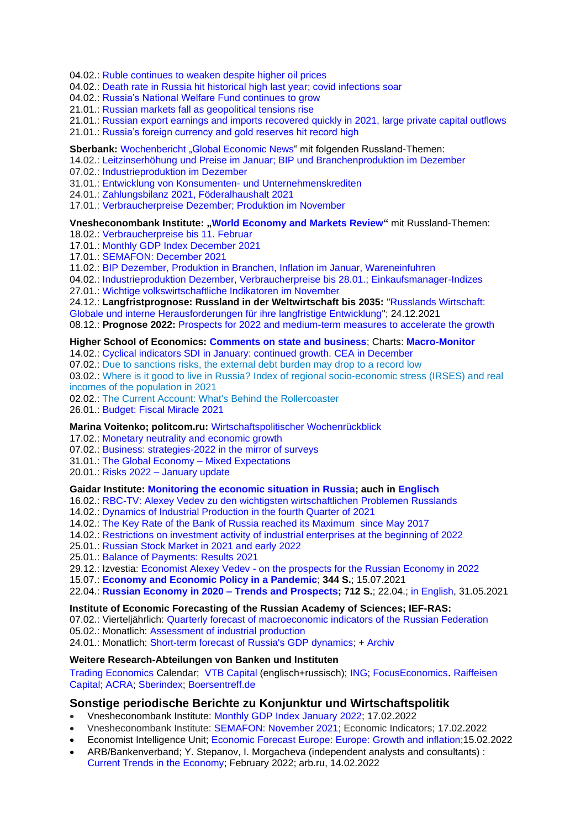04.02.: [Ruble continues to weaken despite higher oil prices](https://www.bofit.fi/en/monitoring/weekly/2022/vw202205_1/)

04.02.: [Death rate in Russia hit historical high last year; covid infections soar](https://www.bofit.fi/en/monitoring/weekly/2022/vw202205_2/)

04.02.: [Russia's National Welfare Fund continues to grow](https://www.bofit.fi/en/monitoring/weekly/2022/vw202205_3/)

21.01.: [Russian markets fall as geopolitical tensions rise](https://www.bofit.fi/en/monitoring/weekly/2022/vw202203_1/)

21.01.: [Russian export earnings and imports recovered quickly in 2021, large private capital outflows](https://www.bofit.fi/en/monitoring/weekly/2022/vw202203_2/)

21.01.: [Russia's foreign currency and gold reserves hit record high](https://www.bofit.fi/en/monitoring/weekly/2022/vw202203_3/)

**Sberbank:** [Wochenbericht](https://www.sberbank.com/ru/analytics/news) ..Global Economic News" mit folgenden Russland-Themen:

14.02.: [Leitzinserhöhung und Preise im Januar; BIP und Branchenproduktion im Dezember](https://www.sberbank.com/ru/analytics/news/article?newsID=d3fa4bb2-3b06-4056-a050-c05a3513330b&blockID=11004083®ionID=77&lang=ru&type=NEWS)

07.02.: [Industrieproduktion im Dezember](https://api.sberindex.ru/upload/research/209/62012b98b932a.pdf?_ga=2.171184864.1959099842.1644257128-1563579980.1644257128)

31.01.: [Entwicklung von Konsumenten-](https://www.sberbank.com/ru/analytics/news/article?newsID=d53ff4b4-c71f-402d-b999-196f06b13a82&blockID=11004083®ionID=77&lang=ru&type=NEWS) und Unternehmenskrediten

24.01.: [Zahlungsbilanz 2021, Föderalhaushalt 2021](https://www.sberbank.com/ru/analytics/news/article?newsID=fc871f28-1cad-4c08-9902-53cf12b88da2&blockID=11004083®ionID=77&lang=ru&type=NEWS)

17.01.: [Verbraucherpreise Dezember; Produktion im November](https://www.sberbank.com/ru/analytics/news/article?newsID=bbb4f12a-f86e-4eb4-9a3f-9c46cf862c2a&blockID=11004083®ionID=77&lang=ru&type=NEWS)

#### **Vnesheconombank Institute: ["World Economy and Markets Review"](http://inveb.ru/ru/articles-menu)** mit Russland-Themen: 18.02. [Verbraucherpreise bis 11. Februar](http://inveb.ru/ru/articles-menu/780-obzor-mirovoj-ekonomiki-i-rynkov-11-17-fevralya-2022)

17.01.: [Monthly GDP Index December 2021](http://inveb.ru/ru/products/index-gdp)

17.01.: [SEMAFON: December 2021](http://inveb.ru/ru/products/product-03)

11.02.: [BIP Dezember, Produktion in Branchen, Inflation im Januar, Wareneinfuhren](http://inveb.ru/ru/articles-menu/776-obzor-mirovoj-ekonomiki-i-rynkov-4-10-fevralya-2022)

04.02.: [Industrieproduktion Dezember, Verbraucherpreise bis 28.01.; Einkaufsmanager-Indizes](http://inveb.ru/ru/articles-menu/774-obzor-mirovoj-ekonomiki-i-rynkov-28-yanvarya-3-fevralya-2022)

27.01.: [Wichtige volkswirtschaftliche Indikatoren im November](http://inveb.ru/ru/articles-menu/770-dinamika-osnovnykh-makropokazatelej-v-noyabre-2021)

24.12.: **Langfristprognose: Russland in der Weltwirtschaft bis 2035:** ["Russlands Wirtschaft:](http://inveb.ru/ru/products/product-02/754-rossijskaya-ekonomika-globalnye-i-vnutrennie-vyzovy-dolgosrochnomu-razvitiyu)  [Globale und interne Herausforderungen für ihre langfristige Entwicklung"](http://inveb.ru/ru/products/product-02/754-rossijskaya-ekonomika-globalnye-i-vnutrennie-vyzovy-dolgosrochnomu-razvitiyu); 24.12.2021

08.12.: **Prognose 2022:** [Prospects for 2022 and medium-term measures to accelerate the growth](http://inveb.ru/ru/products/product-02/738-perspektivy-2022-goda-i-srednesrochnye-mery-dlya-uskoreniya-rosta-rossijskoj-ekonomiki)

#### **Higher School of Economics: [Comments on state and business](https://dcenter.hse.ru/newkgb)**; Charts: **[Macro-Monitor](https://dcenter.hse.ru/macromonitor)**

14.02.: Cyclical indicators SDI [in January: continued growth.](http://www.hse.ru/pubs/share/direct/document/565028255.pdf) CEA in December

07.02.: [Due to sanctions risks, the external debt burden may drop to a record low](http://www.hse.ru/pubs/share/direct/document/562292514.pdf)

03.02.: Where is it good to live in Russia? [Index of regional socio-economic stress \(IRSES\) and real](http://www.hse.ru/pubs/share/direct/document/560027143.pdf)  [incomes of the population in 2021](http://www.hse.ru/pubs/share/direct/document/560027143.pdf)

02.02.: [The Current Account: What's Behind the Rollercoaster](http://www.hse.ru/pubs/share/direct/document/559820393.pdf)

26.01.: [Budget: Fiscal Miracle 2021](http://www.hse.ru/pubs/share/direct/document/557228175.pdf)

## **Marina Voitenko; politcom.ru:** [Wirtschaftspolitischer Wochenrückblick](http://politcom.ru/19979.html)

17.02.: [Monetary neutrality and economic growth](http://politcom.ru/24430.html)

07.02.: [Business: strategies-2022 in the mirror of surveys](http://politcom.ru/24426.html)

31.01.: [The Global Economy –](http://politcom.ru/24418.html) Mixed Expectations

20.01.: Risks 2022 – [January update](http://politcom.ru/24411.html)

## **Gaidar Institute: [Monitoring the economic situation in Russia;](https://www.iep.ru/ru/monitoring) auch in [Englisch](http://www.iep.ru/en/publications/category/1417.html)**

16.02.: [RBC-TV: Alexey Vedev zu den wichtigsten wirtschaftlichen Problemen Russlands](https://www.iep.ru/ru/novosti/aleksey-vedev-v-pryamom-efire-na-telekanale-rbk-rasskazal-o-samykh-aktualnykh-voprosakh-rossiyskoy-ekonomicheskoy-politiki.html)

14.02.: [Dynamics of Industrial Production in the fourth Quarter of 2021](https://www.iep.ru/ru/monitoring/dinamika-promyshlennogo-proizvodstva-v-iv-kvartale-2021-goda.html)

14.02.: [The Key Rate of the Bank of Russia reached its Maximum since May 2017](https://www.iep.ru/ru/monitoring/klyuchevaya-stavka-banka-rossii-dostigla-maksimuma-s-maya-2017-goda.html)

14.02.: [Restrictions on investment activity of industrial enterprises at the beginning of 2022](https://www.iep.ru/ru/monitoring/ogranicheniya-investitsionnoy-aktivnosti-promyshlennykh-predpriyatiy-v-nachale-2022-goda.html)

25.01.: [Russian Stock Market in 2021 and early 2022](https://www.iep.ru/ru/monitoring/rossiyskiy-rynok-aktsiy-v-2021-godu-i-nachale-2022-goda.html)

25.01.: [Balance of Payments: Results 2021](https://www.iep.ru/ru/monitoring/platezhnyy-balans-itogi-2021-goda.html)

29.12.: Izvestia: Economist Alexey Vedev - [on the prospects for the Russian Economy in 2022](https://iz.ru/1270747/aleksei-vedev/prognoz-dlia-goda)

15.07.: **[Economy and Economic Policy in a Pandemic](https://www.iep.ru/files/text/Gaidar_IEP_monographs/Ec_virus-text.pdf)**; **344 S.**; 15.07.2021

22.04.: **[Russian Economy in 2020 –](https://www.iep.ru/ru/publikatcii/publication/rossiyskaya-ekonomika-v-2020-godu-tendentsii-i-perspektivy-vypusk-42.html) Trends and Prospects; 712 S.**; 22.04.; [in English,](https://www.iep.ru/en/publications/category/1380.html) 31.05.2021

#### **Institute of Economic Forecasting of the Russian Academy of Sciences; IEF-RAS:**

07.02.: Vierteljährlich: [Quarterly forecast of macroeconomic indicators of the Russian Federation](https://ecfor.ru/nauchnye-izdaniya/kvartalnye-prognozy-makroekonomicheskih-pokazatelej-rf/)

05.02.: Monatlich: [Assessment of industrial production](https://ecfor.ru/nauchnye-izdaniya/analiticheskie-zapiski-po-situatsii-v-promyshlennosti-rf/)

24.01.: Monatlich: [Short-term forecast of Russia's GDP dynamics;](https://ecfor.ru/?from=novostibtn#newsanchor) + [Archiv](https://ecfor.ru/tempy-rosta-vvp-v-kratkosrochnoj-perspektive/)

#### **Weitere Research-Abteilungen von Banken und Instituten**

[Trading Economics](https://tradingeconomics.com/russia/calendar) Calendar; [VTB Capital](https://research.vtbcapital.com/hrdn) (englisch+russisch); [ING;](https://think.ing.com/tags/tag/Russia/) [FocusEconomics](https://www.focus-economics.com/countries/russia). [Raiffeisen](https://www.raiffeisen-capital.ru/analytics/)  [Capital;](https://www.raiffeisen-capital.ru/analytics/) [ACRA;](https://www.acra-ratings.ru/research/?types%5B1%5D=1) [Sberindex;](https://sberindex.ru/en) [Boersentreff.de](https://www.boersentreff.de/analysen-russland.htm#weitereNews)

## **Sonstige periodische Berichte zu Konjunktur und Wirtschaftspolitik**

- Vnesheconombank Institute: [Monthly GDP Index January 2022;](http://inveb.ru/ru/products/index-gdp) 17.02.2022
- Vnesheconombank Institute: [SEMAFON: November 2021;](http://inveb.ru/ru/products/product-03) Economic Indicators; 17.02.2022
- Economist Intelligence Unit; [Economic Forecast Europe: Europe: Growth and inflation;](http://gfs.eiu.com/Archive.aspx?archiveType=Europe)15.02.2022
- ARB/Bankenverband; Y. Stepanov, I. Morgacheva (independent analysts and consultants) : [Current Trends in the Economy;](https://arb.ru/b2b/analitycs/arb/) February 2022; arb.ru, 14.02.2022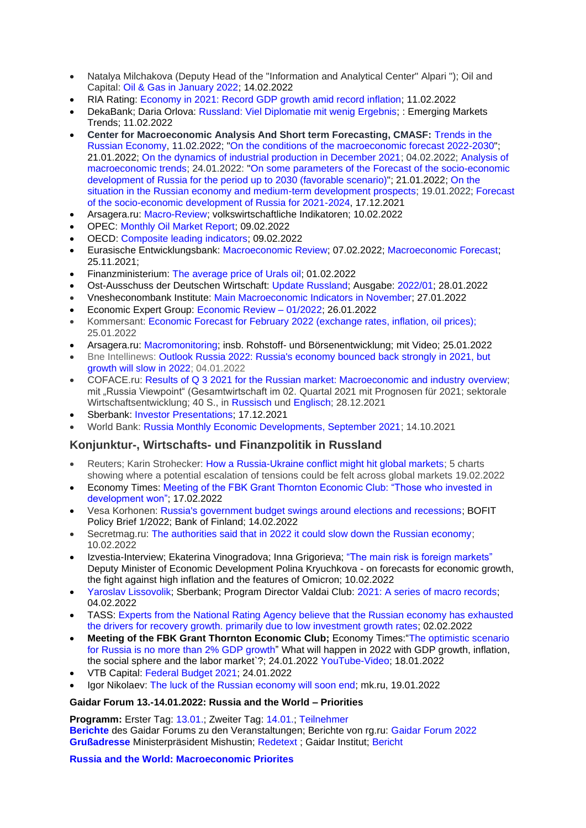- Natalya Milchakova (Deputy Head of the "Information and Analytical Center" Alpari "); Oil and Capital: [Oil & Gas in January 2022;](https://oilcapital.ru/article/general/14-02-2022/neft-i-gaz-v-yanvare-2022) 14.02.2022
- RIA Rating: [Economy in 2021: Record GDP growth amid record inflation;](https://riarating.ru/macroeconomics/20220211/630216767.html) 11.02.2022
- DekaBank; Daria Orlova: [Russland: Viel Diplomatie mit wenig Ergebnis;](https://www.deka.de/site/dekade_deka-gruppe_site/get/documents/dekade/Publikationen/2022/Emerging%20Markets/20220211_Emerging_Markets_Trends.pdf) : Emerging Markets Trends; 11.02.2022
- **Center for Macroeconomic Analysis And Short term Forecasting, CMASF:** [Trends in the](http://www.forecast.ru/default.aspx)  [Russian Economy,](http://www.forecast.ru/default.aspx) 11.02.2022; "On the conditions of the [macroeconomic](http://www.forecast.ru/Forecast/fore022022.pdf) forecast 2022-2030"; 21.01.2022; [On the dynamics of industrial production in December 2021;](http://www.forecast.ru/default.aspx) 04.02.2022; [Analysis of](http://www.forecast.ru/default.aspx)  [macroeconomic trends;](http://www.forecast.ru/default.aspx) 24.01.2022: "On some parameters of the Forecast of the [socio-economic](http://www.forecast.ru/_Archive/analitics/DB/2022-01-21FF.pdf) [development](http://www.forecast.ru/_Archive/analitics/DB/2022-01-21FF.pdf) of Russia for the period up to 2030 (favorable scenario)"; 21.01.2022; [On the](http://www.forecast.ru/_Archive/analitics/DB/WESP_2022_RP.pdf)  [situation in the Russian economy and medium-term development prospects;](http://www.forecast.ru/_Archive/analitics/DB/WESP_2022_RP.pdf) 19.01.2022; [Forecast](http://www.forecast.ru/default.aspx)  [of the socio-economic development of Russia for 2021-2024,](http://www.forecast.ru/default.aspx) 17.12.2021
- Arsagera.ru: [Macro-Review;](https://bf.arsagera.ru/makropokazateli/makroobzor_dannye_za_yanvar_2022/) volkswirtschaftliche Indikatoren; 10.02.2022
- OPEC: [Monthly Oil Market Report;](https://www.opec.org/opec_web/en/publications/338.htm) 09.02.2022
- OECD: [Composite leading indicators;](https://www.oecd.org/sdd/leading-indicators/scheduleforcompositeleadingindicatorupdates.htm) 09.02.2022
- Eurasische Entwicklungsbank: [Macroeconomic Review;](https://eabr.org/analytics/monthly-review/) 07.02.2022; [Macroeconomic Forecast;](https://eabr.org/analytics/ceg-quarterly-reviews/)  25.11.2021;
- Finanzministerium: [The average price of Urals oil;](https://minfin.gov.ru/ru/press-center/) 01.02.2022
- Ost-Ausschuss der Deutschen Wirtschaft: Update [Russland;](https://www.ost-ausschuss.de/de/oa-updates-zu-regionen) Ausgabe: [2022/01;](https://www.ost-ausschuss.de/sites/default/files/paragraphs/pdf/2022-01/01-2022_OA%20UpdateRussland.pdf) 28.01.2022
- Vnesheconombank Institute: [Main Macroeconomic Indicators in November;](http://inveb.ru/ru/articles-menu/770-dinamika-osnovnykh-makropokazatelej-v-noyabre-2021) 27.01.2022
- Economic Expert Group: [Economic Review –](http://www.eeg.ru/pages/186) 01/2022; 26.01.2022
- Kommersant: [Economic Forecast for February 2022 \(exchange rates, inflation, oil prices\);](https://www.kommersant.ru/doc/5192064) 25.01.2022
- Arsagera.ru: [Macromonitoring;](https://bf.arsagera.ru/makropokazateli/makromonitoring_269_ot_25012022/) insb. Rohstoff- und Börsenentwicklung; mit Video; 25.01.2022
- Bne Intellinews: [Outlook Russia 2022: Russia's economy bounced back strongly in 2021, but](https://www.intellinews.com/outlook-2022-russia-230664/?source=russia)  [growth will slow in 2022;](https://www.intellinews.com/outlook-2022-russia-230664/?source=russia) 04.01.2022
- COFACE.ru: [Results of Q 3 2021 for the Russian market: Macroeconomic and industry overview;](https://www.coface.ru/Novosti-i-Publikacii/Novosti/Itogi-3-kv.-2021-g.-dlya-rossijskogo-rynka-makroekonomicheskij-i-otraslevoj-obzor) mit "Russia Viewpoint" (Gesamtwirtschaft im 02. Quartal 2021 mit Prognosen für 2021; sektorale Wirtschaftsentwicklung; 40 S., in [Russisch](https://www.coface.ru/content/download/204405/3461178/version/1/file/Coface+Russia+ViewPoint+3Q2021+ru.pdf) und [Englisch;](https://www.coface.ru/content/download/204406/3461181/version/1/file/Coface+Russia+ViewPoint+3Q2021+eng.pdf) 28.12.2021
- Sberbank: Investor [Presentations;](https://www.sberbank.com/investor-relations/reports-and-publications/investor-presentation) 17.12.2021
- World Bank: [Russia Monthly Economic Developments, September 2021;](https://www.worldbank.org/en/country/russia/brief/monthly-economic-developments) 14.10.2021

# **Konjunktur-, Wirtschafts- und Finanzpolitik in Russland**

- Reuters; Karin Strohecker: [How a Russia-Ukraine conflict might hit global markets;](https://www.reuters.com/markets/europe/how-russia-ukraine-conflict-might-hit-global-markets-2022-02-19/) 5 charts showing where a potential escalation of tensions could be felt across global markets 19.02.2022
- Economy Times: [Meeting of the FBK Grant Thornton Economic Club: "Those who invested in](http://economytimes.ru/kurs-rulya/vyigrali-te-kto-vkladyvalsya-v-razvitie)  [development won";](http://economytimes.ru/kurs-rulya/vyigrali-te-kto-vkladyvalsya-v-razvitie) 17.02.2022
- Vesa Korhonen: [Russia's government budget swings around elections and recessions;](https://helda.helsinki.fi/bof/handle/123456789/18299) BOFIT Policy Brief 1/2022; Bank of Finland; 14.02.2022
- Secretmag.ru: [The authorities said that in 2022 it could slow down the Russian economy;](https://secretmag.ru/news/vlasti-rasskazali-chto-v-2022-godu-mozhet-zatormozit-ekonomiku-rossii-10-02-2022.htm) 10.02.2022
- Izvestia-Interview; Ekaterina Vinogradova; Inna Grigorieva; ["The main risk is foreign markets"](https://iz.ru/1288856/ekaterina-vinogradova-inna-grigoreva/osnovnoi-risk-vneshnie-rynki) Deputy Minister of Economic Development Polina Kryuchkova - on forecasts for economic growth, the fight against high inflation and the features of Omicron; 10.02.2022
- Yaroslav Lissovolik: Sberbank: Program Director Valdai Club: [2021: A series of macro records;](https://ru.valdaiclub.com/a/highlights/2021-god-seriya-makrorekordov/) 04.02.2022
- TASS: Experts from the National Rating Agency [believe that the Russian economy has exhausted](https://tass.ru/ekonomika/13596991)  the drivers for recovery growth. [primarily due to low investment growth rates;](https://tass.ru/ekonomika/13596991) 02.02.2022
- **Meeting of the FBK Grant Thornton Economic Club;** Economy Times:["The optimistic scenario](http://economytimes.ru/kurs-rulya/optimistichnyy-scenariy-dlya-rossii-ne-bolshe-2-rosta-vvp)  [for Russia is no more than 2% GDP growth"](http://economytimes.ru/kurs-rulya/optimistichnyy-scenariy-dlya-rossii-ne-bolshe-2-rosta-vvp) What will happen in 2022 with GDP growth, inflation, the social sphere and the labor market`?; 24.01.2022 [YouTube-Video;](https://www.youtube.com/watch?v=mFptoP2QGe8) 18.01.2022
- VTB Capital: [Federal Budget 2021;](https://research.vtbcapital.com/Hrdn/Document?id=3d6c9c84-b452-41bd-aa81-decd4887b149) 24.01.2022
- Igor Nikolaev: [The luck of the Russian economy will soon end;](https://www.mk.ru/economics/2022/01/19/vezenie-rossiyskoy-ekonomiki-skoro-zakonchitsya.html) mk.ru, 19.01.2022

## **Gaidar Forum 13.-14.01.2022: Russia and the World – Priorities**

**Programm:** Erster Tag: [13.01.;](https://gaidarforum.ru/ru/programme-2022/day-1/) Zweiter Tag: [14.01.;](https://gaidarforum.ru/ru/programme-2022/day-2/) [Teilnehmer](https://gaidarforum.ru/ru/experts-2022/) **[Berichte](https://gaidarforum.ru/ru/news/)** des Gaidar Forums zu den Veranstaltungen; Berichte von rg.ru: [Gaidar Forum 2022](https://rg.ru/sujet/5172/?utm_source=yxnews&utm_medium=desktop) **[Grußadresse](https://gaidarforum.ru/ru/programme-2022/3285/)** Ministerpräsident Mishustin; [Redetext](http://government.ru/news/44317/) ; Gaidar Institut; [Bericht](https://gaidarforum.ru/ru/news/3327/)

#### **[Russia and the World: Macroeconomic Priorites](https://gaidarforum.ru/en/programme-2022/2503/)**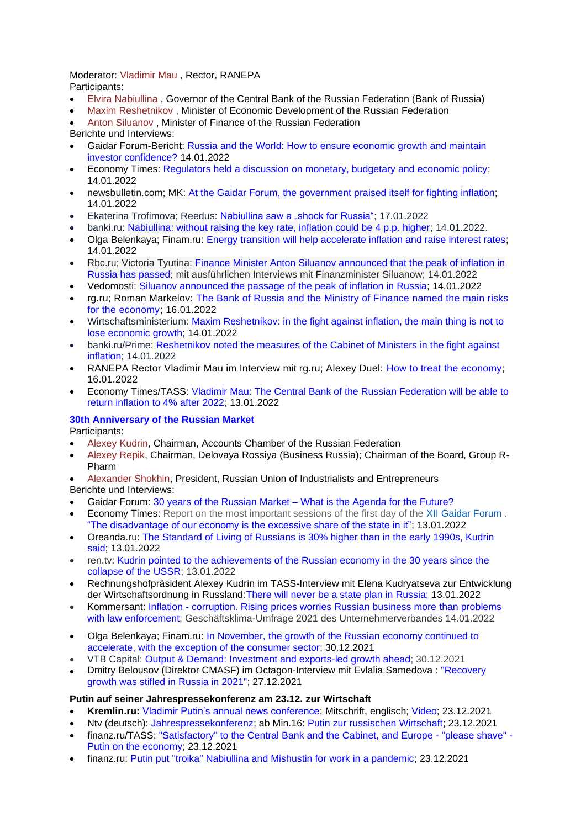Moderator: [Vladimir Mau](https://gaidarforum.ru/ru/experts-2022/2913/) , Rector, RANEPA Participants:

- [Elvira Nabiullina](https://gaidarforum.ru/ru/experts-2022/2930/) , Governor of the Central Bank of the Russian Federation (Bank of Russia)
- [Maxim Reshetnikov](https://gaidarforum.ru/ru/experts-2022/2969/) , Minister of Economic Development of the Russian Federation
- [Anton Siluanov](https://gaidarforum.ru/ru/experts-2022/2986/) , Minister of Finance of the Russian Federation
- Berichte und Interviews:
- Gaidar Forum-Bericht: [Russia and the World: How to ensure economic growth and maintain](https://gaidarforum.ru/ru/news/3400/)  [investor confidence?](https://gaidarforum.ru/ru/news/3400/) 14.01.2022
- Economy Times: [Regulators held a discussion on monetary, budgetary and economic policy;](https://economytimes.ru/kurs-rulya/regulyatory-proveli-diskussiyu-o-monetarnoy-byudzhetnoy-i-ekonomicheskoy-politike) 14.01.2022
- newsbulletin.com; MK: [At the Gaidar Forum, the government praised itself for fighting inflation;](https://247newsbulletin.com/economy/75869.html) 14.01.2022
- Ekaterina Trofimova; Reedus: [Nabiullina saw a "shock for Russia";](https://www.ridus.ru/news/371127) 17.01.2022
- banki.ru: [Nabiullina: without raising the key rate, inflation could be 4 p.p. higher;](https://www.banki.ru/news/lenta/?id=10959387) 14.01.2022.
- Olga Belenkaya; Finam.ru: [Energy transition will help accelerate inflation and raise interest rates;](https://www.finam.ru/analysis/forecasts/energoperexod-budet-sposobstvovat-uskoreniyu-inflyacii-i-rostu-procentnyx-stavok-20220114-183801/) 14.01.2022
- Rbc.ru; Victoria Tyutina: [Finance Minister Anton Siluanov announced that the peak of inflation in](https://www.rbc.ru/finances/14/01/2022/61e17c209a7947a3ace66fd5?)  [Russia has passed;](https://www.rbc.ru/finances/14/01/2022/61e17c209a7947a3ace66fd5?) mit ausführlichen Interviews mit Finanzminister Siluanow; 14.01.2022
- Vedomosti: [Siluanov announced the passage of the peak of inflation in Russia;](https://www.vedomosti.ru/economics/news/2022/01/14/904860-siluanov-zayavil-o-prohozhdenii-pika-inflyatsii) 14.01.2022
- rg.ru; Roman Markelov: [The Bank of Russia and the Ministry of Finance named the main risks](https://rg.ru/2022/01/16/v-banke-rossii-i-minfine-nazvali-glavnye-riski-dlia-ekonomiki.html)  [for the economy;](https://rg.ru/2022/01/16/v-banke-rossii-i-minfine-nazvali-glavnye-riski-dlia-ekonomiki.html) 16.01.2022
- Wirtschaftsministerium: [Maxim Reshetnikov: in the fight against inflation, the main thing is not to](https://economy.gov.ru/material/news/maksim_reshetnikov_v_borbe_s_inflyaciey_glavnoe_ne_poteryat_ekonomicheskiy_rost.html)  [lose economic growth;](https://economy.gov.ru/material/news/maksim_reshetnikov_v_borbe_s_inflyaciey_glavnoe_ne_poteryat_ekonomicheskiy_rost.html) 14.01.2022
- banki.ru/Prime: [Reshetnikov noted the measures of the Cabinet of Ministers in the fight against](https://www.banki.ru/news/lenta/?id=10959389)  [inflation;](https://www.banki.ru/news/lenta/?id=10959389) 14.01.2022
- RANEPA Rector Vladimir Mau im Interview mit rg.ru; Alexey Duel: [How to treat the economy;](https://rg.ru/2022/01/16/vladimir-mau-kak-lechit-ekonomiku.html) 16.01.2022
- Economy Times/TASS: [Vladimir Mau: The Central Bank of the Russian Federation will be able to](https://economytimes.ru/novosti/vladimir-mau-cb-rf-smozhet-vernut-inflyaciyu-v-ramki-4-posle-2022-goda)  [return inflation to 4% after 2022;](https://economytimes.ru/novosti/vladimir-mau-cb-rf-smozhet-vernut-inflyaciyu-v-ramki-4-posle-2022-goda) 13.01.2022

## **[30th Anniversary of the Russian Market](https://gaidarforum.ru/ru/programme-2022/2500/)**

Participants:

- [Alexey Kudrin,](https://gaidarforum.ru/en/experts-2022/2886/) Chairman, Accounts Chamber of the Russian Federation
- [Alexey Repik,](https://gaidarforum.ru/en/experts-2022/2968/) Chairman, Delovaya Rossiya (Business Russia); Chairman of the Board, Group R-Pharm

• [Alexander Shokhin,](https://gaidarforum.ru/en/experts-2022/3057/) President, Russian Union of Industrialists and Entrepreneurs Berichte und Interviews:

- Gaidar Forum: 30 years of the Russian Market [What is the Agenda for the Future?](https://gaidarforum.ru/ru/news/3350/)
- Economy Times: Report on the most important sessions of the first day of the [XII Gaidar Forum](https://gaidarforum.ru/ru/) . ["The disadvantage of our economy is the excessive share of the state in it";](https://economytimes.ru/kurs-rulya/nedostatok-nashey-ekonomiki-izbytochnaya-dolya-v-ney-gosudarstva) 13.01.2022
- Oreanda.ru: [The Standard of Living of Russians is 30% higher than in the early 1990s, Kudrin](https://www.oreanda.ru/en/finansy/the-standard-of-living-of-russians-is-30-higher-than-in-the-early-1990s-kudrin-/article1406114/)  [said;](https://www.oreanda.ru/en/finansy/the-standard-of-living-of-russians-is-30-higher-than-in-the-early-1990s-kudrin-/article1406114/) 13.01.2022
- ren.tv: [Kudrin pointed to the achievements of the Russian economy in the 30 years since the](https://ren.tv/news/lifestyle/926953-kudrin-otmetil-dostizheniia-ekonomiki-rossii-za-30-let-s-raspada-sssr)  [collapse of the USSR;](https://ren.tv/news/lifestyle/926953-kudrin-otmetil-dostizheniia-ekonomiki-rossii-za-30-let-s-raspada-sssr) 13.01.2022
- Rechnungshofpräsident Alexey Kudrin im TASS-Interview mit Elena Kudryatseva zur Entwicklung der Wirtschaftsordnung in Russland[:There will never be a state plan in Russia;](https://tass.ru/interviews/13411583) 13.01.2022
- Kommersant: Inflation [corruption. Rising prices worries Russian business more than problems](https://www.kommersant.ru/doc/5158974)  [with law enforcement;](https://www.kommersant.ru/doc/5158974) Geschäftsklima-Umfrage 2021 des Unternehmerverbandes 14.01.2022
- Olga Belenkaya; Finam.ru: [In November, the growth of the Russian economy continued to](https://www.finam.ru/analysis/forecasts/v-noyabre-rost-rossiiyskoiy-ekonomiki-prodolzhil-uskoryatsya-za-isklyucheniem-potrebitelskogo-sektora-20211230-174217/)  [accelerate, with the exception of the consumer sector;](https://www.finam.ru/analysis/forecasts/v-noyabre-rost-rossiiyskoiy-ekonomiki-prodolzhil-uskoryatsya-za-isklyucheniem-potrebitelskogo-sektora-20211230-174217/) 30.12.2021
- VTB Capital: [Output & Demand: Investment and exports-led growth ahead;](https://research.vtbcapital.com/Hrdn/Document?id=8c6d5adc-dcf5-4614-b9d5-553c1c3fcf0a) 30.12.2021
- Dmitry Belousov (Direktor CMASF) im Octagon-Interview mit Evlalia Samedova : ["Recovery](https://octagon.media/ekonomika/dmitrij_belousov_v_2021_godu_v_rossii_byl_zadushen_vosstanovitelnyj_rost_.html)  [growth was stifled in Russia in 2021";](https://octagon.media/ekonomika/dmitrij_belousov_v_2021_godu_v_rossii_byl_zadushen_vosstanovitelnyj_rost_.html) 27.12.2021

## **Putin auf seiner Jahrespressekonferenz am 23.12. zur Wirtschaft**

- **Kremlin.ru:** [Vladimir Putin's annual news conference;](http://en.kremlin.ru/events/president/news/67438) Mitschrift, englisch; [Video;](http://en.kremlin.ru/events/president/news/67438/videos) 23.12.2021
- Ntv (deutsch): [Jahrespressekonferenz;](https://www.youtube.com/watch?v=mnpyjXABPW8) ab Min.16: [Putin zur russischen Wirtschaft;](https://youtu.be/mnpyjXABPW8?t=864) 23.12.2021
- finanz.ru/TASS: ["Satisfactory" to the Central Bank and the Cabinet, and](https://www.finanz.ru/novosti/aktsii/glavnoe-udovletvoritelno-cb-i-kabminu-a-evrope-pozhaluyte-britsya-putin-ob-ekonomike-1031063827) Europe "please shave" [Putin on the economy;](https://www.finanz.ru/novosti/aktsii/glavnoe-udovletvoritelno-cb-i-kabminu-a-evrope-pozhaluyte-britsya-putin-ob-ekonomike-1031063827) 23.12.2021
- finanz.ru: [Putin put "troika" Nabiullina and Mishustin for work in a pandemic;](https://www.finanz.ru/novosti/aktsii/putin-postavil-troyku-nabiullinoy-i-mishustinu-za-rabotu-v-pandemiyu-1031063657) 23.12.2021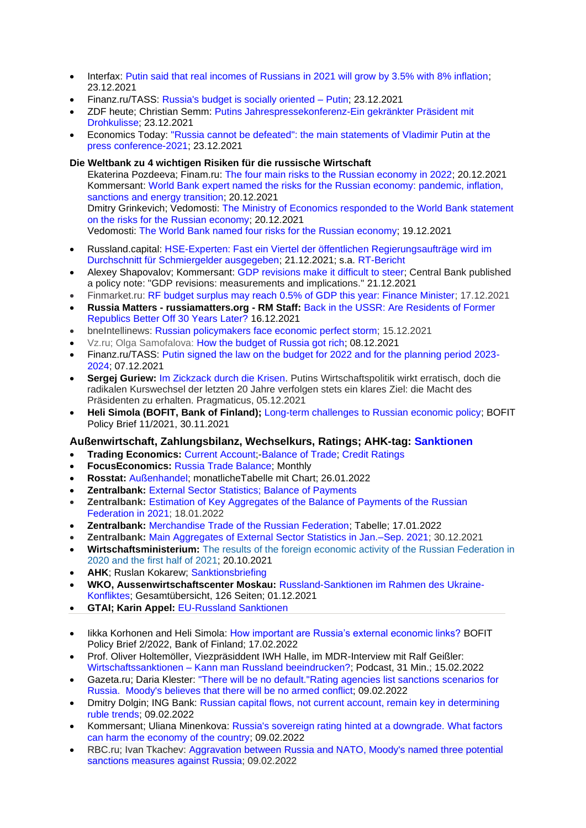- Interfax: [Putin said that real incomes of Russians in 2021 will grow by 3.5% with 8% inflation;](https://www.interfax.ru/business/812113) 23.12.2021
- Finanz.ru/TASS: [Russia's budget is socially oriented –](https://www.finanz.ru/novosti/aktsii/byudzhet-rossii-nosit-socialno-orientirovanny-kharakter-putin-1031063665) Putin; 23.12.2021
- ZDF heute; Christian Semm: [Putins Jahrespressekonferenz-Ein gekränkter Präsident mit](https://www.zdf.de/nachrichten/politik/putin-russland-ukraine-jahrespressekonferenz-100.html)  [Drohkulisse;](https://www.zdf.de/nachrichten/politik/putin-russland-ukraine-jahrespressekonferenz-100.html) 23.12.2021
- Economics Today: ["Russia cannot be defeated": the main statements of Vladimir Putin at the](https://rueconomics.ru/557970-rossiyu-nelzya-pobedit-glavnye-zayavleniya-vladimira-putina-na-press-konferencii-2021)  [press conference-2021;](https://rueconomics.ru/557970-rossiyu-nelzya-pobedit-glavnye-zayavleniya-vladimira-putina-na-press-konferencii-2021) 23.12.2021

## **Die Weltbank zu 4 wichtigen Risiken für die russische Wirtschaft**

Ekaterina Pozdeeva; Finam.ru: [The four main risks to the Russian economy in 2022;](https://www.finam.ru/analysis/newsitem/chetyre-glavnyx-riska-dlya-ekonomiki-rossii-v-2022-godu-20211220-181344/) 20.12.2021 Kommersant: [World Bank expert named the risks for the Russian economy: pandemic, inflation,](https://www.kommersant.ru/doc/5140176)  [sanctions and energy transition;](https://www.kommersant.ru/doc/5140176) 20.12.2021 Dmitry Grinkevich; Vedomosti: [The Ministry of Economics responded to the World Bank statement](https://www.vedomosti.ru/economics/articles/2021/12/20/901576-mineke-zayavlenie-vsemirnogo-riskah-ekonomiki)  [on the risks for the Russian economy;](https://www.vedomosti.ru/economics/articles/2021/12/20/901576-mineke-zayavlenie-vsemirnogo-riskah-ekonomiki) 20.12.2021 Vedomosti: [The World Bank named four risks for the Russian economy;](https://www.vedomosti.ru/economics/articles/2021/12/19/901467-chetire-riska) 19.12.2021

- Russland.capital: [HSE-Experten: Fast ein Viertel der öffentlichen Regierungsaufträge wird im](https://www.russland.capital/hse-experten-fast-ein-viertel-der-oeffentlichen-regierungsauftraege-wird-im-durchschnitt-fuer-schmiergelder-ausgegeben)  [Durchschnitt für Schmiergelder ausgegeben;](https://www.russland.capital/hse-experten-fast-ein-viertel-der-oeffentlichen-regierungsauftraege-wird-im-durchschnitt-fuer-schmiergelder-ausgegeben) 21.12.2021; s.a. [RT-Bericht](https://de.rt.com/russland/128775-russland-studie-enthuellt-ausmass-bestechung/)
- Alexey Shapovalov; Kommersant: [GDP revisions make it difficult to steer;](https://www.kommersant.ru/doc/5141018) Central Bank published a policy note: "GDP revisions: measurements and implications." 21.12.2021
- Finmarket.ru: [RF budget surplus may reach 0.5% of GDP this year: Finance Minister;](http://www.finmarket.ru/news/5613034) 17.12.2021
- **Russia Matters - russiamatters.org - RM Staff:** [Back in the USSR: Are Residents of Former](https://www.russiamatters.org/blog/back-ussr-are-residents-former-republics-better-30-years-later)  [Republics Better Off 30 Years Later?](https://www.russiamatters.org/blog/back-ussr-are-residents-former-republics-better-30-years-later) 16.12.2021
- bneIntellinews: [Russian policymakers face economic perfect storm;](https://www.intellinews.com/russian-policymakers-face-economic-perfect-storm-230034/?source=russia) 15.12.2021
- Vz.ru; Olga Samofalova: [How the budget of Russia got rich;](https://vz.ru/economy/2021/12/8/1133197.html) 08.12.2021
- Finanz.ru/TASS: [Putin signed the law on the budget for 2022 and for the planning period 2023-](https://www.finanz.ru/novosti/aktsii/putin-podpisal-zakon-o-byudzhete-na-2022-g-i-na-planovy-period-2023-2024-gg-1031028249) [2024;](https://www.finanz.ru/novosti/aktsii/putin-podpisal-zakon-o-byudzhete-na-2022-g-i-na-planovy-period-2023-2024-gg-1031028249) 07.12.2021
- **Sergej Guriew:** [Im Zickzack durch die Krisen.](https://www.derpragmaticus.com/r/russland-wirtschaft/) Putins Wirtschaftspolitik wirkt erratisch, doch die radikalen Kurswechsel der letzten 20 Jahre verfolgen stets ein klares Ziel: die Macht des Präsidenten zu erhalten. Pragmaticus, 05.12.2021
- **Heli Simola (BOFIT, Bank of Finland);** [Long-term challenges to Russian economic policy;](https://helda.helsinki.fi/bof/bitstream/handle/123456789/18222/bpb1121.pdf?sequence=1&isAllowed=y) BOFIT Policy Brief 11/2021, 30.11.2021

# **Außenwirtschaft, Zahlungsbilanz, Wechselkurs, Ratings; AHK-tag: [Sanktionen](https://russland.ahk.de/recht/sanktionen#c272192)**

- **Trading Economics:** [Current Account;](https://tradingeconomics.com/russia/current-account)[-Balance of Trade;](https://tradingeconomics.com/russia/balance-of-trade) [Credit Ratings](https://tradingeconomics.com/russia/rating)
- **FocusEconomics:** [Russia Trade Balance;](https://www.focus-economics.com/countries/russia/news/trade-balance/merchandise-exports-continue-to-expand-at-a-strong-pace-in) Monthly
- **Rosstat:** [Außenhandel;](https://rosstat.gov.ru/central-news) monatlicheTabelle mit Chart; 26.01.2022
- **Zentralbank:** [External Sector Statistics; Balance of Payments](http://cbr.ru/eng/statistics/macro_itm/svs/)
- **Zentralbank: Estimation of Key Aggregates of the Balance of Payments of the Russian** [Federation in 2021;](http://cbr.ru/eng/statistics/macro_itm/svs/bop-eval/) 18.01.2022
- **Zentralbank:** [Merchandise Trade of the Russian Federation;](https://www.cbr.ru/vfs/eng/statistics/credit_statistics/trade/trade_e.xls) Tabelle; 17.01.2022
- **Zentralbank:** Main [Aggregates of External Sector Statistics in Jan.–Sep. 2021;](http://cbr.ru/eng/statistics/macro_itm/svs/key-ind/) 30.12.2021
- **Wirtschaftsministerium:** [The results of the foreign economic activity of the Russian Federation in](https://economy.gov.ru/material/file/ab03f167412ee7cbc60d8caf776bab70/itogi_ved_v_2020g_i_1_polugodie_2021.pdf)  [2020 and the first half of 2021;](https://economy.gov.ru/material/file/ab03f167412ee7cbc60d8caf776bab70/itogi_ved_v_2020g_i_1_polugodie_2021.pdf) 20.10.2021
- **AHK**; Ruslan Kokarew; [Sanktionsbriefing](https://russland.ahk.de/infothek/newsletter/sanktionsbriefing)
- **WKO, Aussenwirtschaftscenter Moskau:** [Russland-Sanktionen im Rahmen des Ukraine-](https://www.wko.at/service/aussenwirtschaft/gesamtuebersicht-russland-sanktionen.pdf)[Konfliktes;](https://www.wko.at/service/aussenwirtschaft/gesamtuebersicht-russland-sanktionen.pdf) Gesamtübersicht, 126 Seiten; 01.12.2021
- **GTAI; Karin Appel:** [EU-Russland Sanktionen](https://www.gtai.de/gtai-de/trade/zoll/special/russland/gtai-special-russland-sanktionen-65188)
- Iikka Korhonen and Heli Simola: [How important are Russia's external economic links?](https://helda.helsinki.fi/bof/handle/123456789/18304) BOFIT Policy Brief 2/2022, Bank of Finland; 17.02.2022
- Prof. Oliver Holtemöller, Viezpräsiddent IWH Halle, im MDR-Interview mit Ralf Geißler: Wirtschaftssanktionen – [Kann man Russland beeindrucken?;](https://www.mdr.de/nachrichten/podcast/wirtschaftspruefer/audio-sanktionen-russland-ukraine-konflikt-100.html) Podcast, 31 Min.; 15.02.2022
- Gazeta.ru; Daria Klester: "There will be no [default."Rating](https://www.gazeta.ru/business/2022/02/09/14515957.shtml) agencies list sanctions scenarios for [Russia. Moody's](https://www.gazeta.ru/business/2022/02/09/14515957.shtml) believes that there will be no armed conflict; 09.02.2022
- Dmitry Dolgin; ING Bank: [Russian capital flows, not current account, remain key in determining](https://think.ing.com/snaps/russian-capital-flows-not-current-account-remain-key-in-determining-ruble-trends/)  [ruble trends;](https://think.ing.com/snaps/russian-capital-flows-not-current-account-remain-key-in-determining-ruble-trends/) 09.02.2022
- Kommersant; Uliana Minenkova: [Russia's sovereign rating hinted at a downgrade. What factors](https://www.kommersant.ru/doc/5206879)  [can harm the economy of the country;](https://www.kommersant.ru/doc/5206879) 09.02.2022
- RBC.ru; Ivan Tkachev: [Aggravation between Russia and NATO, Moody's named three potential](https://www.rbc.ru/economics/09/02/2022/6203804d9a7947d911de78b4)  [sanctions measures against Russia;](https://www.rbc.ru/economics/09/02/2022/6203804d9a7947d911de78b4) 09.02.2022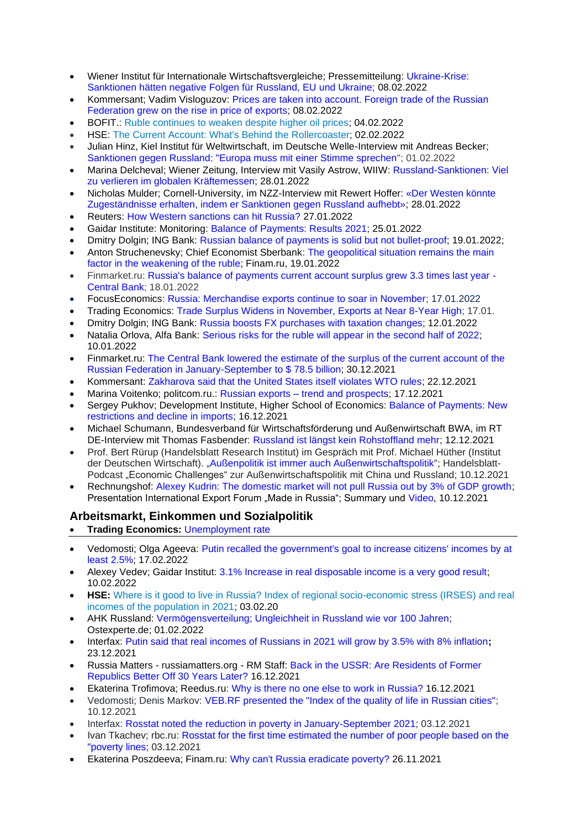- Wiener Institut für Internationale Wirtschaftsvergleiche; Pressemitteilung: [Ukraine-Krise:](https://wiiw.ac.at/press-release-ukraine-crisis-sanctions-would-have-negative-impact-on-russia-the-eu-and-ukraine-german-pnd-107.pdf)  [Sanktionen hätten negative Folgen für Russland, EU und Ukraine;](https://wiiw.ac.at/press-release-ukraine-crisis-sanctions-would-have-negative-impact-on-russia-the-eu-and-ukraine-german-pnd-107.pdf) 08.02.2022
- Kommersant; Vadim Visloguzov: [Prices are taken into account. Foreign trade of the Russian](https://www.kommersant.ru/doc/5205626)  [Federation grew on the rise in price of exports;](https://www.kommersant.ru/doc/5205626) 08.02.2022
- BOFIT.: [Ruble continues to weaken despite higher oil prices;](https://www.bofit.fi/en/monitoring/weekly/2022/vw202205_1/) 04.02.2022
- HSE: [The Current Account: What's Behind the Rollercoaster;](http://www.hse.ru/pubs/share/direct/document/559820393.pdf) 02.02.2022
- Julian Hinz, Kiel Institut für Weltwirtschaft, im Deutsche Welle-Interview mit Andreas Becker; [Sanktionen gegen Russland: "Europa muss mit einer Stimme sprechen"](https://www.dw.com/de/sanktionen-gegen-russland-europa-muss-mit-einer-stimme-sprechen/a-60612527); 01.02.2022
- Marina Delcheval; Wiener Zeitung, Interview mit Vasily Astrow, WIIW: [Russland-Sanktionen: Viel](https://www.wienerzeitung.at/nachrichten/wirtschaft/international/2135904-Viel-zu-verlieren-im-globalen-Kraeftemessen.html)  [zu verlieren im globalen Kräftemessen;](https://www.wienerzeitung.at/nachrichten/wirtschaft/international/2135904-Viel-zu-verlieren-im-globalen-Kraeftemessen.html) 28.01.2022
- Nicholas Mulder; Cornell-University, im NZZ-Interview mit Rewert Hoffer: [«Der Westen könnte](https://www.nzz.ch/wirtschaft/warum-der-westen-sanktionen-gegen-russland-aufheben-sollte-ld.1665936?reduced=true)  [Zugeständnisse erhalten, indem er Sanktionen gegen Russland aufhebt»;](https://www.nzz.ch/wirtschaft/warum-der-westen-sanktionen-gegen-russland-aufheben-sollte-ld.1665936?reduced=true) 28.01.2022
- Reuters: [How Western sanctions can hit Russia?](https://www.finam.ru/analysis/forecasts/kak-zapadnye-sankcii-mogut-udarit-po-rossii-20220127-130615/) 27.01.2022
- Gaidar Institute: Monitoring: [Balance of Payments: Results 2021;](https://www.iep.ru/ru/monitoring/platezhnyy-balans-itogi-2021-goda.html) 25.01.2022
- Dmitry Dolgin; ING Bank: [Russian balance of payments is solid but not bullet-proof;](https://think.ing.com/articles/russian-balance-of-payments-is-solid-but-not-bullet-proof/) 19.01.2022;
- Anton Struchenevsky; Chief Economist Sberbank: The geopolitical situation remains the main [factor in the weakening of the ruble;](https://www.finam.ru/publications/item/geopoliticheskaya-situaciya-ostaetsya-glavnym-faktorom-oslableniya-rublya-20220119-151000) Finam.ru, 19.01.2022
- Finmarket.ru: [Russia's balance of payments current account surplus grew 3.3 times last year -](http://www.finmarket.ru/news/5629691?) [Central Bank;](http://www.finmarket.ru/news/5629691?) 18.01.2022
- FocusEconomic[s: Russia: Merchandise exports continue to soar in November;](https://www.focus-economics.com/countries/russia/news/trade-balance/merchandise-exports-continue-to-soar-in-november) 17.01.2022
- Trading Economics: [Trade Surplus Widens in November, Exports at Near 8-Year High;](https://tradingeconomics.com/russia/balance-of-trade) 17.01.
- Dmitry Dolgin; ING Bank: Russia boosts FX [purchases with taxation changes;](https://think.ing.com/snaps/russia-fx-purchases-january-2022/) 12.01.2022
- Natalia Orlova, Alfa Bank: [Serious risks for the ruble will appear in the second half of 2022;](https://www.finam.ru/analysis/forecasts/sereznye-riski-dlya-rublya-poyavyatsya-vo-vtoroiy-polovine-2022-goda-20220110-152719/) 10.01.2022
- Finmarket.ru: [The Central Bank lowered the estimate of the surplus of the current account of the](http://www.finmarket.ru/news/5621199)  [Russian Federation in January-September to \\$ 78.5 billion;](http://www.finmarket.ru/news/5621199) 30.12.2021
- Kommersant: [Zakharova said that the United States itself violates WTO rules;](https://www.kommersant.ru/doc/5142072) 22.12.2021
- Marina Voitenko; politcom.ru.: Russian exports [trend and prospects;](http://politcom.ru/24385.html) 17.12.2021
- Sergey Pukhov; Development Institute, Higher School of Economics: [Balance of Payments: New](https://www.hse.ru/pubs/share/direct/document/542558631.pdf)  [restrictions and decline in imports;](https://www.hse.ru/pubs/share/direct/document/542558631.pdf) 16.12.2021
- Michael Schumann, Bundesverband für Wirtschaftsförderung und Außenwirtschaft BWA, im RT DE-Interview mit Thomas Fasbender: [Russland ist längst kein Rohstoffland mehr;](https://de.rt.com/programme/fasbender/128132-fasbender-im-gesprach-mit-michael/) 12.12.2021
- Prof. Bert Rürup (Handelsblatt Research Institut) im Gespräch mit Prof. Michael Hüther (Institut der Deutschen Wirtschaft). "Außenpolitik ist immer auch [Außenwirtschaftspolitik"](https://www.handelsblatt.com/audio/economic-challenges-podcast/economic-challenges-usa-china-aussenpolitik-ist-immer-auch-aussenwirtschaftspolitik/27881418.html); Handelsblatt-Podcast "Economic Challenges" zur Außenwirtschaftspolitik mit China und Russland; 10.12.2021
- Rechnungshof: [Alexey Kudrin: The domestic market will not pull Russia out by 3% of GDP growth;](https://ach.gov.ru/en/news/aleksey-kudrin-vnutrenniy-rynok-ne-vytashchit-rossiyu-na-3-rosta-vvp) Presentation International Export Forum "Made in Russia"; Summary und [Video,](https://youtu.be/SnPqOEeChZQ) 10.12.2021

# **Arbeitsmarkt, Einkommen und Sozialpolitik**

- **Trading Economics:** [Unemployment rate](https://tradingeconomics.com/russia/unemployment-rate)
- Vedomosti; Olga Ageeva: [Putin recalled the government's goal to increase citizens' incomes by at](https://www.vedomosti.ru/economics/articles/2022/02/17/909836-putin-povisit-dohodi-grazhdan)  [least 2.5%;](https://www.vedomosti.ru/economics/articles/2022/02/17/909836-putin-povisit-dohodi-grazhdan) 17.02.2022
- Alexey Vedey: Gaidar Institut: 3.1% Increase in real disposable income is a very good result: 10.02.2022
- **HSE:** Where is it good to live in Russia? [Index of regional socio-economic stress \(IRSES\) and real](http://www.hse.ru/pubs/share/direct/document/560027143.pdf)  [incomes of the population in 2021;](http://www.hse.ru/pubs/share/direct/document/560027143.pdf) 03.02.20
- [AHK Russland:](https://ostexperte.de/author/ahk-russland/) [Vermögensverteilung; Ungleichheit in Russland wie vor 100 Jahren;](https://ostexperte.de/ungleichheit-in-russland-wie-vor-100-jahren/) Ostexperte.de; 01.02.2022
- Interfax: [Putin said that real incomes of Russians in 2021 will grow by 3.5% with 8% inflation](https://www.interfax.ru/business/812113)**;** 23.12.2021
- Russia Matters russiamatters.org RM Staff: [Back in the USSR: Are Residents of Former](https://www.russiamatters.org/blog/back-ussr-are-residents-former-republics-better-30-years-later)  [Republics Better Off 30 Years Later?](https://www.russiamatters.org/blog/back-ussr-are-residents-former-republics-better-30-years-later) 16.12.2021
- Ekaterina Trofimova; Reedus.ru: [Why is there no one else to work in Russia?](https://www.ridus.ru/news/368837) 16.12.2021
- Vedomosti; Denis Markov: [VEB.RF presented the "Index of the quality of life in Russian cities";](https://www.vedomosti.ru/gorod/othercities/articles/vebrf-predstavil-indeks-kachestva-zhizni-v-gorodah-rossii) 10.12.2021
- Interfax: [Rosstat noted the reduction in poverty in January-September 2021;](https://www.interfax.ru/business/806527) 03.12.2021
- Ivan Tkachev; rbc.ru: [Rosstat for the first time estimated the number of poor people based on the](https://www.rbc.ru/economics/03/12/2021/61aa34739a7947e24f034e11?from=newsfeed)  ["poverty lines;](https://www.rbc.ru/economics/03/12/2021/61aa34739a7947e24f034e11?from=newsfeed) 03.12.2021
- Ekaterina Poszdeeva; Finam.ru: [Why can't Russia eradicate poverty?](https://www.finam.ru/analysis/newsitem/pochemu-rossiya-ne-mozhet-iskorenit-bednost-20211126-181557/) 26.11.2021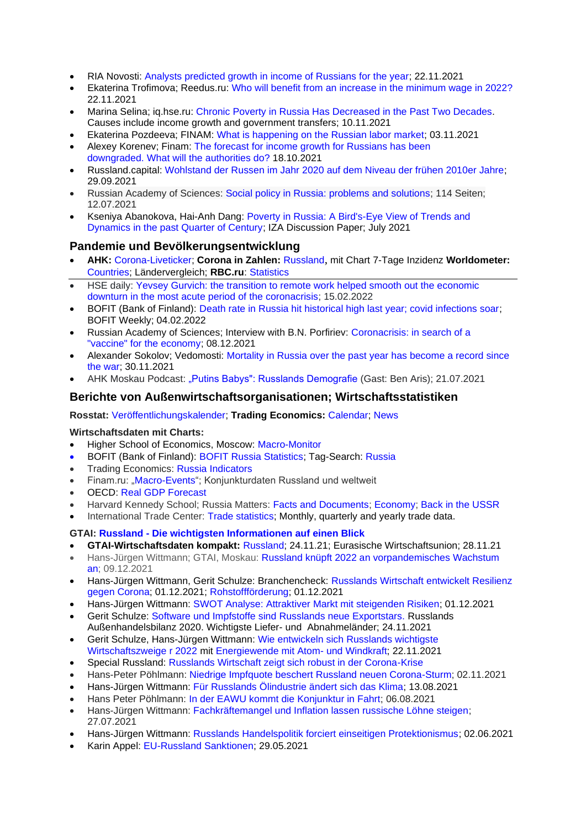- RIA Novosti: [Analysts predicted growth in income of Russians for the year;](https://ria.ru/20211122/dokhod-1760105483.html) 22.11.2021
- [Ekaterina Trofimova;](https://www.ridus.ru/users/152458/articles) Reedus.ru: [Who will benefit from an increase in the minimum wage in 2022?](https://www.ridus.ru/news/366799) 22.11.2021
- Marina Selina; iq.hse.ru: Chronic Poverty in Russia Has [Decreased](https://iq.hse.ru/en/news/527970668.html) in the Past Two Decades. Causes include income growth and government transfers; 10.11.2021
- Ekaterina Pozdeeva; FINAM: [What is happening on the Russian labor market;](https://www.finam.ru/analysis/newsitem/chto-proisxodit-na-rossiiyskom-rynke-truda-20211103-193000/) 03.11.2021
- Alexey Korenev; Finam: [The forecast for income growth for Russians has been](https://www.finam.ru/analysis/forecasts/prognoz-po-rostu-doxodov-rossiyan-snizhen-chto-predprimut-vlasti-20211018-193533/)  downgraded. [What will the authorities do?](https://www.finam.ru/analysis/forecasts/prognoz-po-rostu-doxodov-rossiyan-snizhen-chto-predprimut-vlasti-20211018-193533/) 18.10.2021
- Russland.capital: [Wohlstand der Russen im Jahr 2020 auf dem Niveau der frühen 2010er Jahre;](https://www.russland.capital/wohlstand-der-russen-im-jahr-2020-auf-dem-niveau-der-fruehen-2010er-jahre) 29.09.2021
- Russian Academy of Sciences: [Social policy in Russia: problems and solutions;](https://ecfor.ru/publication/sotsialnaya-politika-v-rossii-problemy-i-resheniya/) 114 Seiten; 12.07.2021
- Kseniya Abanokova, [Hai-Anh Dang:](https://www.iza.org/person/3376) [Poverty in Russia: A Bird's-Eye View of Trends and](https://www.iza.org/en/publications/dp/14544/poverty-in-russia-a-birds-eye-view-of-trends-and-dynamics-in-the-past-quarter-of-century)  [Dynamics in the past Quarter of Century;](https://www.iza.org/en/publications/dp/14544/poverty-in-russia-a-birds-eye-view-of-trends-and-dynamics-in-the-past-quarter-of-century) IZA Discussion Paper; July 2021

# **Pandemie und Bevölkerungsentwicklung**

- **AHK:** [Corona-Liveticker;](https://russland.ahk.de/corona-krise/liveticker) **Corona in Zahlen:** [Russland](https://www.corona-in-zahlen.de/weltweit/russland/), mit Chart 7-Tage Inzidenz **Worldometer:**  [Countries;](https://www.worldometers.info/coronavirus/#countries) Ländervergleich; **RBC.ru**: [Statistics](https://www.rbc.ru/tags/?tag=%D1%81%D1%82%D0%B0%D1%82%D0%B8%D1%81%D1%82%D0%B8%D0%BA%D0%B0)
- HSE daily: [Yevsey Gurvich: the transition to remote work helped smooth out the economic](https://daily.hse.ru/post/282)  [downturn in the most acute period of](https://daily.hse.ru/post/282) the coronacrisis; 15.02.2022
- BOFIT (Bank of Finland): [Death rate in Russia hit historical high last year; covid infections soar;](https://www.bofit.fi/en/monitoring/weekly/2022/vw202205_2/) BOFIT Weekly; 04.02.2022
- Russian Academy of Sciences: Interview with B.N. Porfiriev: Coronacrisis: in search of a ["vaccine" for the economy;](https://ecfor.ru/publication/koronakrizis-v-poiskah-vaktsiny-dlya-ekonomiki/) 08.12.2021
- Alexander Sokolov; Vedomosti: [Mortality in Russia over the past year has become a record since](https://www.vedomosti.ru/society/articles/2021/11/29/898151-umershih-antirekord)  [the war;](https://www.vedomosti.ru/society/articles/2021/11/29/898151-umershih-antirekord) 30.11.2021
- AHK Moskau Podcast: ["Putins Babys": Russlands Demografie](https://podcasts.google.com/feed/aHR0cHM6Ly9mZWVkcy5yZWRjaXJjbGUuY29tL2U5NmY1OTU3LTY2NzAtNDBkYS1hZTBkLWI4ODkyYTA1YmZkZQ/episode/ZWJmZmYxNzctMDUwYy00ZTI2LTk3ZDMtZDIxNDIxZTU5MmM5?sa=X&ved=0CAUQkfYCahcKEwi4x7a7tovyAhUAAAAAHQAAAAAQCg) (Gast: Ben Aris); 21.07.2021

## **Berichte von Außenwirtschaftsorganisationen; Wirtschaftsstatistiken**

## **Rosstat:** [Veröffentlichungskalender;](https://rosstat.gov.ru/announcements) **Trading Economics:** [Calendar;](https://tradingeconomics.com/russia/calendar) [News](https://tradingeconomics.com/russia/news)

## **Wirtschaftsdaten mit Charts:**

- Higher School of Economics, Moscow: [Macro-Monitor](https://dcenter.hse.ru/macromonitor)
- BOFIT (Bank of Finland): [BOFIT Russia Statistics;](https://www.bofit.fi/en/monitoring/statistics/russia-statistics/) Tag-Search: [Russia](https://www.bofit.fi/en/tag-search/?tag=Russia)
- Trading Economics: [Russia Indicators](https://tradingeconomics.com/russia/indicators)
- Finam.ru: ["Macro-Events"](https://www.finam.ru/macroevents/); Konjunkturdaten Russland und weltweit
- OECD: [Real GDP Forecast](https://data.oecd.org/gdp/real-gdp-forecast.htm)
- Harvard Kennedy School; Russia Matters: [Facts and Documents;](https://www.russiamatters.org/facts) [Economy;](https://www.russiamatters.org/facts/economy) [Back in the USSR](https://www.russiamatters.org/blog/back-ussr-are-residents-former-republics-better-30-years-later)
- International Trade Center: [Trade statistics;](https://www.trademap.org/Product_SelCountry_TS.aspx?nvpm=1%7c643%7c%7c%7c%7cTOTAL%7c%7c%7c2%7c1%7c1%7c2%7c2%7c1%7c1%7c1%7c1%7c1) Monthly, quarterly and yearly trade data.

## **GTAI: Russland - [Die wichtigsten Informationen auf einen Blick](https://www.gtai.de/gtai-de/trade/weltkarte/europa/russland-118766)**

- **GTAI-Wirtschaftsdaten kompakt:** [Russland;](https://www.gtai.de/gtai-de/trade/wirtschaftsumfeld/wirtschaftsdaten-kompakt/russland/wirtschaftsdaten-kompakt-russland-156830) 24.11.21; Eurasische Wirtschaftsunion; 28.11.21
- Hans-Jürgen Wittmann; GTAI, Moskau: [Russland knüpft 2022 an vorpandemisches Wachstum](https://www.gtai.de/gtai-de/trade/wirtschaftsumfeld/wirtschaftsausblick/russland/russland-knuepft-2022-an-vorpandemisches-wachstum-an-584942)  [an;](https://www.gtai.de/gtai-de/trade/wirtschaftsumfeld/wirtschaftsausblick/russland/russland-knuepft-2022-an-vorpandemisches-wachstum-an-584942) 09.12.2021
- Hans-Jürgen Wittmann, Gerit Schulze: Branchencheck: [Russlands Wirtschaft entwickelt Resilienz](https://www.gtai.de/gtai-de/trade/branchen/branchencheck/russland/russlands-wirtschaft-entwickelt-resilienz-gegen-corona-583528)  [gegen Corona;](https://www.gtai.de/gtai-de/trade/branchen/branchencheck/russland/russlands-wirtschaft-entwickelt-resilienz-gegen-corona-583528) 01.12.2021; [Rohstoffförderung;](https://www.gtai.de/gtai-de/trade/branchen/branchenmeldung/russland/rohstofffoerderung-583512) 01.12.2021
- Hans-Jürgen Wittmann: [SWOT Analyse: Attraktiver Markt mit steigenden Risiken;](https://www.gtai.de/gtai-de/trade/wirtschaftsumfeld/swot-analyse/russland/attraktiver-markt-mit-steigenden-risiken-584182) 01.12.2021
- Gerit Schulze: [Software und Impfstoffe sind Russlands neue Exportstars.](https://www.gtai.de/gtai-de/trade/russland/wirtschaftsumfeld1/software-und-impfstoffe-sind-russlands-neue-exportstars-535440) Russlands Außenhandelsbilanz 2020. Wichtigste Liefer- und Abnahmeländer; 24.11.2021
- Gerit Schulze, Hans-Jürgen Wittmann: [Wie entwickeln sich Russlands wichtigste](https://www.gtai.de/gtai-de/trade/branchen/branchenbericht/russland/wie-entwickeln-sich-russlands-wichtigste-wirtschaftszweige-2022--757280)  [Wirtschaftszweige r 2022](https://www.gtai.de/gtai-de/trade/branchen/branchenbericht/russland/wie-entwickeln-sich-russlands-wichtigste-wirtschaftszweige-2022--757280) mit [Energiewende mit Atom-](https://www.gtai.de/gtai-de/trade/branchen/branchenbericht/russland/wie-entwickeln-sich-russlands-wichtigste-wirtschaftszweige-2022--757280#757260) und Windkraft; 22.11.2021
- Special Russland: [Russlands Wirtschaft zeigt sich robust in der Corona-Krise](https://www.gtai.de/gtai-de/trade/specials/special/russland/russlands-wirtschaft-zeigt-sich-robust-in-der-coronakrise--242418)
- Hans-Peter Pöhlmann: [Niedrige Impfquote beschert Russland neuen Corona-Sturm;](https://www.gtai.de/gtai-de/trade/wirtschaftsumfeld/bericht-wirtschaftsumfeld/russland/niedrige-impfquote-beschert-russland-neuen-coronasturm-741076) 02.11.2021
- Hans-Jürgen Wittmann: [Für Russlands Ölindustrie ändert sich das Klima;](https://www.gtai.de/gtai-de/trade/branchen/branchenbericht/russland/fuer-russlands-oelindustrie-aendert-sich-das-klima-685510) 13.08.2021
- Hans Peter Pöhlmann: [In der EAWU kommt die Konjunktur in Fahrt;](https://www.gtai.de/gtai-de/trade/wirtschaftsumfeld/bericht-wirtschaftsumfeld/eawu/in-der-eawu-kommt-die-konjunktur-in-fahrt-683992) 06.08.2021
- Hans-Jürgen Wittmann: [Fachkräftemangel und Inflation lassen russische Löhne steigen;](https://www.gtai.de/gtai-de/trade/wirtschaftsumfeld/lohn-und-lohnnebenkosten/russland/fachkraeftemangel-und-inflation-lassen-russische-loehne-steigen-675762) 27.07.2021
- Hans-Jürgen Wittmann: [Russlands Handelspolitik forciert einseitigen Protektionismus;](https://www.gtai.de/gtai-de/meta/ueber-uns/was-wir-tun/schwerpunkte/offene/russlands-handelspolitik-forciert-einseitigen-protektionismus-646142) 02.06.2021
- Karin Appel: [EU-Russland Sanktionen;](https://www.gtai.de/gtai-de/trade/zoll/special/russland/gtai-special-russland-sanktionen-65188) 29.05.2021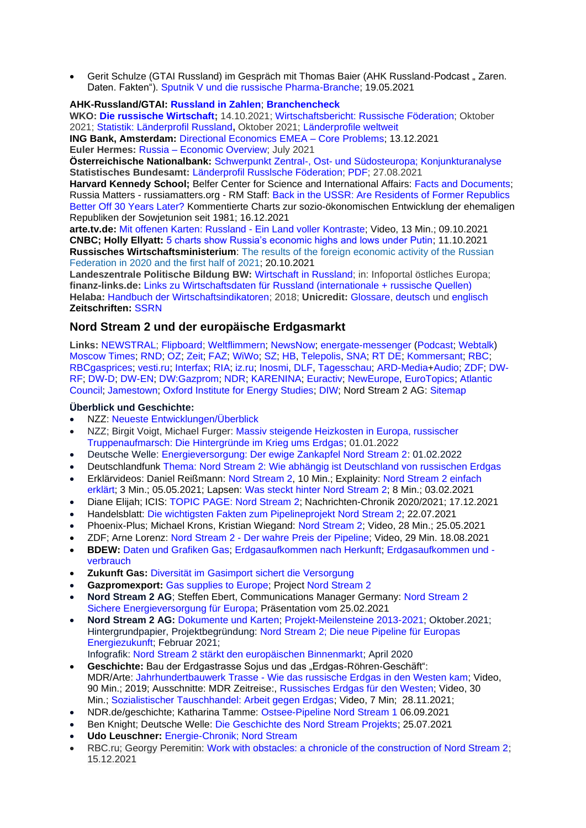Gerit Schulze (GTAI Russland) im Gespräch mit Thomas Baier (AHK Russland-Podcast "Zaren. [Daten. Fakten"\).](https://podcasts.google.com/feed/aHR0cHM6Ly9mZWVkcy5yZWRjaXJjbGUuY29tL2U5NmY1OTU3LTY2NzAtNDBkYS1hZTBkLWI4ODkyYTA1YmZkZQ?sa=X&ved=0CAMQ4aUDahcKEwi4zqm44uzwAhUAAAAAHQAAAAAQAg) [Sputnik V und die russische Pharma-Branche;](https://podcasts.google.com/feed/aHR0cHM6Ly9mZWVkcy5yZWRjaXJjbGUuY29tL2U5NmY1OTU3LTY2NzAtNDBkYS1hZTBkLWI4ODkyYTA1YmZkZQ/episode/YmU4MTBjYWEtMjQ2Yi00Y2RhLTg2MzgtMmMyZjI3ZTBlYjFm?sa=X&ved=0CAUQkfYCahcKEwiY0cGy1dfwAhUAAAAAHQAAAAAQAg) 19.05.2021

#### **AHK-Russland/GTAI: [Russland in Zahlen](https://russland.ahk.de/infothek/medien/russland-in-zahlen)**; **[Branchencheck](https://russland.ahk.de/infothek/medien/branchen)**

**WKO: [Die russische Wirtschaft;](https://www.wko.at/service/aussenwirtschaft/die-russische-wirtschaft.html)** 14.10.2021; [Wirtschaftsbericht: Russische Föderation;](https://www.wko.at/service/aussenwirtschaft/russische-foederation-wirtschaftsbericht.pdf) Oktober 2021; [Statistik: Länderprofil Russland](https://www.wko.at/service/aussenwirtschaft/die-russische-wirtschaft.html#heading_statistik_laenderprofil)**,** Oktober 2021; [Länderprofile weltweit](https://www.wko.at/service/zahlen-daten-fakten/laenderprofile-weltweit.html)

**ING Bank, Amsterdam:** [Directional Economics EMEA –](https://think.ing.com/reports/directional-economics-emea-core-problems/) Core Problems; 13.12.2021 **Euler Hermes:** Russia – [Economic Overview;](https://www.eulerhermes.com/en_global/economic-research/country-reports/Russia.html#link_internal_3) July 2021

**Österreichische Nationalbank:** Schwerpunkt Zentral-, Ost- [und Südosteuropa; Konjunkturanalyse](https://www.oenb.at/Geldpolitik/schwerpunkt-zentral-ost-und-suedosteuropa-cesee/konjunkturanalyse.html) **Statistisches Bundesamt:** [Länderprofil Russlsche Föderation;](https://www.destatis.de/DE/Themen/Laender-Regionen/Internationales/_inhalt.html#sprg250204) [PDF;](https://www.destatis.de/DE/Themen/Laender-Regionen/Internationales/Laenderprofile/russische-foederation.pdf;jsessionid=9C6397A006DE807FD8FD0A11CC5DAC56.live742?__blob=publicationFile) 27.08.2021

**Harvard Kennedy School;** Belfer Center for Science and International Affairs: [Facts and Documents;](https://www.russiamatters.org/facts) Russia Matters - russiamatters.org - RM Staff: [Back in the USSR: Are Residents of Former Republics](https://www.russiamatters.org/blog/back-ussr-are-residents-former-republics-better-30-years-later)  [Better Off 30 Years Later?](https://www.russiamatters.org/blog/back-ussr-are-residents-former-republics-better-30-years-later) Kommentierte Charts zur sozio-ökonomischen Entwicklung der ehemaligen Republiken der Sowjetunion seit 1981; 16.12.2021

**arte.tv.de:** Mit offenen Karten: Russland - Ein Land voller [Kontraste;](https://www.arte.tv/de/videos/103960-007-A/mit-offenen-karten/) Video, 13 Min.; 09.10.2021 **CNBC; Holly Ellyatt:** [5 charts show Russia's economic highs and lows under Putin;](https://www.cnbc.com/2021/10/11/russias-economy-under-president-putin-in-charts.html) 11.10.2021 **Russisches Wirtschaftsministerium**: [The results of the foreign economic activity of the Russian](https://economy.gov.ru/material/file/ab03f167412ee7cbc60d8caf776bab70/itogi_ved_v_2020g_i_1_polugodie_2021.pdf)  [Federation in 2020 and the first half of 2021;](https://economy.gov.ru/material/file/ab03f167412ee7cbc60d8caf776bab70/itogi_ved_v_2020g_i_1_polugodie_2021.pdf) 20.10.2021

**Landeszentrale Politische Bildung BW:** [Wirtschaft in Russland;](https://osteuropa.lpb-bw.de/russland-wirtschaft) in: Infoportal östliches Europa; **finanz-links.de:** [Links zu Wirtschaftsdaten für Russland \(internationale + russische Quellen\)](https://www.finanz-links.de/wirtschaft/russland.htm) **Helaba:** [Handbuch der Wirtschaftsindikatoren;](https://www.helaba.de/blueprint/servlet/resource/blob/docs/478732/2ea66c6cc795fac1c80a15e480ab9c24/report-20181023-handbuch-der-wirtschaftsindikatoren-data.pdf) 2018; **Unicredit:** [Glossare,](https://www.unicreditresearch.eu/index.php?id=glossary) [deutsch](https://www.unicreditresearch.eu/fileadmin/user_upload/Glossar_DE.pdf) und [englisch](https://www.unicreditresearch.eu/fileadmin/user_upload/Glossar_EN.pdf) **Zeitschriften:** [SSRN](https://papers.ssrn.com/sol3/Results.cfm?RequestTimeout=50000000)

## **Nord Stream 2 und der europäische Erdgasmarkt**

**Links:** [NEWSTRAL;](https://newstral.com/de/search/articles?utf8=%E2%9C%93&q=Nord+Stream) [Flipboard;](https://flipboard.com/topic/de-nordstream2) [Weltflimmern;](https://www.weltflimmern.de/nord%20stream%202) [NewsNow;](https://www.newsnow.co.uk/h/Industry+Sectors/Energy~Utilities/Natural+Gas/Nord+Stream+2) [energate-messenger](https://www.energate-messenger.de/themen/Nord-Stream-2?) [\(Podcast;](https://irgendwas-mit-energie-energate.podigee.io/6-das-verrueckte-gasjahr-2021) [Webtalk\)](https://www.energate-messenger.de/webtalk/aufzeichnungen/) [Moscow Times;](https://www.themoscowtimes.com/tag/gas) [RND;](https://www.rnd.de/themen/nord-stream-2/) [OZ;](https://www.ostsee-zeitung.de/nordstream-2) [Zeit;](https://www.zeit.de/thema/nord-stream-2) [FAZ;](https://www.faz.net/aktuell/wirtschaft/thema/nord-stream-2) [WiWo;](https://www.wiwo.de/suche/?sw=Nord%20Stream) [SZ;](https://www.sueddeutsche.de/thema/Nord_Stream_2) [HB,](https://www.handelsblatt.com/themen/nord-stream-2) [Telepolis,](https://www.heise.de/tp/thema/Nord-Stream-2) [SNA;](https://snanews.de/product_nord-stream-2/) [RT DE;](https://de.rt.com/tag/Nordstream_2/) [Kommersant;](https://www.kommersant.ru/theme/3411) [RBC;](https://www.rbc.ru/tags/?tag=%D0%A1%D0%B5%D0%B2%D0%B5%D1%80%D0%BD%D1%8B%D0%B9%20%D0%BF%D0%BE%D1%82%D0%BE%D0%BA-2) [RBCgasprices;](https://www.rbc.ru/story/615d8a9a9a7947d89de81ed4) [vesti.ru;](https://www.vesti.ru/theme/2490) [Interfax;](https://www.interfax.ru/tags/%D1%E5%E2%E5%F0%ED%FB%E9+%EF%EE%F2%EE%EA+2) [RIA;](https://ria.ru/product_Severnyjj_potok-2/) [iz.ru;](https://iz.ru/tag/severnyi-potok-2) [Inosmi,](https://inosmi.ru/tags/product_Severnyjj_potok_2/) [DLF,](https://www.deutschlandfunk.de/suchergebnisse.448.de.html?search:word=Nord+Stream&search:resultsPerPage=50&search:sort=date&search:withNews:0=WithNews&search:submit=1) [Tagesschau;](https://www.tagesschau.de/thema/nord_stream_2/) [ARD-Media](https://www.ardmediathek.de/suche/Erdgas/)[+Audio;](https://www.ardaudiothek.de/suche?q=Nord%20%20Stream) [ZDF;](https://www.zdf.de/nachrichten/thema/nord-stream-2-142.html) [DW-](https://www.dw.com/ru/nord-stream-kompanija/t-17949730)[RF;](https://www.dw.com/ru/nord-stream-kompanija/t-17949730) [DW-D;](https://www.dw.com/search/de?languageCode=de&origin=gN&item=Nord+Stream+2&searchNavigationId=9077) [DW-EN;](https://www.dw.com/search/?languageCode=en&item=Nord%20Stream%202&searchNavigationId=9097&sort=DATE&resultsCounter=30) [DW:Gazprom;](https://www.dw.com/de/gazprom/t-17599973) [NDR;](https://www.ndr.de/nachrichten/info/Erdgas,erdgas213.html) [KARENINA;](https://www.karenina.de/category/news/wirtschaft/?seotag=Nord+Stream+2) [Euractiv;](https://www.euractiv.com/sections/pipeline-politics/) [NewEurope,](https://www.neweurope.eu/author/kostis-geropoulos/) [EuroTopics;](https://www.eurotopics.net/de/232139/nord-stream-2) [Atlantic](https://www.atlanticcouncil.org/issue/geopolitics-energy-security/)  [Council;](https://www.atlanticcouncil.org/issue/geopolitics-energy-security/) [Jamestown;](https://jamestown.org/region/russia/) [Oxford Institute for Energy Studies;](https://www.oxfordenergy.org/publication-category/gas-programme/) [DIW;](https://www.diw.de/de/diw_01.c.698673.de/thema_energiewirtschaft.html) Nord Stream 2 AG: [Sitemap](https://www.nord-stream2.com/de/sitemap/)

#### **Überblick und Geschichte:**

- NZZ: [Neueste Entwicklungen/Überblick](https://www.nzz.ch/wirtschaft/pipeline-projekt-nord-stream-2-die-neusten-entwicklungen-ld.1483495)
- NZZ; Birgit Voigt, Michael Furger: [Massiv steigende Heizkosten in Europa, russischer](https://nzzas.nzz.ch/hintergrund/gas-krise-mit-russland-die-wichtigsten-hintergruende-ld.1662754)  [Truppenaufmarsch: Die Hintergründe im Krieg ums Erdgas;](https://nzzas.nzz.ch/hintergrund/gas-krise-mit-russland-die-wichtigsten-hintergruende-ld.1662754) 01.01.2022
- Deutsche Welle: [Energieversorgung: Der ewige Zankapfel Nord Stream 2:](https://www.dw.com/de/nord-stream-2-und-der-konflikt-zwischen-russland-der-ukraine-und-europa/a-60590796) 01.02.2022
- Deutschlandfunk [Thema: Nord Stream 2: Wie abhängig ist Deutschland von russischen Erdgas](https://www.deutschlandfunk.de/nord-stream-2-wie-abhaengig-ist-deutschland-von-russischem.2897.de.html?dram:article_id=483727)
- Erklärvideos: Daniel Reißmann: [Nord Stream 2,](https://www.youtube.com/watch?v=L1ObWXBHnYE) 10 Min.; Explainity: [Nord Stream 2 einfach](https://www.youtube.com/watch?v=FAxs9HFIPTc)  [erklärt;](https://www.youtube.com/watch?v=FAxs9HFIPTc) 3 Min.; 05.05.2021; Lapsen: [Was steckt hinter Nord Stream 2;](https://www.youtube.com/watch?v=RP8PdTojPVw) 8 Min.; 03.02.2021
- Diane Elijah; ICIS: [TOPIC PAGE: Nord Stream 2;](https://www.icis.com/explore/resources/news/2021/07/12/10463483/topic-page-nord-stream-2) Nachrichten-Chronik 2020/2021; 17.12.2021
- Handelsblatt: Die wichtigsten Fakten zum [Pipelineprojekt](https://www.handelsblatt.com/finanzen/nord-stream-2-die-wichtigsten-fakten-zum-pipelineprojekt-nord-stream-2/26154910.html?ticket=ST-33334-Zu2qsMraSBQiLvPqt2B3-ap3) Nord Stream 2; 22.07.2021
- Phoenix-Plus; Michael Krons, Kristian Wiegand: [Nord Stream 2;](https://www.ardmediathek.de/video/phoenix-vor-ort/phoenix-plus-nordstream-2/phoenix/Y3JpZDovL3dkci5kZS9CZWl0cmFnLTY0ZmIyNjFiLTdmMmMtNGZjYS1hNjY4LWZjZmQ0OTVhYTRhYg/) Video, 28 Min.; 25.05.2021
- ZDF; Arne Lorenz: Nord Stream 2 Der [wahre Preis der Pipeline;](https://www.zdf.de/dokumentation/zdfzoom/zdfzoom-nord-stream-2-100.html) Video, 29 Min. 18.08.2021
- **BDEW:** [Daten und Grafiken Gas;](https://www.bdew.de/service/daten-und-grafiken/?tags=gas) [Erdgasaufkommen nach Herkunft;](https://www.bdew.de/service/daten-und-grafiken/erdgasaufkommen-nach-herkunft/) [Erdgasaufkommen und](https://www.bdew.de/service/daten-und-grafiken/erdgasaufkommen-und-verbrauch-deutschland/)  [verbrauch](https://www.bdew.de/service/daten-und-grafiken/erdgasaufkommen-und-verbrauch-deutschland/)
- **Zukunft Gas:** [Diversität im Gasimport sichert die Versorgung](https://gas.info/energie-gas/erdgas/entstehung-erdgas/import-und-herkunft-erdgas#:~:text=In%202020%20betrug%20der%20Anteil,%C3%BCbrigen%20europ%C3%A4ischen%20L%C3%A4ndern%20(Statista).)
- **Gazpromexport:** [Gas supplies to Europe;](http://www.gazpromexport.ru/en/statistics/) Project [Nord Stream 2](http://www.gazpromexport.ru/en/projects/transportation/5/)
- **Nord Stream 2 AG**; Steffen Ebert, Communications Manager Germany: [Nord Stream 2](https://www.wirtschaftsrat.de/wirtschaftsrat.nsf/id/8CC4EFC089AC41E1C125868E00356C0B/$file/NordStream2_WiRatCDUMV_20210225.pdf)  [Sichere Energieversorgung für Europa;](https://www.wirtschaftsrat.de/wirtschaftsrat.nsf/id/8CC4EFC089AC41E1C125868E00356C0B/$file/NordStream2_WiRatCDUMV_20210225.pdf) Präsentation vom 25.02.2021
- **Nord Stream 2 AG:** [Dokumente und Karten;](https://www.nord-stream2.com/de/media-info/dokumente/) [Projekt-Meilensteine 2013-2021;](https://www.nord-stream2.com/de/pdf/document/480/) Oktober.2021; Hintergrundpapier, Projektbegründung: [Nord Stream 2; Die neue Pipeline für Europas](https://www.nord-stream2.com/de/pdf/document/4/)  [Energiezukunft;](https://www.nord-stream2.com/de/pdf/document/4/) Februar 2021;

Infografik: [Nord Stream 2 stärkt den europäischen Binnenmarkt;](https://www.nord-stream2.com/de/pdf/document/119/) April 2020

- **Geschichte:** Bau der Erdgastrasse Sojus und das "Erdgas-Röhren-Geschäft": MDR/Arte: Jahrhundertbauwerk Trasse - [Wie das russische Erdgas in den Westen kam;](https://www.mdr.de/tv/programm/sendung-710718.html#:~:text=den%20Westen%20kam-,Jahrhundertbauwerk%20Trasse%20%E2%80%93%20wie%20das%20russische%20Erdgas%20in%20den%20Westen%20kam,die%20Pipeline%2DProjekte%20auch%20politisch.) Video, 90 Min.; 2019; Ausschnitte: MDR Zeitreise:, [Russisches Erdgas für den Westen;](https://www.ardmediathek.de/video/mdr-zeitreise/russisches-erdgas-fuer-den-westen/mdr-fernsehen/Y3JpZDovL21kci5kZS9iZWl0cmFnL2Ntcy8yNDFhN2VlZi1mMmVkLTQ2YmQtYWIxYy0yMTg2ODYwMmY4MzY/) Video, 30 Min.; [Sozialistischer Tauschhandel: Arbeit gegen Erdgas;](https://www.ardmediathek.de/video/sozialistischer-tauschhandel-arbeit-gegen-erdgas/mdr-fernsehen/Y3JpZDovL21kci5kZS9iZWl0cmFnL2Ntcy9mMDI0Y2QwZi0wZmEyLTRlNjQtOTllYi05OWZmOWY0ZTlkMzc/) Video, 7 Min; 28.11.2021;
- NDR.de/geschichte; Katharina Tamme: [Ostsee-Pipeline Nord Stream 1](https://www.ndr.de/geschichte/schauplaetze/Nord-Stream-Vor-zehn-Jahren-stroemt-erstes-Gas-durch-Ostsee-Pipeline,nordstream622.html) 06.09.2021
- Ben Knight; Deutsche Welle: [Die Geschichte des Nord Stream Projekts;](https://www.dw.com/de/die-geschichte-des-nord-stream-projekts/a-58634008) 25.07.2021
- **Udo Leuschner:** [Energie-Chronik; Nord Stream](https://www.udo-leuschner.de/energie-chronik/ypipelines.htm#nordstream)
- RBC.ru; Georgy Peremitin: [Work with obstacles: a chronicle of the construction of Nord Stream 2;](https://www.rbc.ru/photoreport/15/12/2021/6006d7589a794728a1584233) 15.12.2021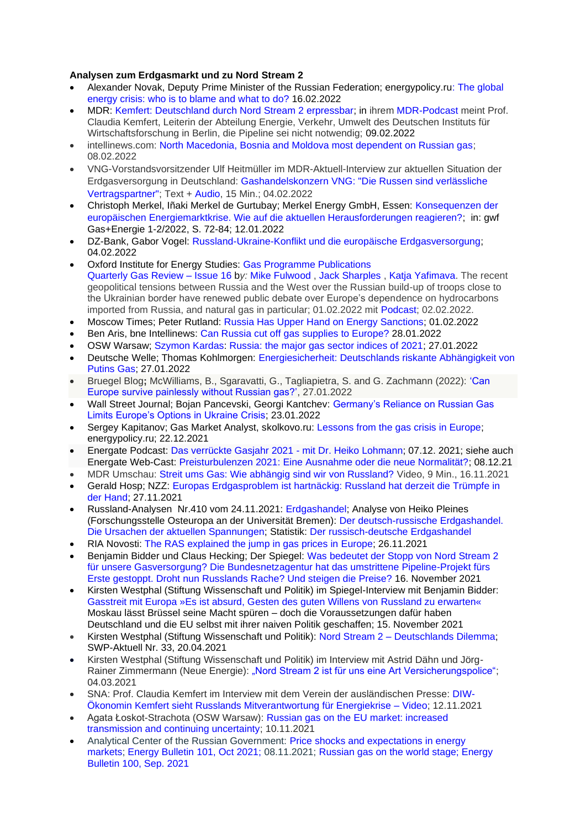## **Analysen zum Erdgasmarkt und zu Nord Stream 2**

- Alexander Novak, Deputy Prime Minister of the Russian Federation; energypolicy.r[u: The global](https://energypolicy.ru/mirovoj-energeticheskij-krizis-kto-vinovat-i-chto-delat/business/2022/13/16/)  [energy crisis: who is to blame and what to do?](https://energypolicy.ru/mirovoj-energeticheskij-krizis-kto-vinovat-i-chto-delat/business/2022/13/16/) 16.02.2022
- MDR: [Kemfert: Deutschland durch Nord Stream 2 erpressbar;](https://www.mdr.de/nachrichten/deutschland/politik/kemfert-deutschland-nord-stream-erpressbar-100.html) in ihrem [MDR-Podcast](https://www.mdr.de/nachrichten/podcast/kemfert-klima/audio-russland-ukraine-nord-stream-gas-100.html) meint Prof. Claudia Kemfert, Leiterin der Abteilung Energie, Verkehr, Umwelt des Deutschen Instituts für Wirtschaftsforschung in Berlin, die Pipeline sei nicht notwendig; 09.02.2022
- intellinews.com: [North Macedonia, Bosnia and Moldova most dependent on Russian gas;](https://www.intellinews.com/north-macedonia-bosnia-and-moldova-most-dependent-on-russian-gas-234239/?source=russia) 08.02.2022
- VNG-Vorstandsvorsitzender Ulf Heitmüller im MDR-Aktuell-Interview zur aktuellen Situation der Erdgasversorgung in Deutschland: [Gashandelskonzern](https://www.mdr.de/nachrichten/deutschland/wirtschaft/ukraine-russland-ergasversorgung-deutschland-100.html) VNG: "Die Russen sind verlässliche [Vertragspartner";](https://www.mdr.de/nachrichten/deutschland/wirtschaft/ukraine-russland-ergasversorgung-deutschland-100.html) Text + [Audio,](https://www.mdr.de/nachrichten/deutschland/wirtschaft/audio-1950420.html) 15 Min.; 04.02.2022
- Christoph Merkel, Iñaki Merkel de Gurtubay; Merkel Energy GmbH, Essen: [Konsequenzen der](https://gwf-gas.de/wp-content/uploads/2022/01/GE_01-02_2022_fb_Merkel.pdf)  [europäischen Energiemarktkrise. Wie auf die aktuellen Herausforderungen reagieren?;](https://gwf-gas.de/wp-content/uploads/2022/01/GE_01-02_2022_fb_Merkel.pdf) in: gwf Gas+Energie 1-2/2022, S. 72-84; 12.01.2022
- DZ-Bank, Gabor Vogel: [Russland-Ukraine-Konflikt und die europäische Erdgasversorgung;](https://dzresearchblog.dzbank.de/content/dzresearch/de/2022/02/russland-ukrainekonfliktunddieeuropaeischeerdgasversorgung.html) 04.02.2022
- Oxford Institute for Energy Studies: [Gas Programme Publications](https://www.oxfordenergy.org/publication-category/gas-programme/) [Quarterly Gas Review –](https://www.oxfordenergy.org/publications/quarterly-gas-review-issue-16/) Issue 16 b*y:* [Mike Fulwood](https://www.oxfordenergy.org/authors/mike-fulwood/) , [Jack Sharples](https://www.oxfordenergy.org/authors/jack-sharples/) , [Katja Yafimava.](https://www.oxfordenergy.org/authors/katja-yafimava/) The recent geopolitical tensions between Russia and the West over the Russian build-up of troops close to the Ukrainian border have renewed public debate over Europe's dependence on hydrocarbons imported from Russia, and natural gas in particular; 01.02.2022 mit [Podcast;](https://www.oxfordenergy.org/publications/oxford-energy-podcast-quarterly-gas-review-the-impact-of-conflict-in-ukraine-on-the-european-gas-market/) 02.02.2022.
- Moscow Times; Peter Rutland: [Russia Has Upper Hand on Energy Sanctions;](https://www.themoscowtimes.com/2022/02/01/russia-has-upper-hand-on-energy-sanctions-a76218) 01.02.2022
- Ben Aris, bne Intellinews: [Can Russia cut off gas supplies to Europe?](https://www.intellinews.com/can-russia-cut-off-gas-supplies-to-europe-233308) 28.01.2022
- OSW Warsaw; [Szymon Kardas:](https://www.osw.waw.pl/en/eksperci/szymon-kardas) [Russia: the major gas sector indices of 2021;](https://www.osw.waw.pl/en/publikacje/analyses/2022-01-27/russia-major-gas-sector-indices-2021) 27.01.2022
- Deutsche Welle; Thomas Kohlmorgen: [Energiesicherheit: Deutschlands riskante Abhängigkeit von](https://www.dw.com/de/deutschlands-riskante-abh%C3%A4ngigkeit-von-putins-gas/a-60553019)  [Putins Gas;](https://www.dw.com/de/deutschlands-riskante-abh%C3%A4ngigkeit-von-putins-gas/a-60553019) 27.01.2022
- Bruegel Blog**;** McWilliams, B., Sgaravatti, G., Tagliapietra, S. and G. Zachmann (2022): ['Can](https://www.bruegel.org/2022/01/can-europe-survive-painlessly-without-russian-gas/)  [Europe survive painlessly without Russian gas?',](https://www.bruegel.org/2022/01/can-europe-survive-painlessly-without-russian-gas/) 27.01.2022
- Wall Street Journal; Bojan Pancevski, Georgi Kantchev: [Germany's Reliance on Russian Gas](https://www.wsj.com/articles/germanys-reliance-on-russian-gas-limits-europes-options-in-ukraine-crisis-11642939203)  [Limits Europe's Options in Ukraine Crisis;](https://www.wsj.com/articles/germanys-reliance-on-russian-gas-limits-europes-options-in-ukraine-crisis-11642939203) 23.01.2022
- Sergey Kapitanov; Gas Market Analyst, skolkovo.ru: [Lessons from the gas crisis in Europe;](https://energypolicy.ru/uroki-gazovogo-krizisa-v-evrope/gaz/2021/12/22/) energypolicy.ru; 22.12.2021
- Energate Podcast: [Das verrückte Gasjahr 2021 -](https://irgendwas-mit-energie-energate.podigee.io/6-neue-episode) mit Dr. Heiko Lohmann; 07.12. 2021; siehe auch Energate Web-Cast: [Preisturbulenzen 2021: Eine Ausnahme oder die neue Normalität?;](https://www.youtube.com/watch?v=WwIuLsfuh1w&t=117s) 08.12.21
- MDR Umschau: [Streit ums Gas: Wie abhängig sind wir von Russland?](https://youtu.be/MfIIiCnnacM?t=164) Video, 9 Min., 16.11.2021
- Gerald Hosp; NZZ: [Europas Erdgasproblem ist hartnäckig: Russland hat derzeit die Trümpfe in](https://www.nzz.ch/wirtschaft/hohe-gaspreise-russland-hat-die-truempfe-fuer-erdgas-in-der-hand-ld.1656606)  [der Hand;](https://www.nzz.ch/wirtschaft/hohe-gaspreise-russland-hat-die-truempfe-fuer-erdgas-in-der-hand-ld.1656606) 27.11.2021
- Russland-Analysen Nr.410 vom 24.11.2021: [Erdgashandel;](https://www.laender-analysen.de/russland-analysen/410/) Analyse von Heiko Pleines (Forschungsstelle Osteuropa an der Universität Bremen): [Der deutsch-russische Erdgashandel.](https://www.laender-analysen.de/russland-analysen/410/der-deutsch-russische-erdgashandel-die-ursachen-der-aktuellen-spannungen/)  [Die Ursachen der aktuellen Spannungen;](https://www.laender-analysen.de/russland-analysen/410/der-deutsch-russische-erdgashandel-die-ursachen-der-aktuellen-spannungen/) Statistik: [Der russisch-deutsche Erdgashandel](https://www.laender-analysen.de/russland-analysen/410/der-deutsch-russische-erdgashandel/)
- RIA Novosti: [The RAS explained the jump in gas prices in Europe;](https://ria.ru/20211126/gaz-1760936261.html) 26.11.2021
- Benjamin Bidder und Claus Hecking; Der Spiegel: [Was bedeutet der Stopp von Nord Stream 2](https://www.spiegel.de/wirtschaft/service/nord-stream-2-was-bedeutet-der-stopp-des-pipeline-projekts-fuer-unsere-gasversorgung-a-65210bfb-12ff-40ac-be86-29c726b10451)  [für unsere Gasversorgung?](https://www.spiegel.de/wirtschaft/service/nord-stream-2-was-bedeutet-der-stopp-des-pipeline-projekts-fuer-unsere-gasversorgung-a-65210bfb-12ff-40ac-be86-29c726b10451) Die Bundesnetzagentur hat das umstrittene Pipeline-Projekt fürs Erste gestoppt. Droht nun Russlands Rache? Und steigen die Preise? 16. November 2021
- Kirsten Westphal (Stiftung Wissenschaft und Politik) im Spiegel-Interview mit Benjamin Bidder: [Gasstreit mit Europa »Es ist absurd, Gesten des guten Willens von Russland zu erwarten«](https://www.spiegel.de/wirtschaft/service/russlands-rolle-in-der-gaskrise-europa-ist-sehenden-auges-in-diese-situation-gelaufen-a-cd03b0c6-41d2-41db-b902-68bb0f46580d) Moskau lässt Brüssel seine Macht spüren – doch die Voraussetzungen dafür haben Deutschland und die EU selbst mit ihrer naiven Politik geschaffen; 15. November 2021
- Kirsten Westphal (Stiftung Wissenschaft und Politik): Nord Stream 2 [Deutschlands Dilemma;](https://www.swp-berlin.org/publikation/nord-stream-2-deutschlands-dilemma) SWP-Aktuell Nr. 33, 20.04.2021
- Kirsten Westphal (Stiftung Wissenschaft und Politik) im Interview mit Astrid Dähn und Jörg-Rainer Zimmermann (Neue Energie): ["Nord Stream 2 ist für uns eine Art Versicherungspolice";](https://www.neueenergie.net/politik/weltweit/nord-stream-2-ist-fuer-uns-eine-art-versicherungspolice) 04.03.2021
- SNA: Prof. Claudia Kemfert im Interview mit dem Verein der ausländischen Presse: [DIW-](https://snanews.de/20211112/diw-oekonomin-kemfert-video-4292333.html)[Ökonomin Kemfert sieht Russlands Mitverantwortung für Energiekrise –](https://snanews.de/20211112/diw-oekonomin-kemfert-video-4292333.html) Video; 12.11.2021
- [Agata Łoskot-Strachota](https://www.osw.waw.pl/en/eksperci/agata-loskot-strachota) (OSW Warsaw): Russian gas on [the EU market: increased](https://www.osw.waw.pl/en/publikacje/analyses/2021-11-10/russian-gas-eu-market-increased-transmission-and-continuing)  [transmission and continuing uncertainty;](https://www.osw.waw.pl/en/publikacje/analyses/2021-11-10/russian-gas-eu-market-increased-transmission-and-continuing) 10.11.2021
- Analytical Center of the Russian Government: [Price shocks and expectations in energy](https://ac.gov.ru/news/page/mirovomu-energeticeskomu-rynku-nuzny-specialnye-mehanizmy-podderzki-stabilnosti-27083)  [markets; Energy Bulletin](https://ac.gov.ru/news/page/mirovomu-energeticeskomu-rynku-nuzny-specialnye-mehanizmy-podderzki-stabilnosti-27083) 101, Oct 2021; 08.11.2021; [Russian gas on the world stage; Energy](https://ac.gov.ru/uploads/2-Publications/energo/2021/Energo_100.pdf)  [Bulletin 100, Sep. 2021](https://ac.gov.ru/uploads/2-Publications/energo/2021/Energo_100.pdf)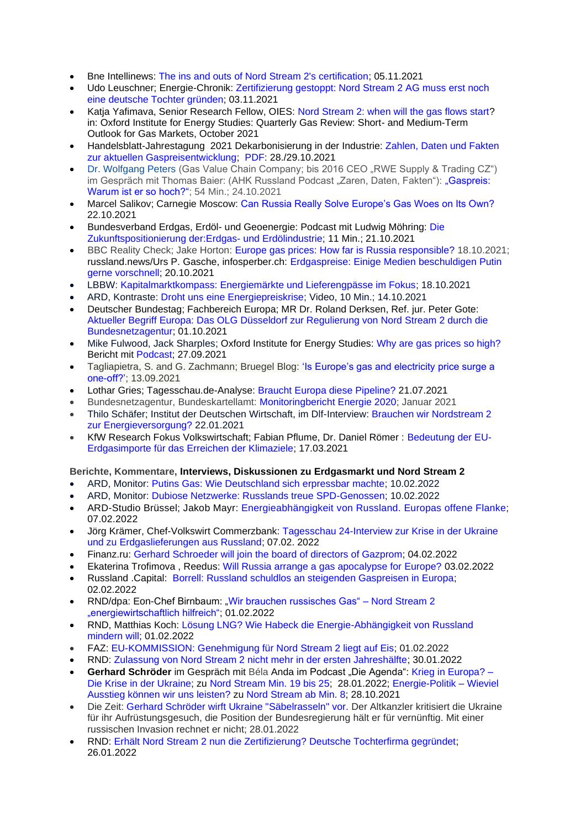- Bne Intellinews: [The ins and outs of Nord Stream 2's certification;](https://www.intellinews.com/the-ins-and-outs-of-nord-stream-2-s-certification-225959/?source=russia) 05.11.2021
- Udo Leuschner; Energie-Chronik: [Zertifizierung gestoppt: Nord Stream 2 AG muss erst noch](https://www.udo-leuschner.de/energie-chronik/211103.htm)  [eine deutsche Tochter gründen;](https://www.udo-leuschner.de/energie-chronik/211103.htm) 03.11.2021
- Katja Yafimava, Senior Research Fellow, OIES: [Nord Stream 2: when will the gas flows start?](https://www.oxfordenergy.org/wpcms/wp-content/uploads/2021/10/Gas-Quarterly-Review-Issue-15.pdf) in: Oxford Institute for Energy Studies: Quarterly Gas Review: Short- and Medium-Term Outlook for Gas Markets, October 2021
- Handelsblatt-Jahrestagung 2021 Dekarbonisierung in der Industrie: [Zahlen, Daten und Fakten](https://veranstaltungen.handelsblatt.com/dekarbonisierung/zahlen-daten-und-fakten-zur-aktuellen-gaspreisentwicklung/)  [zur aktuellen Gaspreisentwicklung;](https://veranstaltungen.handelsblatt.com/dekarbonisierung/zahlen-daten-und-fakten-zur-aktuellen-gaspreisentwicklung/) [PDF:](https://veranstaltungen.handelsblatt.com/dekarbonisierung/wp-content/uploads/2021/11/gaspreisentwicklung.pdf) 28./29.10.2021
- [Dr. Wolfgang Peters](https://gasvaluechain.com/about/) (Gas Value Chain Company; bis 2016 CEO "RWE Supply & Trading CZ") im Gespräch mit Thomas Baier: (AHK Russland Podcast "Zaren, Daten, Fakten"): "Gaspreis: [Warum ist er so hoch?";](https://podcasts.google.com/feed/aHR0cHM6Ly9mZWVkcy5yZWRjaXJjbGUuY29tL2U5NmY1OTU3LTY2NzAtNDBkYS1hZTBkLWI4ODkyYTA1YmZkZQ/episode/OGFhOWQ2MTQtZjBjMi00NWRiLThjMzAtMTFjNDdiY2ZmZjkw?sa=X&ved=0CAUQkfYCahcKEwiop63e_-fzAhUAAAAAHQAAAAAQAg) 54 Min.; 24.10.2021
- Marcel Salikov; Carnegie Moscow: [Can Russia Really Solve Europe's Gas Woes on Its Own?](https://carnegiemoscow.org/commentary/85632) 22.10.2021
- Bundesverband Erdgas, Erdöl- und Geoenergie: Podcast mit Ludwig Möhring: [Die](https://energie-update.podigee.io/4-folge-3)  [Zukunftspositionierung der:Erdgas-](https://energie-update.podigee.io/4-folge-3) und Erdölindustrie; 11 Min.; 21.10.2021
- BBC Reality Check; Jake Horton: [Europe gas prices: How far is Russia responsible?](https://www.bbc.com/news/58888451) 18.10.2021; russland.news/Urs P. Gasche, infosperber.ch: [Erdgaspreise: Einige Medien beschuldigen Putin](http://www.russland.news/erdgaspreise-einige-medien-beschuldigen-putin-gerne-vorschnell/)  [gerne vorschnell;](http://www.russland.news/erdgaspreise-einige-medien-beschuldigen-putin-gerne-vorschnell/) 20.10.2021
- LBBW: [Kapitalmarktkompass: Energiemärkte und Lieferengpässe im Fokus;](https://www.lbbw.de/konzern/research/2021/kapitalmarktkompass/lbbw-kapitalmarktkompass-update-20211019_adr3ztnwsj_m.pdf) 18.10.2021
- ARD, Kontraste: [Droht uns eine Energiepreiskrise;](https://www.daserste.de/information/politik-weltgeschehen/kontraste/videosextern/droht-uns-eine-energiepreiskrise-102.html) Video, 10 Min.; 14.10.2021
- Deutscher Bundestag; Fachbereich Europa; MR Dr. Roland Derksen, Ref. jur. Peter Gote: [Aktueller Begriff Europa: Das OLG Düsseldorf zur Regulierung von Nord Stream 2 durch die](https://www.bundestag.de/resource/blob/863884/a4b46ea77d644df3471d5ec112b6db5a/Nord-Stream-2-data.pdf)  [Bundesnetzagentur;](https://www.bundestag.de/resource/blob/863884/a4b46ea77d644df3471d5ec112b6db5a/Nord-Stream-2-data.pdf) 01.10.2021
- [Mike Fulwood,](https://www.oxfordenergy.org/authors/mike-fulwood/) [Jack Sharples;](https://www.oxfordenergy.org/authors/jack-sharples/) Oxford Institute for Energy Studies: [Why are gas prices so high?](https://www.oxfordenergy.org/wpcms/wp-content/uploads/2021/09/Why-Are-Gas-Prices-So-High.pdf) Bericht mit [Podcast;](https://www.oxfordenergy.org/publications/oxford-energy-podcast-why-are-gas-prices-so-high/) 27.09.2021
- Tagliapietra, S. and G. Zachmann; Bruegel Blog: ['Is Europe's gas and electricity price surge a](https://www.bruegel.org/2021/09/is-europes-gas-and-electricity-price-surge-a-one-off/)  [one-off?';](https://www.bruegel.org/2021/09/is-europes-gas-and-electricity-price-surge-a-one-off/) 13.09.2021
- Lothar Gries; Tagesschau.de-Analyse: [Braucht Europa diese Pipeline?](https://www.tagesschau.de/wirtschaft/weltwirtschaft/nordstream-zwei-gasversorgung-pipeline-energie-russland-101.html) 21.07.2021
- Bundesnetzagentur, Bundeskartellamt: [Monitoringbericht Energie 2020;](https://www.bundeskartellamt.de/SharedDocs/Publikation/DE/Berichte/Energie-Monitoring-2020.pdf?__blob=publicationFile&v=4) Januar 2021
- Thilo Schäfer; Institut der Deutschen Wirtschaft, im Dlf-Interview: [Brauchen wir Nordstream 2](https://www.ardaudiothek.de/episode/umwelt-und-verbraucher/brauchen-wir-nordstream-2-zur-energieversorgung-interview-thilo-schaefer-iw/deutschlandfunk/85460744)  [zur Energieversorgung?](https://www.ardaudiothek.de/episode/umwelt-und-verbraucher/brauchen-wir-nordstream-2-zur-energieversorgung-interview-thilo-schaefer-iw/deutschlandfunk/85460744) 22.01.2021
- KfW Research Fokus Volkswirtschaft; Fabian Pflume, Dr. Daniel Römer : [Bedeutung der EU-](https://www.kfw.de/PDF/Download-Center/Konzernthemen/Research/PDF-Dokumente-Fokus-Volkswirtschaft/Fokus-2021/Fokus-Nr.-325-Maerz-2021-Bedeutung-der-EU-Erdgasexporte-fuer-das-Erreichen-der-Klimaziele.pdf)[Erdgasimporte für das Erreichen der Klimaziele;](https://www.kfw.de/PDF/Download-Center/Konzernthemen/Research/PDF-Dokumente-Fokus-Volkswirtschaft/Fokus-2021/Fokus-Nr.-325-Maerz-2021-Bedeutung-der-EU-Erdgasexporte-fuer-das-Erreichen-der-Klimaziele.pdf) 17.03.2021

#### **Berichte, Kommentare, Interviews, Diskussionen zu Erdgasmarkt und Nord Stream 2**

- ARD, Monitor: [Putins Gas: Wie Deutschland sich erpressbar machte;](https://www1.wdr.de/daserste/monitor/sendungen/putins-gas-100.html) 10.02.2022
- ARD, Monitor: [Dubiose Netzwerke: Russlands treue SPD-Genossen;](https://www.ardmediathek.de/video/monitor/dubiose-netzwerke-russlands-treue-spd-genossen/das-erste/Y3JpZDovL3dkci5kZS9CZWl0cmFnLTI1NjI3N2I5LTY1YTAtNDEwNC1iMTJiLTBkNGMxNGMyNTE3OQ/) 10.02.2022
- ARD-Studio Brüssel; Jakob Mayr: [Energieabhängigkeit](https://www.tagesschau.de/wirtschaft/weltwirtschaft/russland-europa-gas-abhaengigkeit-101.html) von Russland. Europas offene Flanke; 07.02.2022
- Jörg Krämer, Chef-Volkswirt Commerzbank: [Tagesschau 24-Interview zur Krise in der Ukraine](https://tv.prime-intra.net/tv/cu/2022/02/07/9e6a3089d040a67e3f2b96a08480e0403479a9c55531e7d7224baec966404209a61db5a7bc5e30307219de7ab35d1e5296c5414db5997b32ba24d55c6c20ada0_1644229662000_0.mp4)  [und zu Erdgaslieferungen aus Russland;](https://tv.prime-intra.net/tv/cu/2022/02/07/9e6a3089d040a67e3f2b96a08480e0403479a9c55531e7d7224baec966404209a61db5a7bc5e30307219de7ab35d1e5296c5414db5997b32ba24d55c6c20ada0_1644229662000_0.mp4) 07.02. 2022
- Finanz.ru: [Gerhard Schroeder will join the board of directors of Gazprom;](https://www.finanz.ru/novosti/aktsii/gerkhard-shreder-voydet-v-sovet-direktorov-gazproma-1031162700) 04.02.2022
- [Ekaterina Trofimova](https://www.ridus.ru/users/152458/articles) , Reedus: [Will Russia arrange a gas apocalypse for Europe?](https://www.ridus.ru/news/372822) 03.02.2022
- Russland .Capital: [Borrell: Russland schuldlos an steigenden Gaspreisen in Europa;](https://www.russland.capital/borrell-russland-schuldlos-an-steigenden-gaspreisen-in-europa) 02.02.2022
- RND/dpa: Eon-Chef Birnbaum: ["Wir brauchen russisches Gas" –](https://www.rnd.de/wirtschaft/energie-eon-chef-birnbaum-gas-aus-russland-notwendig-nord-stream-2-hilfreich-FDL35E63L64QD6QHVLFD3YGWWQ.html) Nord Stream 2 .energiewirtschaftlich hilfreich": 01.02.2022
- RND, Matthias Koch: [Lösung LNG? Wie Habeck die Energie-Abhängigkeit von Russland](https://www.rnd.de/politik/energie-wie-habeck-die-abhaengigkeit-von-russland-mit-lng-mindern-will-PXDAO66QM5AEJIH2INOT3MLVBY.html)  [mindern will;](https://www.rnd.de/politik/energie-wie-habeck-die-abhaengigkeit-von-russland-mit-lng-mindern-will-PXDAO66QM5AEJIH2INOT3MLVBY.html) 01.02.2022
- FAZ: [EU-KOMMISSION: Genehmigung für Nord Stream 2 liegt auf Eis;](https://www.faz.net/aktuell/wirtschaft/nord-stream-2-genehmigung-der-eu-kommission-liegt-auf-eis-17769559.html) 01.02.2022
- RND: [Zulassung von Nord Stream 2 nicht mehr in der ersten Jahreshälfte;](https://www.rnd.de/politik/nord-stream-2-zulassung-nicht-mehr-in-der-ersten-jahreshaelfte-46EDFRUIFMHNWQO62AZMIJVXA4.html) 30.01.2022
- **Gerhard Schröder** im Gespräch mit Béla Anda im Podcast "Die Agenda": [Krieg in Europa? –](https://www.a-b-c-communication.de/podcasts/) [Die Krise in der Ukraine;](https://www.a-b-c-communication.de/podcasts/) zu [Nord Stream Min. 19 bis 25;](https://youtu.be/25i-2h5i3NQ?t=1159) 28.01.2022; [Energie-Politik –](https://gerhardschroeder.podigee.io/29-neue-episode) Wieviel [Ausstieg können wir uns leisten?](https://gerhardschroeder.podigee.io/29-neue-episode) zu [Nord Stream ab Min. 8;](https://youtu.be/psTIr1lQLUk?t=472) 28.10.2021
- Die Zeit: [Gerhard Schröder wirft Ukraine "Säbelrasseln" vor.](https://www.zeit.de/politik/2022-01/gerhard-schroeder-ukraine-saebelrasseln-osteuropa-russland) Der Altkanzler kritisiert die Ukraine für ihr Aufrüstungsgesuch, die Position der Bundesregierung hält er für vernünftig. Mit einer russischen Invasion rechnet er nicht; 28.01.2022
- RND: [Erhält Nord Stream 2 nun die Zertifizierung? Deutsche Tochterfirma gegründet;](https://www.rnd.de/politik/nord-stream-2-kommt-nun-die-zertifizierung-deutsche-tochterfirma-gegruendet-WQSPRPU342LRZKWMFV27IWWE74.html) 26.01.2022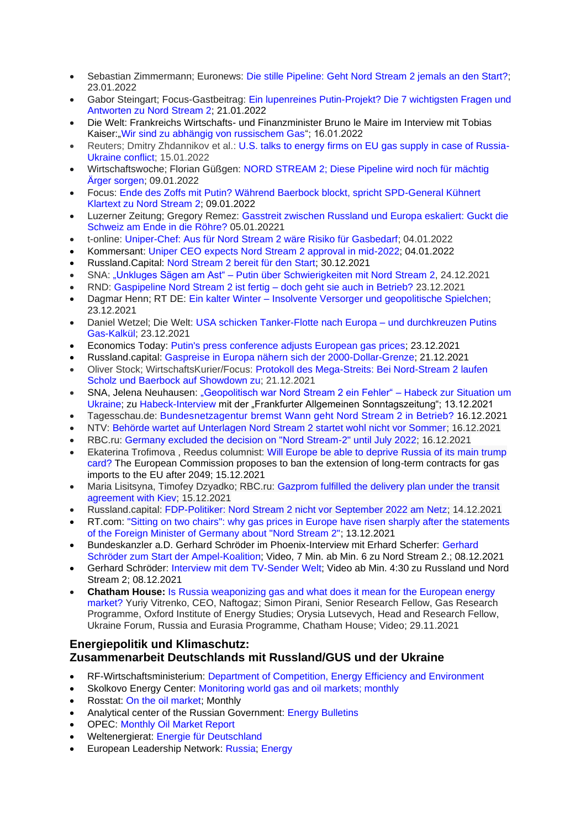- Sebastian Zimmermann; Euronews: [Die stille Pipeline: Geht Nord Stream 2 jemals an den Start?;](https://de.euronews.com/2022/01/23/erdgas-pipeline-nord-stream-2-russland-deutschland-ukraine) 23.01.2022
- Gabor Steingart; Focus-Gastbeitrag: Ein lupenreines Putin-Projekt? Die 7 wichtigsten Fragen und [Antworten zu Nord Stream 2;](https://www.focus.de/politik/experten/gastbeitrag-von-gabor-steingart-lupenreine-putin-veranstaltung-die-7-wichtigsten-fragen-und-antworten-zu-nord-stream-2_id_41527261.html) 21.01.2022
- Die Welt: Frankreichs Wirtschafts- und Finanzminister Bruno le Maire im Interview mit Tobias Kaiser: Wir sind zu abhängig von russischem Gas"; 16.01.2022
- Reuters; Dmitry Zhdannikov et al.: [U.S. talks to energy firms on EU gas supply in case of Russia-](https://www.reuters.com/business/energy/exclusive-us-talks-energy-firms-over-eu-gas-supply-case-russia-ukraine-conflict-2022-01-15/)[Ukraine conflict;](https://www.reuters.com/business/energy/exclusive-us-talks-energy-firms-over-eu-gas-supply-case-russia-ukraine-conflict-2022-01-15/) 15.01.2022
- Wirtschaftswoche; Florian Güßgen: [NORD STREAM 2; Diese Pipeline wird noch für mächtig](https://www.wiwo.de/politik/deutschland/nord-stream-2-diese-pipeline-wird-noch-fuer-maechtig-aerger-sorgen/27913872.html)  [Ärger sorgen;](https://www.wiwo.de/politik/deutschland/nord-stream-2-diese-pipeline-wird-noch-fuer-maechtig-aerger-sorgen/27913872.html) 09.01.2022
- Focus: [Ende des Zoffs mit Putin? Während Baerbock blockt, spricht SPD-General Kühnert](https://www.focus.de/politik/deutschland/ende-des-zoffs-mit-putin-waehrend-baerbock-bockt-spricht-spd-general-kuehnert-klartext-zu-nord-stream-2_id_36685321.html)  [Klartext zu Nord Stream 2;](https://www.focus.de/politik/deutschland/ende-des-zoffs-mit-putin-waehrend-baerbock-bockt-spricht-spd-general-kuehnert-klartext-zu-nord-stream-2_id_36685321.html) 09.01.2022
- Luzerner Zeitung; Gregory Remez: [Gasstreit zwischen Russland und Europa eskaliert: Guckt die](ttps://www.luzernerzeitung.ch/wirtschaft/analyse-gasstreit-zwischen-russland-und-europa-guckt-die-schweiz-am-ende-in-die-roehre-ld.2232509)  [Schweiz am Ende in die Röhre?](ttps://www.luzernerzeitung.ch/wirtschaft/analyse-gasstreit-zwischen-russland-und-europa-guckt-die-schweiz-am-ende-in-die-roehre-ld.2232509) 05.01.20221
- t-online: [Uniper-Chef: Aus für Nord Stream 2 wäre Risiko für Gasbedarf;](https://www.t-online.de/region/duesseldorf/news/id_91420988/uniper-chef-aus-fuer-nord-stream-2-waere-risiko-fuer-gasbedarf.html) 04.01.2022
- Kommersant: [Uniper CEO expects Nord Stream 2 approval in mid-2022;](https://www.kommersant.ru/doc/5155662?from=doc_top) 04.01.2022
- Russland.Capital: [Nord Stream 2 bereit für den Start;](https://www.russland.capital/nord-stream-2-bereit-fuer-den-start) 30.12.2021
- SNA: "Unkluges Sägen am Ast" [Putin über Schwierigkeiten mit Nord Stream 2,](https://snanews.de/20211224/unkluges-saegen-am-ast-4802621.html) 24.12.2021
- RND: [Gaspipeline Nord Stream 2 ist fertig –](https://www.rnd.de/politik/nord-stream-2-ist-fertig-geht-die-gaspipeline-auch-in-betrieb-7CQJ2VRFZNU7J5EEKAHAZKMEGU.html) doch geht sie auch in Betrieb? 23.12.2021
- Dagmar Henn; RT DE: Ein kalter Winter Insolvente Versorger und geopolitische Spielchen; 23.12.2021
- Daniel Wetzel; Die Welt: [USA schicken Tanker-Flotte nach Europa –](https://www.welt.de/wirtschaft/article235842776/USA-schicken-Tanker-Flotte-nach-Europa-und-durchkreuzen-Putins-Gas-Kalkuel.html) und durchkreuzen Putins [Gas-Kalkül;](https://www.welt.de/wirtschaft/article235842776/USA-schicken-Tanker-Flotte-nach-Europa-und-durchkreuzen-Putins-Gas-Kalkuel.html) 23.12.2021
- Economics Today: Putin's press conference adjusts European gas prices: 23.12.2021
- Russland.capital: [Gaspreise in Europa nähern sich der 2000-Dollar-Grenze;](https://www.russland.capital/gaspreise-in-europa-naehern-sich-der-2000-dollar-grenze) 21.12.2021
- Oliver Stock; WirtschaftsKurier/Focus: [Protokoll des Mega-Streits: Bei Nord-Stream 2 laufen](https://www.focus.de/politik/deutschland/kanzler-und-aussenministerin-protokoll-eines-mega-streits-bei-nord-stream-2-laufen-scholz-und-baerbock-auf-den-showdown-zu_id_28228365.html)  [Scholz und Baerbock auf Showdown zu;](https://www.focus.de/politik/deutschland/kanzler-und-aussenministerin-protokoll-eines-mega-streits-bei-nord-stream-2-laufen-scholz-und-baerbock-auf-den-showdown-zu_id_28228365.html) 21.12.2021
- SNA, Jelena Neuhausen: ["Geopolitisch war Nord Stream 2 ein Fehler" –](https://snanews.de/20211218/nord-stream-2-ein-fehler-habeck-4734188.html) Habeck zur Situation um [Ukraine;](https://snanews.de/20211218/nord-stream-2-ein-fehler-habeck-4734188.html) zu [Habeck-Interview](https://www.faz.net/aktuell/politik/inland/robert-habeck-ueber-klimaschutz-corona-und-nordstream-2-17689854.html?printPagedArticle=true#pageIndex_3) mit der "Frankfurter Allgemeinen Sonntagszeitung"; 13.12.2021
- Tagesschau.de: [Bundesnetzagentur](https://www.tagesschau.de/wirtschaft/weltwirtschaft/nord-stream-2-bundesnetzagentur-gas-101.html) bremst Wann geht Nord Stream 2 in Betrieb? 16.12.2021
- NTV: [Behörde wartet auf Unterlagen Nord Stream 2 startet wohl nicht vor Sommer;](https://www.n-tv.de/wirtschaft/Nord-Stream-2-startet-wohl-nicht-vor-Sommer-article23003818.html) 16.12.2021
- RBC.ru: [Germany excluded the decision on "Nord Stream-2" until July 2022;](https://www.rbc.ru/economics/16/12/2021/61bb19149a7947065ad35750) 16.12.2021
- [Ekaterina Trofimova](https://www.ridus.ru/users/152458/articles) , Reedus columnist: [Will Europe be able to deprive Russia of its main trump](https://www.ridus.ru/news/368733)  [card?](https://www.ridus.ru/news/368733) The European Commission proposes to ban the extension of long-term contracts for gas imports to the EU after 2049; 15.12.2021
- Maria Lisitsyna, Timofey Dzyadko; RBC.ru: Gazprom fulfilled the delivery plan under the transit [agreement with Kiev;](https://www.rbc.ru/business/15/12/2021/61ba1e1e9a79473f31542355) 15.12.2021
- Russland.capital: [FDP-Politiker: Nord Stream 2 nicht vor September 2022 am Netz;](https://www.russland.capital/fdp-politiker-nord-stream-2-nicht-vor-september-2022-am-netz) 14.12.2021
- RT.com: ["Sitting on two chairs": why gas prices in Europe have risen sharply after the statements](https://russian.rt.com/business/article/938150-gaz-evropa-ceny-rost)  [of the Foreign Minister of Germany about "Nord Stream 2";](https://russian.rt.com/business/article/938150-gaz-evropa-ceny-rost) 13.12.2021
- Bundeskanzler a.D. Gerhard Schröder im Phoenix-Interview mit Erhard Scherfer: [Gerhard](https://www.ardmediathek.de/video/phoenix-vor-ort-oder-gerhard-schroeder-zum-start-der-ampel-koalition/phoenix/Y3JpZDovL3Bob2VuaXguZGUvMjM5MTcwOQ/)  [Schröder zum Start der Ampel-Koalition;](https://www.ardmediathek.de/video/phoenix-vor-ort-oder-gerhard-schroeder-zum-start-der-ampel-koalition/phoenix/Y3JpZDovL3Bob2VuaXguZGUvMjM5MTcwOQ/) Video, 7 Min. ab Min. 6 zu Nord Stream 2.; 08.12.2021
- Gerhard Schröder: [Interview mit dem TV-Sender Welt;](https://youtu.be/IALRQDAXGC0?t=289) Video ab Min. 4:30 zu Russland und Nord Stream 2; 08.12.2021
- **Chatham House:** [Is Russia weaponizing gas and what does it mean for the European energy](https://www.chathamhouse.org/events/all/research-event/russia-weaponizing-gas-and-what-does-it-mean-european-energy-market)  [market?](https://www.chathamhouse.org/events/all/research-event/russia-weaponizing-gas-and-what-does-it-mean-european-energy-market) Yuriy Vitrenko, CEO, Naftogaz; Simon Pirani, Senior Research Fellow, Gas Research Programme, Oxford Institute of Energy Studies; Orysia Lutsevych, Head and Research Fellow, Ukraine Forum, Russia and Eurasia Programme, Chatham House; Video; 29.11.2021

# **Energiepolitik und Klimaschutz: Zusammenarbeit Deutschlands mit Russland/GUS und der Ukraine**

- RF-Wirtschaftsministerium: [Department of Competition, Energy Efficiency and Environment](https://economy.gov.ru/material/departments/d05/)
- Skolkovo Energy Center: [Monitoring world gas and oil markets; monthly](https://energy.skolkovo.ru/ru/senec/monitoring/)
- Rosstat: [On the oil market;](https://rosstat.gov.ru/announcements) Monthly
- Analytical center of the Russian Government: [Energy Bulletins](https://ac.gov.ru/publications/topics/topic/2290)
- OPEC: [Monthly Oil Market Report](https://www.opec.org/opec_web/en/publications/338.htm)
- Weltenergierat: [Energie für Deutschland](https://www.weltenergierat.de/publikationen/energie-fuer-deutschland/?cn-reloaded=1)
- European Leadership Network: [Russia;](https://www.europeanleadershipnetwork.org/search/?select-topics%5B%5D=russia&hidden-s=) [Energy](https://www.europeanleadershipnetwork.org/search/?topics-search=&select-topics%5B%5D=energy&select-topics%5B%5D=russia&hidden-s=&hidden-current-page=1)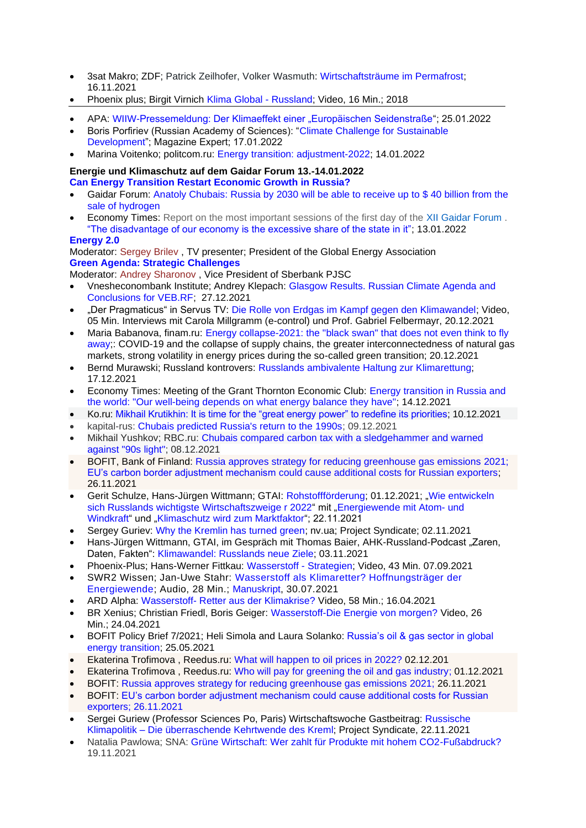- 3sat Makro; ZDF; Patrick Zeilhofer, Volker Wasmuth: [Wirtschaftsträume im Permafrost;](https://www.3sat.de/gesellschaft/makro/wirtschaftsdokumentation-wirtschaftstraeume-im-permafrost-100.html) 16.11.2021
- Phoenix plus; Birgit Virnich [Klima Global -](https://www.ardmediathek.de/video/phoenix-plus-klima-global-russland-2018/phoenix/Y3JpZDovL3dkci5kZS9CZWl0cmFnLTU2YTQxNjFmLWJkZjUtNGM0Zi04MGIxLTMwMzNiZGM0OWFhYQ/) Russland; Video, 16 Min.; 2018
- APA: [WIIW-Pressemeldung: Der Klimaeffekt einer "Europäischen Seidenstraße"](https://www.ots.at/presseaussendung/OTS_20220125_OTS0016/der-klimaeffekt-einer-europaeischen-seidenstrasse); 25.01.2022
- Boris Porfiriev (Russian Academy of Sciences): ["Climate Challenge for Sustainable](https://ecfor.ru/publication/klimaticheskaya-strategiya-rossii-v-usloviyah-globalnogo-energoperehoda/)  [Development"](https://ecfor.ru/publication/klimaticheskaya-strategiya-rossii-v-usloviyah-globalnogo-energoperehoda/); Magazine Expert; 17.01.2022
- Marina Voitenko; politcom.ru: [Energy transition: adjustment-2022;](http://politcom.ru/24405.html) 14.01.2022

#### **Energie und Klimaschutz auf dem Gaidar Forum 13.-14.01.2022 [Can Energy Transition Restart Economic Growth in Russia?](https://gaidarforum.ru/ru/programme-2022/3061/)**

- Gaidar Forum: [Anatoly Chubais: Russia by 2030 will be able to receive up to \\$ 40 billion from the](https://gaidarforum.ru/ru/news/3337/)  [sale of hydrogen](https://gaidarforum.ru/ru/news/3337/)
- Economy Times: Report on the most important sessions of the first day of the [XII Gaidar Forum](https://gaidarforum.ru/ru/) . ["The disadvantage of our economy is the excessive share of the state in it";](https://economytimes.ru/kurs-rulya/nedostatok-nashey-ekonomiki-izbytochnaya-dolya-v-ney-gosudarstva) 13.01.2022

#### **[Energy 2.0](https://gaidarforum.ru/ru/programme-2022/2740/)**

Moderator: [Sergey Brilev](https://gaidarforum.ru/ru/experts-2022/2791/) , TV presenter; President of the Global Energy Association **[Green Agenda: Strategic Challenges](https://gaidarforum.ru/ru/programme-2022/2511/)**

Moderator: [Andrey Sharonov](https://gaidarforum.ru/ru/experts-2022/3048/) , Vice President of Sberbank PJSC

- Vnesheconombank Institute; Andrey Klepach: Glasgow Results. [Russian Climate Agenda and](http://inveb.ru/ru/articles-menu/756-itogi-glazgo-rossijskaya-klimaticheskaya-povestka-i-vyvody-dlya-veb-rf-a-klepach)  [Conclusions for VEB.RF;](http://inveb.ru/ru/articles-menu/756-itogi-glazgo-rossijskaya-klimaticheskaya-povestka-i-vyvody-dlya-veb-rf-a-klepach) 27.12.2021
- "Der Pragmaticus" in Servus TV: [Die Rolle von Erdgas im Kampf gegen den Klimawandel;](https://www.servustv.com/aktuelles/v/aax6unmtp3uhyjkeq28c/) Video, 05 Min. Interviews mit Carola Millgramm (e-control) und Prof. Gabriel Felbermayr, 20.12.2021
- Maria Babanova, finam.ru: [Energy collapse-2021: the "black swan" that does not even think to fly](https://www.finam.ru/analysis/newsitem/energeticheskaya-kollaps-2021-chernyiy-lebed-kotoryiy-i-ne-dumaet-uletat-20211220-193155/)  [away;](https://www.finam.ru/analysis/newsitem/energeticheskaya-kollaps-2021-chernyiy-lebed-kotoryiy-i-ne-dumaet-uletat-20211220-193155/): COVID-19 and the collapse of supply chains, the greater interconnectedness of natural gas markets, strong volatility in energy prices during the so-called green transition; 20.12.2021
- Bernd Murawski; Russland kontrovers: [Russlands ambivalente Haltung zur Klimarettung;](http://www.russlandkontrovers.com/russlands-ambivalente-haltung-zur-klimarettung) 17.12.2021
- Economy Times: Meeting of the Grant Thornton Economic Club: [Energy transition in Russia and](http://economytimes.ru/kurs-rulya/energoperehod-v-rossii-i-mire-nashe-blagosostoyanie-zavisit-ot-togo-kakoy-energobalans)  [the world: "Our well-being depends on what energy balance they have";](http://economytimes.ru/kurs-rulya/energoperehod-v-rossii-i-mire-nashe-blagosostoyanie-zavisit-ot-togo-kakoy-energobalans) 14.12.2021
- Ko.ru: [Mikhail Krutikhin: It is time for the "great energy power" to redefine its priorities;](https://ko.ru/articles/velikoy-energeticheskoy-derzhave-pora-peresmatrivat-prioritety/) 10.12.2021
- kapital-rus: [Chubais predicted Russia's return to the 1990s;](https://kapital-rus.ru/news/384287-chubais_predrek_rossii_vozvraschenie_v_1990e/?utm_source=yxnews&utm_medium=desktop) 09.12.2021
- Mikhail Yushkov; RBC.ru: [Chubais compared carbon tax with a sledgehammer and warned](https://www.rbc.ru/economics/08/12/2021/61b09a619a79474e110e2cbf?utm_source=yxnews&utm_medium=desktop)  [against "90s light";](https://www.rbc.ru/economics/08/12/2021/61b09a619a79474e110e2cbf?utm_source=yxnews&utm_medium=desktop) 08.12.2021
- BOFIT, Bank of Finland: [Russia approves strategy for reducing greenhouse gas emissions](https://www.bofit.fi/en/monitoring/weekly/2021/vw202147_2/) 2021; EU's carbon border adjustment mechanism [could cause additional costs for Russian exporters;](https://www.bofit.fi/en/monitoring/weekly/2021/vw202147_3/) 26.11.2021
- Gerit Schulze, Hans-Jürgen Wittmann; GTAI: [Rohstoffförderung;](https://www.gtai.de/gtai-de/trade/branchen/branchenmeldung/russland/rohstofffoerderung-583512) 01.12.2021; ["Wie entwickeln](https://www.gtai.de/gtai-de/trade/branchen/branchenbericht/russland/wie-entwickeln-sich-russlands-wichtigste-wirtschaftszweige-2022--757280)  [sich Russlands wichtigste Wirtschaftszweige r 2022"](https://www.gtai.de/gtai-de/trade/branchen/branchenbericht/russland/wie-entwickeln-sich-russlands-wichtigste-wirtschaftszweige-2022--757280) mit ["Energiewende mit Atom-](https://www.gtai.de/gtai-de/trade/branchen/branchenbericht/russland/wie-entwickeln-sich-russlands-wichtigste-wirtschaftszweige-2022--757280#757260) und [Windkraft"](https://www.gtai.de/gtai-de/trade/branchen/branchenbericht/russland/wie-entwickeln-sich-russlands-wichtigste-wirtschaftszweige-2022--757280#757260) und ["Klimaschutz wird zum Marktfaktor"](https://www.gtai.de/gtai-de/trade/branchen/branchenbericht/russland/wie-entwickeln-sich-russlands-wichtigste-wirtschaftszweige-2022--757280#757278); 22.11.2021
- [Sergey Guriev:](https://nv.ua/opinion_author/guriev.html) [Why the Kremlin has turned green;](https://nv.ua/opinion/rossiya-o-chem-zagovoril-putin-gaz-severnyy-potok-2-novosti-rossii-50192990.html) nv.ua; Project Syndicate; 02.11.2021
- Hans-Jürgen Wittmann, GTAI, im Gespräch mit Thomas Baier, AHK-Russland-Podcast "Zaren, Daten, Fakten": [Klimawandel: Russlands neue Ziele;](https://russland.ahk.de/infothek/news/detail/klimawandel-russlands-neue-ziele) 03.11.2021
- Phoenix-Plus; Hans-Werner Fittkau: [Wasserstoff -](https://www.youtube.com/watch?v=jkWFvf7hcaw) Strategien; Video, 43 Min. 07.09.2021
- SWR2 Wissen; Jan-Uwe Stahr: [Wasserstoff als Klimaretter? Hoffnungsträger der](https://www.swr.de/swr2/wissen/wasserstoff-als-klimaretter-hoffnungstraeger-der-energiewende-102.html)  [Energiewende;](https://www.swr.de/swr2/wissen/wasserstoff-als-klimaretter-hoffnungstraeger-der-energiewende-102.html) Audio, 28 Min.; [Manuskript,](https://www.swr.de/swr2/wissen/wasserstoff-als-klimaretter-hoffnungstraeger-der-energiewende-swr2-wissen-2021-07-30-102.pdf) 30.07.2021
- ARD Alpha: Wasserstoff- [Retter aus der Klimakrise?](https://www.ardmediathek.de/video/planet-wissen/wasserstoff-retter-aus-der-klimakrise/ard-alpha/Y3JpZDovL3dkci5kZS9CZWl0cmFnLTk0Yzc5ZWE0LTBiZjQtNDI1OC04OWQ3LWQzNTMwY2Q0NDdjOA/) Video, 58 Min.; 16.04.2021
- BR Xenius; Christian Friedl, Boris Geiger: [Wasserstoff-Die Energie von morgen?](https://www.ardmediathek.de/video/xenius/wasserstoff-die-energie-von-morgen/br-fernsehen/Y3JpZDovL2JyLmRlL3ZpZGVvLzU2OGUwNTAzLTE3MGMtNDJlNC1iN2EyLWY1ZWJlNWE4YTkyNQ/) Video, 26 Min.; 24.04.2021
- BOFIT Policy Brief 7/2021; Heli Simola and Laura Solanko: [Russia's oil & gas sector in global](https://helda.helsinki.fi/bof/bitstream/handle/123456789/17970/bpb0721.pdf?sequence=1&isAllowed=y)  [energy transition;](https://helda.helsinki.fi/bof/bitstream/handle/123456789/17970/bpb0721.pdf?sequence=1&isAllowed=y) 25.05.2021
- [Ekaterina Trofimova](https://www.ridus.ru/users/152458/articles) , Reedus.ru: [What will happen to oil prices in 2022?](https://www.ridus.ru/news/367709) 02.12.201
- [Ekaterina Trofimova](https://www.ridus.ru/users/152458/articles) , Reedus.ru: [Who will pay for greening the oil and gas industry;](https://www.ridus.ru/news/367595) 01.12.2021
- BOFIT: [Russia approves strategy for reducing greenhouse gas emissions](https://www.bofit.fi/en/monitoring/weekly/2021/vw202147_2/) 2021; 26.11.2021
- BOFIT: [EU's carbon border adjustment mechanism could cause additional costs for Russian](https://www.bofit.fi/en/monitoring/weekly/2021/vw202147_3/)  [exporters;](https://www.bofit.fi/en/monitoring/weekly/2021/vw202147_3/) 26.11.2021
- Sergei Guriew (Professor Sciences Po, Paris) Wirtschaftswoche Gastbeitrag: [Russische](https://www.wiwo.de/politik/ausland/russische-klimapolitik-die-ueberraschende-kehrtwende-des-kreml/27786410.html) Klimapolitik – Die [überraschende](https://www.wiwo.de/politik/ausland/russische-klimapolitik-die-ueberraschende-kehrtwende-des-kreml/27786410.html) Kehrtwende des Kreml; Project Syndicate, 22.11.2021
- Natalia Pawlowa; SNA: [Grüne Wirtschaft: Wer zahlt für Produkte mit hohem CO2-Fußabdruck?](https://snanews.de/20211119/gruene-wirtschaft-co2-fussabdruck-4391287.html) 19.11.2021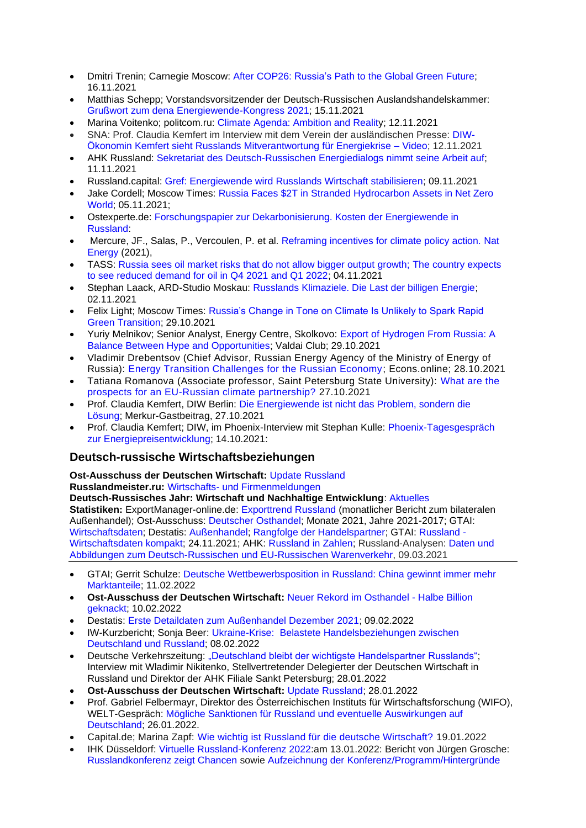- Dmitri Trenin; Carnegie Moscow: After COP26: [Russia's](https://carnegiemoscow.org/commentary/85789) Path to the Global Green Future; 16.11.2021
- Matthias Schepp; Vorstandsvorsitzender der Deutsch-Russischen Auslandshandelskammer: [Grußwort zum dena Energiewende-Kongress 2021;](https://www.youtube.com/watch?v=LFyEtbElJ-c) 15.11.2021
- Marina Voitenko; politcom.ru: [Climate Agenda: Ambition and Reality;](http://politcom.ru/24366.html) 12.11.2021
- SNA: Prof. Claudia Kemfert im Interview mit dem Verein der ausländischen Presse: [DIW-](https://snanews.de/20211112/diw-oekonomin-kemfert-video-4292333.html)[Ökonomin Kemfert sieht Russlands Mitverantwortung für Energiekrise –](https://snanews.de/20211112/diw-oekonomin-kemfert-video-4292333.html) Video; 12.11.2021
- AHK Russland: [Sekretariat des Deutsch-Russischen Energiedialogs nimmt seine Arbeit auf;](https://russland.ahk.de/infothek/news/detail/sekretariat-des-deutsch-russischen-energiedialogs-nimmt-seine-arbeit-auf) 11.11.2021
- Russland.capital: [Gref: Energiewende wird Russlands Wirtschaft stabilisieren;](https://www.russland.capital/gref-energiewende-wird-russlands-wirtschaft-stabilisieren) 09.11.2021
- Jake Cordell; Moscow Times: [Russia Faces \\$2T in Stranded Hydrocarbon Assets in Net Zero](https://www.themoscowtimes.com/2021/11/05/russia-faces-2t-in-stranded-hydrocarbon-assets-in-net-zero-world-a75491)  [World;](https://www.themoscowtimes.com/2021/11/05/russia-faces-2t-in-stranded-hydrocarbon-assets-in-net-zero-world-a75491) 05.11.2021;
- Ostexperte.de: [Forschungspapier zur Dekarbonisierung. Kosten der Energiewende in](https://ostexperte.de/kosten-der-energiewende-fur-russland/)  [Russland:](https://ostexperte.de/kosten-der-energiewende-fur-russland/)
- Mercure, JF., Salas, P., Vercoulen, P. et al. [Reframing incentives for climate policy action.](https://www.nature.com/articles/s41560-021-00934-2) Nat [Energy](https://www.nature.com/articles/s41560-021-00934-2) (2021),
- TASS: [Russia sees oil market risks that do not allow bigger output growth; The country expects](https://tass.com/economy/1357965)  [to see reduced demand for oil in Q4 2021 and Q1 2022;](https://tass.com/economy/1357965) 04.11.2021
- Stephan Laack, ARD-Studio Moskau: [Russlands Klimaziele. Die Last der billigen Energie;](https://www.tagesschau.de/ausland/asien/russland-klimaziele-101.html) 02.11.2021
- [Felix Light;](https://www.themoscowtimes.com/author/felix-light) Moscow Times: [Russia's Change in Tone on Climate Is Unlikely to Spark Rapid](https://www.themoscowtimes.com/2021/10/29/russias-change-in-tone-on-climate-is-unlikely-to-spark-rapid-green-transition-a75443)  [Green Transition;](https://www.themoscowtimes.com/2021/10/29/russias-change-in-tone-on-climate-is-unlikely-to-spark-rapid-green-transition-a75443) 29.10.2021
- Yuriy Melnikov; Senior Analyst, Energy Centre, Skolkovo: [Export of Hydrogen From Russia: A](https://valdaiclub.com/a/highlights/export-of-hydrogen-from-russia/)  [Balance Between Hype and Opportunities;](https://valdaiclub.com/a/highlights/export-of-hydrogen-from-russia/) Valdai Club; 29.10.2021
- Vladimir Drebentsov (Chief Advisor, Russian Energy Agency of the Ministry of Energy of Russia): [Energy Transition Challenges for the Russian Economy;](https://econs.online/articles/opinions/vyzovy-energoperekhoda-dlya-rossiyskoy-ekonomiki/) Econs.online; 28.10.2021
- [Tatiana Romanova](https://www.europeanleadershipnetwork.org/person/dr-tatiana-romanova/) (Associate professor, Saint Petersburg State University): [What are the](https://www.europeanleadershipnetwork.org/commentary/whar-are-the-prospects-for-an-eu-russian-climate-partnership/)  [prospects for an EU-Russian climate partnership?](https://www.europeanleadershipnetwork.org/commentary/whar-are-the-prospects-for-an-eu-russian-climate-partnership/) 27.10.2021
- Prof. Claudia Kemfert, DIW Berlin: [Die Energiewende ist nicht das Problem, sondern die](https://www.merkur.de/wirtschaft/energiewende-claudia-kemfert-klimaschutz-ampel-co2-steuer-erneuerbare-energien-diw-stimme-der-oekonomen-zr-91070553.html) [Lösung;](https://www.merkur.de/wirtschaft/energiewende-claudia-kemfert-klimaschutz-ampel-co2-steuer-erneuerbare-energien-diw-stimme-der-oekonomen-zr-91070553.html) Merkur-Gastbeitrag, 27.10.2021
- Prof. Claudia Kemfert; DIW, im Phoenix-Interview mit Stephan Kulle: [Phoenix-Tagesgespräch](https://www.phoenix.de/sendungen/ereignisse/phoenix-vor-ort/ua-live-phoenix-tagesgespraech-mit-energieexpertin-prof-claudia-kemfert-deutsches-institut-fuer-wirtschaftsforschung-a-2276145.html)  [zur Energiepreisentwicklung;](https://www.phoenix.de/sendungen/ereignisse/phoenix-vor-ort/ua-live-phoenix-tagesgespraech-mit-energieexpertin-prof-claudia-kemfert-deutsches-institut-fuer-wirtschaftsforschung-a-2276145.html) 14.10.2021:

# **Deutsch-russische Wirtschaftsbeziehungen**

**Ost-Ausschuss der Deutschen Wirtschaft:** Update [Russland](https://www.ost-ausschuss.de/de/oa-updates-zu-regionen)

**Russlandmeister.ru:** [Wirtschafts-](https://russlandmeister.ru/de#business-news) und [Firmenmeldungen](https://russlandmeister.ru/de#aktuelles)

**Deutsch-Russisches Jahr: Wirtschaft und Nachhaltige Entwicklung**: [Aktuelles](https://www.deutsch-russisches-themenjahr.de/de/drj2020/drj2020-aktuelle-meldungen) **Statistiken:** ExportManager-online.de: [Exporttrend Russland](https://exportmanager-online.de/themen/exporttrends/) (monatlicher Bericht zum bilateralen Außenhandel); Ost-Ausschuss: [Deutscher Osthandel;](https://www.ost-ausschuss.de/de/statistik) Monate 2021, Jahre 2021-2017; GTAI: [Wirtschaftsdaten;](https://www.gtai.de/resource/blob/18370/5eaafbd2aef7513a1820a917fc316bb1/GTAI-Wirtschaftsdaten_Mai_2021_Russland.pdf) Destatis: [Außenhandel;](https://www.destatis.de/DE/Themen/Wirtschaft/Aussenhandel/_inhalt.html;jsessionid=981FCD80EFF5D8656DD5D757E4DCD80D.live732) [Rangfolge der Handelspartner;](https://www.destatis.de/DE/Themen/Wirtschaft/Aussenhandel/Tabellen/rangfolge-handelspartner.html;jsessionid=016678E727ACA15B245C05443AF2B9FB.live742) GTAI: [Russland -](https://www.gtai.de/gtai-de/trade/wirtschaftsumfeld/wirtschaftsdaten-kompakt/russland/wirtschaftsdaten-kompakt-russland-156830) [Wirtschaftsdaten kompakt;](https://www.gtai.de/gtai-de/trade/wirtschaftsumfeld/wirtschaftsdaten-kompakt/russland/wirtschaftsdaten-kompakt-russland-156830) 24.11.2021; AHK: [Russland in Zahlen;](https://russland.ahk.de/infothek/medien/russland-in-zahlen) Russland-Analysen: [Daten und](https://www.laender-analysen.de/russland-analysen/399/daten-warenverkehr-russland-deutschland-eu/)  [Abbildungen zum Deutsch-Russischen und EU-Russischen Warenverkehr,](https://www.laender-analysen.de/russland-analysen/399/daten-warenverkehr-russland-deutschland-eu/) 09.03.2021

- GTAI; Gerrit Schulze: [Deutsche Wettbewerbsposition in Russland: China gewinnt immer mehr](https://www.gtai.de/gtai-de/trade/russland/wirtschaftsumfeld1/china-gewinnt-immer-mehr-marktanteile-799194)  [Marktanteile;](https://www.gtai.de/gtai-de/trade/russland/wirtschaftsumfeld1/china-gewinnt-immer-mehr-marktanteile-799194) 11.02.2022
- **Ost-Ausschuss der Deutschen Wirtschaft:** [Neuer Rekord im Osthandel -](https://www.ost-ausschuss.de/de/neuer-rekord-im-osthandel-halbe-billion-geknackt) Halbe Billion [geknackt;](https://www.ost-ausschuss.de/de/neuer-rekord-im-osthandel-halbe-billion-geknackt) 10.02.2022
- Destatis: [Erste Detaildaten zum Außenhandel Dezember 2021;](https://www.destatis.de/DE/Themen/Wirtschaft/Aussenhandel/Tabellen/aussenhandel-detaildaten.pdf?__blob=publicationFile) 09.02.2022
- IW-Kurzbericht; Sonja Beer: [Ukraine-Krise: Belastete Handelsbeziehungen zwischen](https://www.iwkoeln.de/studien/sonja-beer-belastete-handelsbeziehungen-zwischen-russland-und-deutschland.html)  [Deutschland und Russland;](https://www.iwkoeln.de/studien/sonja-beer-belastete-handelsbeziehungen-zwischen-russland-und-deutschland.html) 08.02.2022
- Deutsche Verkehrszeitung: ["Deutschland bleibt der wichtigste Handelspartner Russlands";](https://www.dvz.de/rubriken/politik/detail/news/deutschland-bleibt-der-wichtigste-handelspartner-russlands.html#:~:text=Deutschland%20ist%20und%20bleibt%20der,5%20%25%20h%C3%B6her%20als%20im%20Vorjahreszeitraum.) Interview mit Wladimir Nikitenko, Stellvertretender Delegierter der Deutschen Wirtschaft in Russland und Direktor der AHK Filiale Sankt Petersburg; 28.01.2022
- **Ost-Ausschuss der Deutschen Wirtschaft:** Update [Russland;](https://www.ost-ausschuss.de/de/oa-updates-zu-regionen) 28.01.2022
- Prof. Gabriel Felbermayr, Direktor des Österreichischen Instituts für Wirtschaftsforschung (WIFO), WELT-Gespräch: [Mögliche Sanktionen für Russland und eventuelle Auswirkungen auf](https://www.welt.de/politik/ausland/video236480933/WELT-Gespraech-Prof-Gabriel-Felbermayr-im-Interview.html)  [Deutschland;](https://www.welt.de/politik/ausland/video236480933/WELT-Gespraech-Prof-Gabriel-Felbermayr-im-Interview.html) 26.01.2022.
- Capital.de; Marina Zapf: [Wie wichtig ist Russland für die deutsche Wirtschaft?](https://www.capital.de/wirtschaft-politik/wie-wichtig-ist-russland-fuer-die-deutsche-wirtschaft) 19.01.2022
- IHK Düsseldorf: Virtuelle [Russland-Konferenz 2022:](https://www.duesseldorf.ihk.de/aussenwirtschaft/auslandsmaerkte/russland/veranstaltungsvorschau-russland-2598840)am 13.01.2022: Bericht von Jürgen Grosche: [Russlandkonferenz zeigt Chancen](https://www.ihkmagazin.de/russlandkonferenz/) sowie [Aufzeichnung der Konferenz/Programm/Hintergründe](https://www.duesseldorf.ihk.de/aussenwirtschaft/auslandsmaerkte/russland/aktuelles-aus-russland/russland-konferenz-2022-5350184)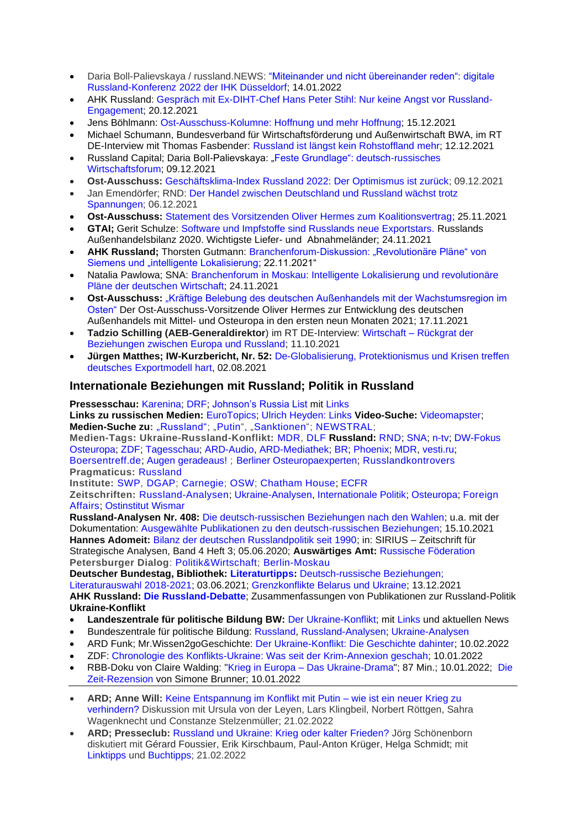- Daria Boll-Palievskaya / russland.NEWS: "Miteinander und nicht übereinander reden": digitale [Russland-Konferenz 2022 der IHK Düsseldorf;](https://www.russland.capital/miteinander-und-nicht-uebereinander-reden-digitale-russland-konferenz-2022) 14.01.2022
- AHK Russland: [Gespräch mit Ex-DIHT-Chef Hans Peter Stihl: Nur keine Angst vor Russland-](https://russland.ahk.de/news/detail?tx_news_pi1%5Bnews%5D=55709&cHash=33ff27d998b469d815a4372ddbf97772)[Engagement;](https://russland.ahk.de/news/detail?tx_news_pi1%5Bnews%5D=55709&cHash=33ff27d998b469d815a4372ddbf97772) 20.12.2021
- Jens Böhlmann: [Ost-Ausschuss-Kolumne: Hoffnung und mehr Hoffnung;](https://ostexperte.de/kolumne-hoffnung-und-mehr-hoffnung/) 15.12.2021
- Michael Schumann, Bundesverband für Wirtschaftsförderung und Außenwirtschaft BWA, im RT DE-Interview mit Thomas Fasbender: [Russland ist längst kein Rohstoffland](https://de.rt.com/programme/fasbender/128132-fasbender-im-gesprach-mit-michael/) mehr; 12.12.2021
- Russland Capital; Daria Boll-Palievskaya: ["Feste Grundlage": deutsch-russisches](https://www.russland.capital/feste-grundlage-deutsch-russisches-wirtschaftsforum)  [Wirtschaftsforum;](https://www.russland.capital/feste-grundlage-deutsch-russisches-wirtschaftsforum) 09.12.2021
- **Ost-Ausschuss:** [Geschäftsklima-Index Russland 2022: Der Optimismus ist zurück;](https://www.ost-ausschuss.de/de/der-wirtschaftliche-optimismus-ist-zurueck) 09.12.2021
- Jan Emendörfer; RND: [Der Handel zwischen Deutschland und Russland wächst trotz](https://www.rnd.de/wirtschaft/deutschland-und-russland-handel-waechst-trotz-spannungen-V3ELCNG6WBBKRN7Y6Z4FIGVSEQ.html)  [Spannungen;](https://www.rnd.de/wirtschaft/deutschland-und-russland-handel-waechst-trotz-spannungen-V3ELCNG6WBBKRN7Y6Z4FIGVSEQ.html) 06.12.2021
- **Ost-Ausschuss:** [Statement des Vorsitzenden Oliver Hermes zum Koalitionsvertrag;](https://www.ost-ausschuss.de/de/klares-bekenntnis-zur-vertiefung-der-zusammenarbeit-mit-osteuropa) 25.11.2021
- **GTAI;** Gerit Schulze: [Software und Impfstoffe sind Russlands neue Exportstars.](https://www.gtai.de/gtai-de/trade/russland/wirtschaftsumfeld1/software-und-impfstoffe-sind-russlands-neue-exportstars-535440) Russlands Außenhandelsbilanz 2020. Wichtigste Liefer- und Abnahmeländer; 24.11.2021
- **AHK Russland;** Thorsten Gutmann: Branchenforum-Diskussion: "Revolutionäre Pläne" von [Siemens und "intelligente Lokalisierung;](https://russland.ahk.de/infothek/news/detail/branchenforum-diskussion-siemens-revolutionaere-plaene-und-intelligente-lokalisierung) 22.11.2021"
- Natalia Pawlowa; SNA: [Branchenforum in Moskau: Intelligente Lokalisierung und revolutionäre](https://snanews.de/20211124/branchenforum-in-moskau-4443845.html)  [Pläne der deutschen Wirtschaft;](https://snanews.de/20211124/branchenforum-in-moskau-4443845.html) 24.11.2021
- **Ost-Ausschuss:** ["Kräftige Belebung des deutschen Außenhandels mit der Wachstumsregion im](https://www.ost-ausschuss.de/de/kraeftige-belebung-des-deutschen-aussenhandels-mit-der-wachstumsregion-im-osten)  [Osten"](https://www.ost-ausschuss.de/de/kraeftige-belebung-des-deutschen-aussenhandels-mit-der-wachstumsregion-im-osten) Der Ost-Ausschuss-Vorsitzende Oliver Hermes zur Entwicklung des deutschen Außenhandels mit Mittel- und Osteuropa in den ersten neun Monaten 2021; 17.11.2021
- **Tadzio Schilling (AEB-Generaldirektor**) im RT DE-Interview: Wirtschaft [Rückgrat der](https://de.rt.com/wirtschaft/125390-tadzio-schilling-wirtschaft-ruckgrat-beziehungen-beziehungen-zwischen-europa-russland/)  [Beziehungen zwischen Europa und Russland;](https://de.rt.com/wirtschaft/125390-tadzio-schilling-wirtschaft-ruckgrat-beziehungen-beziehungen-zwischen-europa-russland/) 11.10.2021
- **Jürgen Matthes; IW-Kurzbericht, Nr. 52:** [De-Globalisierung, Protektionismus und Krisen treffen](https://www.iwkoeln.de/studien/juergen-matthes-de-globalisierung-protektionismus-und-krisen-treffen-deutsches-exportmodell-hart-514030.html)  [deutsches Exportmodell hart,](https://www.iwkoeln.de/studien/juergen-matthes-de-globalisierung-protektionismus-und-krisen-treffen-deutsches-exportmodell-hart-514030.html) 02.08.2021

# **Internationale Beziehungen mit Russland; Politik in Russland**

**Pressesschau:** [Karenina;](https://www.karenina.de/category/news/presseschau/) [DRF;](https://www.deutsch-russisches-forum.de/category/pressespiegel) [Johnson's Russia List](https://russialist.org/) mit [Links](https://russialist.org/links/) **Links zu russischen Medien:** [EuroTopics;](https://www.eurotopics.net/de/142186/medien?search=&country=146435&language=0&art=0&circulation=0&typ=1#results) [Ulrich Heyden: Links](https://ulrich-heyden.de/links) **Video-Suche:** [Videomapster;](https://videomapster.com/search?q=Russland&category=) **Medien-Suche zu:** ["Russland";](https://www.weltflimmern.de/russland) ["Putin"](https://www.weltflimmern.de/Putin), ["Sanktionen"](https://www.weltflimmern.de/sanktionen); [NEWSTRAL;](https://newstral.com/de/search/articles?utf8=%E2%9C%93&q=Russland)

**Medien-Tags: Ukraine-Russland-Konflikt:** [MDR,](https://www.mdr.de/nachrichten/welt/osteuropa/politik/ukraine-russland-konflikt-100.html) [DLF](https://www.deutschlandfunk.de/ukraine-russland-konflikt-104.html) **Russland:** [RND;](https://www.rnd.de/themen/russland/) [SNA;](https://snanews.de/common_deutsch-russische-beziehungen+location_russland/) [n-tv;](https://www.n-tv.de/thema/russland) [DW-Fokus](https://www.dw.com/de/fokus-osteuropa/s-8451)  [Osteuropa;](https://www.dw.com/de/fokus-osteuropa/s-8451) [ZDF;](https://www.zdf.de/suche?q=Russland&synth=true&sender=Gesamtes+Angebot&from=&to=&attrs=&abName=ab-2021-05-31&abGroup=gruppe-c) [Tagesschau;](https://www.tagesschau.de/thema/russland/) [ARD-Audio,](https://www.ardaudiothek.de/suche/Russland%202022/) [ARD-Mediathek;](https://www.ardmediathek.de/suche/Putin/) [BR;](https://www.br.de/nachrichten/suche/?param=Russland) [Phoenix;](https://www.phoenix.de/russland-r-252413.html) [MDR,](https://www.mdr.de/nachrichten/welt/osteuropa/land-leute/russland-osteuropa-102.html) [vesti.ru;](https://www.vesti.ru/tag/%D0%93%D0%B5%D1%80%D0%BC%D0%B0%D0%BD%D0%B8%D1%8F) [Boersentreff.de;](https://www.boersentreff.de/top_news-russland.htm) [Augen geradeaus!](https://augengeradeaus.net/category/russland/) ; [Berliner Osteuropaexperten;](https://de-de.facebook.com/berliner.osteuropa.experten) [Russlandkontrovers](http://www.russlandkontrovers.com/) **Pragmaticus:** [Russland](https://www.derpragmaticus.com/d/russland/)

**Institute:** [SWP,](https://www.swp-berlin.org/themen/forschungsgebiete/russland-osteuropa-zentralasien) [DGAP;](https://dgap.org/de/forschung/expertise/russland-zentralasien) [Carnegie;](https://carnegiemoscow.org/?lang=en) [OSW;](https://www.osw.waw.pl/en/publikacje?f%5B0%5D=obszary%3A20) [Chatham House;](https://www.chathamhouse.org/regions/russia-and-eurasia/russia) [ECFR](https://ecfr.eu/category/wider/russia/)

**Zeitschriften:** [Russland-Analysen;](https://laender-analysen.de/russland-analysen/) [Ukraine-Analysen,](https://www.bpb.de/internationales/europa/ukraine/) [Internationale Politik;](https://internationalepolitik.de/de/regionen/europa/osteuropa/russische-foederation) [Osteuropa;](https://zeitschrift-osteuropa.de/laender/russland/) [Foreign](https://www.foreignaffairs.com/regions/russia-fsu)  [Affairs;](https://www.foreignaffairs.com/regions/russia-fsu) [Ostinstitut Wismar](https://www.ostinstitut.de/ost-letter)

**Russland-Analysen Nr. 408:** [Die deutsch-russischen Beziehungen nach den Wahlen;](https://laender-analysen.de/russland-analysen/408/) u.a. mit der Dokumentation: [Ausgewählte Publikationen zu den deutsch-russischen Beziehungen;](https://laender-analysen.de/russland-analysen/408/ausgewaehlte-publikationen-ueber-die-deutsch-russischen-beziehungen/?utm_source=newsletter&utm_medium=email&utm_campaign=Russland-Analysen+408&newsletter=Russland-Analysen+408) 15.10.2021 **Hannes Adomeit:** [Bilanz der deutschen Russlandpolitik seit 1990;](https://www.degruyter.com/document/doi/10.1515/sirius-2020-3004/html) in: SIRIUS – Zeitschrift für Strategische Analysen, Band 4 Heft 3; 05.06.2020; **Auswärtiges Amt:** [Russische Föderation](https://www.auswaertiges-amt.de/de/aussenpolitik/laender/russischefoederation-node) **Petersburger Dialog**: [Politik&Wirtschaft;](https://www.petersburgerdialog.de/category/politik/) [Berlin-Moskau](https://www.petersburgerdialog.de/category/berlin-moskau/)

**Deutscher Bundestag, Bibliothek: [Literaturtipps:](https://www.bundestag.de/dokumente/bibliothek/akt_lit/littipps/littipps-196824)** [Deutsch-russische Beziehungen;](https://www.bundestag.de/resource/blob/845440/37f1fb0e99ee28da2202bed2fc496d1c/littipp_Deutsch-russische-Beziehungen-data.pdf) 

[Literaturauswahl 2018-2021;](https://www.bundestag.de/resource/blob/845440/37f1fb0e99ee28da2202bed2fc496d1c/littipp_Deutsch-russische-Beziehungen-data.pdf) 03.06.2021; [Grenzkonflikte Belarus und Ukraine;](https://www.bundestag.de/resource/blob/871850/088e824a16ec8ecc36f264e47697e556/littipp_grenzkonflikte_belarus_und_ukraine-data.pdf) 13.12.2021

**AHK Russland: [Die Russland-Debatte](https://russland.ahk.de/infothek/medien/die-russland-debatte)**; Zusammenfassungen von Publikationen zur Russland-Politik **Ukraine-Konflikt**

- **Landeszentrale für politische Bildung BW:** [Der Ukraine-Konflikt;](https://www.lpb-bw.de/ukrainekonflikt) mit [Links](https://www.lpb-bw.de/ukraine-links) und aktuellen News
- Bundeszentrale für politische Bildung: [Russland,](https://www.bpb.de/internationales/europa/russland/) [Russland-Analysen;](https://www.bpb.de/internationales/europa/russland/analysen/) [Ukraine-Analysen](https://www.bpb.de/internationales/europa/ukraine/)
- ARD Funk; Mr.Wissen2goGeschichte: [Der Ukraine-Konflikt: Die Geschichte dahinter;](https://www.ardmediathek.de/video/der-ukraine-konflikt-die-geschichte-dahinter/funk/Y3JpZDovL2Z1bmsubmV0LzEyMDI0L3ZpZGVvLzE3ODgxNDE/) 10.02.2022
- ZDF: [Chronologie des Konflikts-Ukraine: Was seit der Krim-Annexion geschah;](https://www.zdf.de/nachrichten/politik/ukraine-konflikt-chronologie-100.html) 10.01.2022
- RBB-Doku von Claire Walding: "Krieg in Europa [Das Ukraine-Drama"](https://www.rbb-online.de/doku/k-l/krieg-in-europa---das-ukraine-drama.html); 87 Min.; 10.01.2022; [Die](https://www.zeit.de/kultur/film/2022-01/krieg-europa-ukraine-drama-film-dokumentation)  [Zeit-Rezension](https://www.zeit.de/kultur/film/2022-01/krieg-europa-ukraine-drama-film-dokumentation) von [Simone Brunner;](https://www.zeit.de/autoren/B/Simone_Brunner/index) 10.01.2022
- **ARD; Anne Will:** [Keine Entspannung im Konflikt mit Putin –](https://daserste.ndr.de/annewill/Keine-Entspannung-im-Konflikt-mit-Putin-wie-ist-ein-neuer-Krieg-zu-verhindern,annewill7368.html) wie ist ein neuer Krieg zu [verhindern?](https://daserste.ndr.de/annewill/Keine-Entspannung-im-Konflikt-mit-Putin-wie-ist-ein-neuer-Krieg-zu-verhindern,annewill7368.html) Diskussion mit Ursula von der Leyen, Lars Klingbeil, Norbert Röttgen, Sahra Wagenknecht und Constanze Stelzenmüller; 21.02.2022
- **ARD; Presseclub:** [Russland und Ukraine: Krieg oder kalter Frieden?](https://www1.wdr.de/daserste/presseclub/sendungen/russland-ukraine-108.html) Jörg Schönenborn diskutiert mit Gérard Foussier, Erik Kirschbaum, Paul-Anton Krüger, Helga Schmidt; mit [Linktipps](https://www1.wdr.de/daserste/presseclub/linktipps-russland-ukraine-102.html) und [Buchtipps;](https://www1.wdr.de/daserste/presseclub/buchtipps-russland-ukraine-102.html) 21.02.2022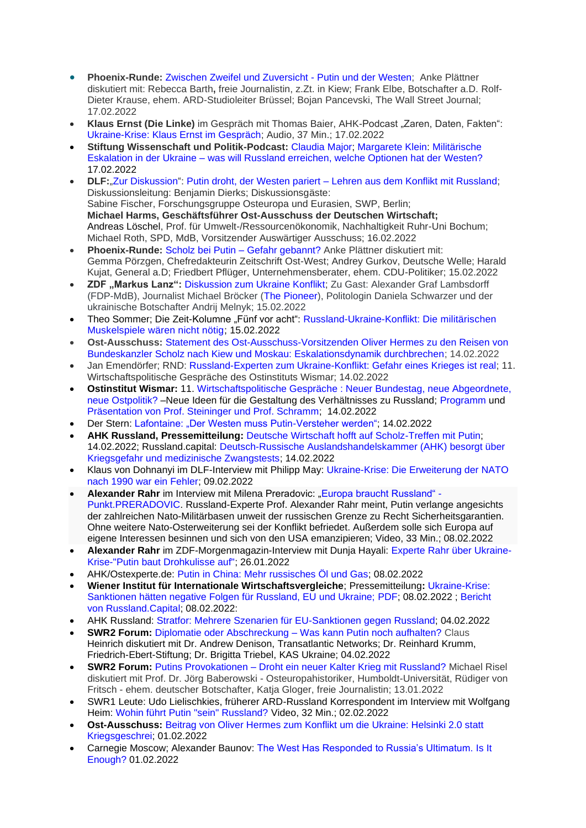- **Phoenix-Runde:** [Zwischen Zweifel und Zuversicht -](https://www.phoenix.de/sendungen/gespraeche/phoenix-runde/zwischen-zweifel-und-zuversicht---putin-und-der-westen-a-2483098.html) Putin und der Westen; Anke Plättner diskutiert mit: Rebecca Barth**,** freie Journalistin, z.Zt. in Kiew; Frank Elbe, Botschafter a.D. Rolf-Dieter Krause, ehem. ARD-Studioleiter Brüssel; Bojan Pancevski, The Wall Street Journal; 17.02.2022
- Klaus Ernst (Die Linke) im Gespräch mit Thomas Baier, AHK-Podcast "Zaren, Daten, Fakten": [Ukraine-Krise: Klaus Ernst im Gespräch;](https://podcasts.google.com/feed/aHR0cHM6Ly9mZWVkcy5yZWRjaXJjbGUuY29tL2U5NmY1OTU3LTY2NzAtNDBkYS1hZTBkLWI4ODkyYTA1YmZkZQ/episode/MDg0NjJlNTQtMDY5ZS00NzRiLThhMzUtNGI5NmYyNjQ4MmZi?sa=X&ved=0CA0QkfYCahcKEwj4pt2qtIn2AhUAAAAAHQAAAAAQAQ) Audio, 37 Min.; 17.02.2022
- **Stiftung Wissenschaft und Politik-Podcast:** [Claudia](https://www.swp-berlin.org/wissenschaftler-in/claudia-major) Major; [Margarete](https://www.swp-berlin.org/wissenschaftler-in/margarete-klein) Klein: [Militärische](https://www.swp-berlin.org/publikation/militaerische-eskalation-in-der-ukraine-was-will-russland-erreichen-welche-optionen-hat-der-westen)  Eskalation in der Ukraine – [was will Russland erreichen, welche Optionen hat der Westen?](https://www.swp-berlin.org/publikation/militaerische-eskalation-in-der-ukraine-was-will-russland-erreichen-welche-optionen-hat-der-westen) 17.02.2022
- **DLF:**["Zur Diskussion"](https://www.deutschlandfunk.de/zur-diskussion-102.xml): Putin droht, der Westen pariert [Lehren aus dem Konflikt mit Russland;](https://www.deutschlandfunk.de/putin-droht-der-westen-pariert-lehren-aus-dem-konflikt-mit-russland-dlf-c310d69b-100.html) Diskussionsleitung: Benjamin Dierks; Diskussionsgäste: Sabine Fischer, Forschungsgruppe Osteuropa und Eurasien, SWP, Berlin; **Michael Harms, Geschäftsführer Ost-Ausschuss der Deutschen Wirtschaft;** Andreas Löschel, Prof. für Umwelt-/Ressourcenökonomik, Nachhaltigkeit Ruhr-Uni Bochum; Michael Roth, SPD, MdB, Vorsitzender Auswärtiger Ausschuss; 16.02.2022
- **Phoenix-Runde:** [Scholz bei Putin –](https://www.phoenix.de/sendungen/gespraeche/phoenix-runde/scholz-bei-putin---gefahr-gebannt-a-2482318.html) Gefahr gebannt? Anke Plättner diskutiert mit: Gemma Pörzgen, Chefredakteurin Zeitschrift Ost-West; Andrey Gurkov, Deutsche Welle; Harald Kujat, General a.D; Friedbert Pflüger, Unternehmensberater, ehem. CDU-Politiker; 15.02.2022
- **ZDF "Markus Lanz":** [Diskussion zum Ukraine Konflikt;](https://www.zdf.de/gesellschaft/markus-lanz/markus-lanz-vom-15-februar-2022-100.html) Zu Gast: Alexander Graf Lambsdorff (FDP-MdB), Journalist Michael Bröcker [\(The Pioneer\)](https://www.thepioneer.de/), Politologin Daniela Schwarzer und der ukrainische Botschafter Andrij Melnyk; 15.02.2022
- Theo Sommer; Die Zeit-Kolumne "Fünf vor acht": [Russland-Ukraine-Konflikt: Die militärischen](https://www.zeit.de/politik/ausland/2022-02/russland-ukraine-konflikt-eu-usa-sicherheitspolitik-5vor8)  [Muskelspiele wären nicht nötig;](https://www.zeit.de/politik/ausland/2022-02/russland-ukraine-konflikt-eu-usa-sicherheitspolitik-5vor8) 15.02.2022
- **Ost-Ausschuss:** [Statement des Ost-Ausschuss-Vorsitzenden Oliver Hermes zu den Reisen von](https://www.ost-ausschuss.de/de/eskalationsdynamik-durchbrechen)  [Bundeskanzler Scholz nach Kiew und Moskau: Eskalationsdynamik durchbrechen;](https://www.ost-ausschuss.de/de/eskalationsdynamik-durchbrechen) 14.02.2022
- Jan Emendörfer; RND: [Russland-Experten zum Ukraine-Konflikt: Gefahr eines Krieges ist real;](https://www.rnd.de/politik/ukraine-konflikt-mit-russland-gefahr-eines-krieges-real-laut-experten-6NXFTBH7ZFF4TNCRG7CO35CF7Q.html) 11. Wirtschaftspolitische Gespräche des Ostinstituts Wismar; 14.02.2022
- **Ostinstitut Wismar:** 11. [Wirtschaftspolitische Gespräche : Neuer Bundestag, neue Abgeordnete,](https://www.ostinstitut.de/detail/11-wirt-schafts-poli-tische-gespraeche-des-ost-inst-ituts-wismar)  [neue Ostpolitik?](https://www.ostinstitut.de/detail/11-wirt-schafts-poli-tische-gespraeche-des-ost-inst-ituts-wismar) –Neue Ideen für die Gestaltung des Verhältnisses zu Russland; [Programm](https://www.ostinstitut.de/files/veranstaltungen/11_wirtschaftspolitische_gespraeche_programm.pdf) und [Präsentation von Prof. Steininger und Prof. Schramm;](https://www.ostinstitut.de/files/veranstaltungen/11.%20Wirtschaftspolitische%20Gespr%C3%A4che%20Vorstellungen%20einer%20neuen%20Russland-Politik%20-%2014.02.2022.pdf) 14.02.2022
- Der Stern: [Lafontaine: "Der Westen muss Putin-Versteher werden";](https://www.stern.de/gesellschaft/regional/lafontaine--der-westen-muss--putin-versteher--werden-31627378.html) 14.02.2022
- **AHK Russland, Pressemitteilung:** [Deutsche Wirtschaft hofft auf Scholz-Treffen mit Putin;](https://russland.ahk.de/news/detail/deutsche-wirtschaft-hofft-auf-scholz-treffen-mit-putin) 14.02.2022; Russland.capital: [Deutsch-Russische Auslandshandelskammer \(AHK\) besorgt über](https://www.russland.capital/deutsch-russische-auslandshandelskammer-ahk-besorgt-ueber-kriegsgefahr-und-medizinische-zwangstests)  [Kriegsgefahr und medizinische Zwangstests;](https://www.russland.capital/deutsch-russische-auslandshandelskammer-ahk-besorgt-ueber-kriegsgefahr-und-medizinische-zwangstests) 14.02.2022
- Klaus von Dohnanyi im DLF-Interview mit Philipp May: [Ukraine-Krise: Die Erweiterung der NATO](https://www.deutschlandfunk.de/interview-mit-klaus-von-dohnanyi-spd-ex-buergermeister-hh-zu-ukrainekrise-dlf-fa676f9c-100.html)  [nach 1990 war ein Fehler;](https://www.deutschlandfunk.de/interview-mit-klaus-von-dohnanyi-spd-ex-buergermeister-hh-zu-ukrainekrise-dlf-fa676f9c-100.html) 09.02.2022
- Alexander Rahr im Interview mit Milena Preradovic: ["Europa braucht Russland" -](https://www.youtube.com/watch?v=iRFoCz_Ue_g) [Punkt.PRERADOVIC.](https://www.youtube.com/watch?v=iRFoCz_Ue_g) Russland-Experte Prof. Alexander Rahr meint, Putin verlange angesichts der zahlreichen Nato-Militärbasen unweit der russischen Grenze zu Recht Sicherheitsgarantien. Ohne weitere Nato-Osterweiterung sei der Konflikt befriedet. Außerdem solle sich Europa auf eigene Interessen besinnen und sich von den USA emanzipieren; Video, 33 Min.; 08.02.2022
- **Alexander Rahr** im ZDF-Morgenmagazin-Interview mit Dunja Hayali: [Experte Rahr über Ukraine-](https://www.zdf.de/nachrichten/politik/ukraine-konflikt-russland-osteuropa-experte-rahr-100.html)[Krise-"Putin baut Drohkulisse auf";](https://www.zdf.de/nachrichten/politik/ukraine-konflikt-russland-osteuropa-experte-rahr-100.html) 26.01.2022
- AHK/Ostexperte.de: [Putin in China: Mehr russisches Öl und Gas;](https://ostexperte.de/putin-in-china-mehr-ol-und-gas/) 08.02.2022
- **Wiener Institut für Internationale Wirtschaftsvergleiche**; Pressemitteilung**:** [Ukraine-Krise:](https://wiiw.ac.at/press-release-ukraine-crisis-sanctions-would-have-negative-impact-on-russia-the-eu-and-ukraine-german-pnd-107.pdf)  [Sanktionen hätten negative Folgen für Russland, EU und Ukraine;](https://wiiw.ac.at/press-release-ukraine-crisis-sanctions-would-have-negative-impact-on-russia-the-eu-and-ukraine-german-pnd-107.pdf) [PDF;](https://wiiw.ac.at/possible-russian-invasion-of-ukraine-scenarios-for-sanctions-and-likely-economic-impact-on-russia-ukraine-and-the-eu-dlp-6044.pdf) 08.02.2022 ; [Bericht](https://www.russland.capital/ukraine-krise-sanktionen-haetten-negative-folgen-fuer-russland-eu-und-ukraine)  [von Russland.Capital;](https://www.russland.capital/ukraine-krise-sanktionen-haetten-negative-folgen-fuer-russland-eu-und-ukraine) 08.02.2022:
- AHK Russland: [Stratfor: Mehrere Szenarien für EU-Sanktionen gegen Russland;](https://russland.ahk.de/news/detail/stratfor-mehrere-szenarien-fuer-eu-sanktionen-gegen-russland) 04.02.2022
- **SWR2 Forum:** [Diplomatie oder Abschreckung –](https://www.swr.de/swr2/leben-und-gesellschaft/diplomatie-oder-abschreckung-was-kann-putin-noch-aufhalten-swr2-forum-2022-02-07-100.html) Was kann Putin noch aufhalten? Claus Heinrich diskutiert mit Dr. Andrew Denison, Transatlantic Networks; Dr. Reinhard Krumm, Friedrich-Ebert-Stiftung; Dr. Brigitta Triebel, KAS Ukraine; 04.02.2022
- **SWR2 Forum:** Putins Provokationen [Droht ein neuer Kalter Krieg mit Russland?](https://www.swr.de/swr2/leben-und-gesellschaft/putins-provokationen-droht-ein-neuer-kalter-krieg-mit-russland-100.html) Michael Risel diskutiert mit Prof. Dr. Jörg Baberowski - Osteuropahistoriker, Humboldt-Universität, Rüdiger von Fritsch - ehem. deutscher Botschafter, Katja Gloger, freie Journalistin; 13.01.2022
- SWR1 Leute: Udo Lielischkies, früherer ARD-Russland Korrespondent im Interview mit Wolfgang Heim: [Wohin führt Putin "sein" Russland?](https://www.ardmediathek.de/video/swr1-leute/udo-lielischkies-oder-russland-experte-oder-wohin-fuehrt-putin-sein-russland/swr/Y3JpZDovL3N3ci5kZS9hZXgvbzE2MDcxNjA/) Video, 32 Min.; 02.02.2022
- **Ost-Ausschuss:** [Beitrag von Oliver Hermes zum Konflikt um die Ukraine: Helsinki 2.0 statt](https://www.ost-ausschuss.de/de/helsinki-20-statt-kriegsgeschrei)  [Kriegsgeschrei;](https://www.ost-ausschuss.de/de/helsinki-20-statt-kriegsgeschrei) 01.02.2022
- Carnegie Moscow; Alexander Baunov: [The West Has Responded to Russia's Ultimatum. Is It](https://carnegiemoscow.org/commentary/86326)  [Enough?](https://carnegiemoscow.org/commentary/86326) 01.02.2022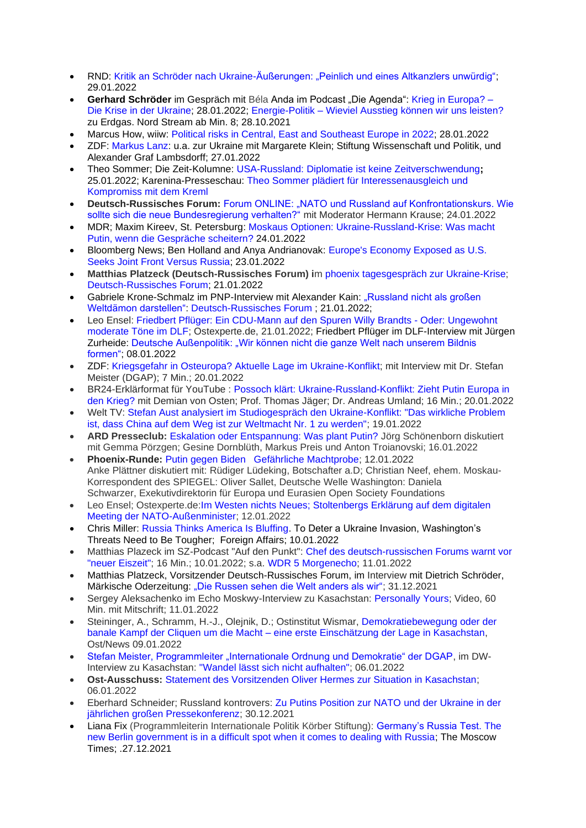- RND: [Kritik an Schröder nach Ukraine-Äußerungen: "Peinlich und eines Altkanzlers unwürdig";](https://www.rnd.de/politik/unionspolitiker-frei-scholz-muss-altkanzler-schroeder-widersprechen-OQXSKJ5LOUTJR6G225ODBZOQWQ.html) 29.01.2022
- **Gerhard Schröder** im Gespräch mit Béla Anda im Podcast "Die Agenda": [Krieg in Europa? –](https://www.a-b-c-communication.de/podcasts/) [Die Krise in der Ukraine;](https://www.a-b-c-communication.de/podcasts/) 28.01.2022; Energie-Politik – [Wieviel Ausstieg können wir uns leisten?](https://gerhardschroeder.podigee.io/29-neue-episode) zu Erdgas. Nord Stream ab Min. 8; 28.10.2021
- Marcus How, wiiw: [Political risks in Central, East and Southeast Europe in 2022;](https://wiiw.ac.at/political-risks-in-central-east-and-southeast-europe-in-2022-n-542.html) 28.01.2022
- ZDF: [Markus Lanz:](https://www.zdf.de/gesellschaft/markus-lanz/markus-lanz-vom-27-januar-2022-100.html) u.a. zur Ukraine mit Margarete Klein; Stiftung Wissenschaft und Politik, und Alexander Graf Lambsdorff; 27.01.2022
- [Theo Sommer;](https://www.zeit.de/autoren/S/Theo_Sommer/index.xml) Die Zeit-Kolumne: [USA-Russland: Diplomatie ist keine Zeitverschwendung](https://www.zeit.de/politik/ausland/2022-01/usa-russland-ukraine-aussenpolitik-konflikt/komplettansicht)**;**  25.01.2022; Karenina-Presseschau: [Theo Sommer plädiert für Interessenausgleich und](https://www.karenina.de/service/presseschau/russlandpolitik-diplomatie-ist-nicht-zeitverschwendung/)  [Kompromiss mit dem Kreml](https://www.karenina.de/service/presseschau/russlandpolitik-diplomatie-ist-nicht-zeitverschwendung/)
- **Deutsch-Russisches Forum:** [Forum ONLINE: "NATO und Russland auf Konfrontationskurs. Wie](https://www.deutsch-russisches-forum.de/russland-im-gespraech-am-24-januar/5577458)  [sollte sich die neue Bundesregierung verhalten?"](https://www.deutsch-russisches-forum.de/russland-im-gespraech-am-24-januar/5577458) mit Moderator Hermann Krause; 24.01.2022
- MDR; [Maxim Kireev, St. Petersburg:](https://www.mdr.de/nachrichten/welt/osteuropa/ostblogger/portraet-ostblogger-maxim-kireev-100.html) Moskaus Optionen: [Ukraine-Russland-Krise:](https://www.mdr.de/nachrichten/welt/osteuropa/politik/russland-ukraine-nato-gespraeche-putins-optionen-100.html) Was macht Putin, wenn die [Gespräche](https://www.mdr.de/nachrichten/welt/osteuropa/politik/russland-ukraine-nato-gespraeche-putins-optionen-100.html) scheitern? 24.01.2022
- Bloomberg News; Ben Holland and Anya Andrianovak: [Europe's Economy Exposed as U.S.](https://financialpost.com/pmn/business-pmn/europes-economies-have-more-at-stake-than-u-s-in-russia-clash)  [Seeks Joint Front Versus Russia;](https://financialpost.com/pmn/business-pmn/europes-economies-have-more-at-stake-than-u-s-in-russia-clash) 23.01.2022
- **Matthias Platzeck (Deutsch-Russisches Forum) i**m [phoenix tagesgespräch zur Ukraine-Krise;](https://www.phoenix.de/sendungen/ereignisse/phoenix-vor-ort/ua-phoenix-tagesgespraech-mit-matthias-platzeck-spd-vorsitzender-des-deutsch-russischen-forums-a-2406939.html?ref=suche) [Deutsch-Russisches Forum;](https://www.deutsch-russisches-forum.de/phoenix-tagesgespraech-mit-matthias-platzeck-mit-blick-auf-die-vielen-gespraeche-mit-blick-auf-die-ukraine-krise/5581690) 21.01.2022
- Gabriele Krone-Schmalz im PNP-Interview mit Alexander Kain: "Russland nicht als großen [Weltdämon darstellen":](https://www.deutsch-russisches-forum.de/portal/wp-content/uploads/2022/01/pnp-passau-stadt-land-21-01-2022.pdf) [Deutsch-Russisches Forum](https://www.deutsch-russisches-forum.de/russland-nicht-als-grossen-weltdaemon-darstellen/5582781) ; 21.01.2022;
- Leo Ensel: [Friedbert Pflüger: Ein CDU-Mann auf den Spuren Willy Brandts -](https://ostexperte.de/friedbert-pfluger-ein-cdu-mann-auf-den-spuren-willy-brandts/) Oder: Ungewohnt [moderate Töne im DLF;](https://ostexperte.de/friedbert-pfluger-ein-cdu-mann-auf-den-spuren-willy-brandts/) Ostexperte.de, 21.01.2022; Friedbert Pflüger im DLF-Interview mit Jürgen Zurheide: [Deutsche Außenpolitik: "Wir können nicht die ganze Welt nach unserem Bildnis](https://www.deutschlandfunk.de/interview-friedbert-pflueger-cdu-aussenpolitik-zwischen-idealismus-und-realismus-dlf-956ba91b-100.html)  [formen";](https://www.deutschlandfunk.de/interview-friedbert-pflueger-cdu-aussenpolitik-zwischen-idealismus-und-realismus-dlf-956ba91b-100.html) 08.01.2022
- ZDF: [Kriegsgefahr in Osteuropa? Aktuelle Lage im Ukraine-Konflikt;](https://www.zdf.de/verbraucher/volle-kanne/kriegsgefahr-in-osteuropa-100.html) mit Interview mit Dr. Stefan Meister (DGAP); 7 Min.; 20.01.2022
- BR24-Erklärformat für YouTube : [Possoch klärt: Ukraine-Russland-Konflikt: Zieht Putin Europa in](https://www.ardmediathek.de/video/ukraine-russland-konflikt-zieht-putin-europa-in-den-krieg/br-fernsehen/Y3JpZDovL2JyLmRlL3ZpZGVvLzczNmIzMDQxLTFiZjgtNDM3Ny1hNDFlLTA3ZGQzM2M1YTNkMw/)  [den Krieg?](https://www.ardmediathek.de/video/ukraine-russland-konflikt-zieht-putin-europa-in-den-krieg/br-fernsehen/Y3JpZDovL2JyLmRlL3ZpZGVvLzczNmIzMDQxLTFiZjgtNDM3Ny1hNDFlLTA3ZGQzM2M1YTNkMw/) mit Demian von Osten; Prof. Thomas Jäger; Dr. Andreas Umland; 16 Min.; 20.01.2022
- Welt TV: [Stefan Aust analysiert im Studiogespräch den Ukraine-Konflikt: "Das wirkliche Problem](https://www.youtube.com/watch?v=k8xyejVbsi8)  [ist, dass China auf dem Weg ist zur Weltmacht Nr. 1 zu werden";](https://www.youtube.com/watch?v=k8xyejVbsi8) 19.01.2022
- **ARD Presseclub:** [Eskalation oder Entspannung: Was plant Putin?](https://www1.wdr.de/daserste/presseclub/index.html) Jörg Schönenborn diskutiert mit Gemma Pörzgen; Gesine Dornblüth, Markus Preis und Anton Troianovski; 16.01.2022
- **Phoenix-Runde:** [Putin gegen Biden Gefährliche Machtprobe;](https://www.phoenix.de/sendungen/gespraeche/phoenix-runde/putin-gegen-biden--gefaehrliche-machtprobe-a-2397994.html) 12.01.2022 Anke Plättner diskutiert mit: Rüdiger Lüdeking, Botschafter a.D; Christian Neef, ehem. Moskau-Korrespondent des SPIEGEL: Oliver Sallet, Deutsche Welle Washington: Daniela Schwarzer, Exekutivdirektorin für Europa und Eurasien Open Society Foundations
- Leo Ensel; Ostexperte.de[:Im Westen nichts Neues; Stoltenbergs Erklärung auf dem digitalen](https://ostexperte.de/im-westen-nichts-neues/)  [Meeting der NATO-Außenminister;](https://ostexperte.de/im-westen-nichts-neues/) 12.01.2022
- Chris Miller: [Russia Thinks America Is Bluffing.](https://www.foreignaffairs.com/articles/russia-fsu/2022-01-10/russia-thinks-america-bluffing) To Deter a Ukraine Invasion, Washington's Threats Need to Be Tougher; Foreign Affairs; 10.01.2022
- Matthias Plazeck im SZ-Podcast "Auf den Punkt": [Chef des deutsch-russischen Forums warnt vor](https://www.sueddeutsche.de/politik/podcast-nachrichten-platzeck-chef-des-deutsch-russischen-forums-warnt-vor-neuer-eiszeit-1.5504106)  ["neuer Eiszeit";](https://www.sueddeutsche.de/politik/podcast-nachrichten-platzeck-chef-des-deutsch-russischen-forums-warnt-vor-neuer-eiszeit-1.5504106) 16 Min.; 10.01.2022; s.a. [WDR 5 Morgenecho;](https://www1.wdr.de/mediathek/audio/wdr5/wdr5-morgenecho-interview/audio-russland-vertiefte-kooperation-anbieten-100.html) 11.01.2022
- Matthias Platzeck, Vorsitzender Deutsch-Russisches Forum, im [Interview](https://www.deutsch-russisches-forum.de/portal/wp-content/uploads/2022/01/Die-Russen-sehen-die-Welt-anders-als-wir.-MOZ-311221.pdf) mit Dietrich Schröder, Märkische Oderzeitung: ["Die Russen sehen die Welt anders als wir";](https://www.deutsch-russisches-forum.de/die-russen-sehen-die-welt-anders-als-wir/5572019) 31.12.2021
- Sergey Aleksachenko im Echo Moskwy-Interview zu Kasachstan: [Personally Yours;](https://echo.msk.ru/programs/personalnovash/2964562-echo/) Video, 60 Min. mit Mitschrift; 11.01.2022
- Steininger, A., Schramm, H.-J., Olejnik, D.; Ostinstitut Wismar, [Demokratiebewegung oder der](https://www.ostinstitut.de/files/de/2022/Steininger_Schramm_Olejnik_Demokratiebewegung_oder_der_banale_Kampf_der_Cliquen_um_die_Macht_eine_erste_Einsch%c3%a4tzung_der_Lage_in_Kasachstan_Ost_News_2022.pdf)  banale Kampf der Cliquen um die Macht – [eine erste Einschätzung der Lage in Kasachstan,](https://www.ostinstitut.de/files/de/2022/Steininger_Schramm_Olejnik_Demokratiebewegung_oder_der_banale_Kampf_der_Cliquen_um_die_Macht_eine_erste_Einsch%c3%a4tzung_der_Lage_in_Kasachstan_Ost_News_2022.pdf) Ost/News 09.01.2022
- [Stefan Meister, Programmleiter "Internationale Ordnung und Demokratie" der DGAP,](https://dgap.org/de/user/276/dr-stefan-meister) im DW-Interview zu Kasachstan: ["Wandel lässt sich nicht aufhalten";](https://www.dw.com/de/stefan-meister-wandel-l%C3%A4sst-sich-nicht-aufhalten/a-60349686) 06.01.2022
- **Ost-Ausschuss:** [Statement des Vorsitzenden Oliver Hermes zur Situation in Kasachstan;](https://www.ost-ausschuss.de/de/die-stabilitaet-kasachstans-ist-von-grosser-bedeutung) 06.01.2022
- Eberhard Schneider; Russland kontrovers: [Zu Putins Position zur NATO und der Ukraine in der](http://www.russlandkontrovers.com/zu-putins-position-zur-nato-und-der-ukraine-in-der-jaehrlichen-grossen-pressekonferenz)  [jährlichen großen Pressekonferenz;](http://www.russlandkontrovers.com/zu-putins-position-zur-nato-und-der-ukraine-in-der-jaehrlichen-grossen-pressekonferenz) 30.12.2021
- Liana Fix (Programmleiterin Internationale Politik Körber Stiftung): [Germany's Russia Test.](https://www.themoscowtimes.com/2021/12/27/germanys-russia-test-a75932) The [new Berlin government is in a difficult spot when it comes to dealing with Russia;](https://www.themoscowtimes.com/2021/12/27/germanys-russia-test-a75932) The Moscow Times; .27.12.2021